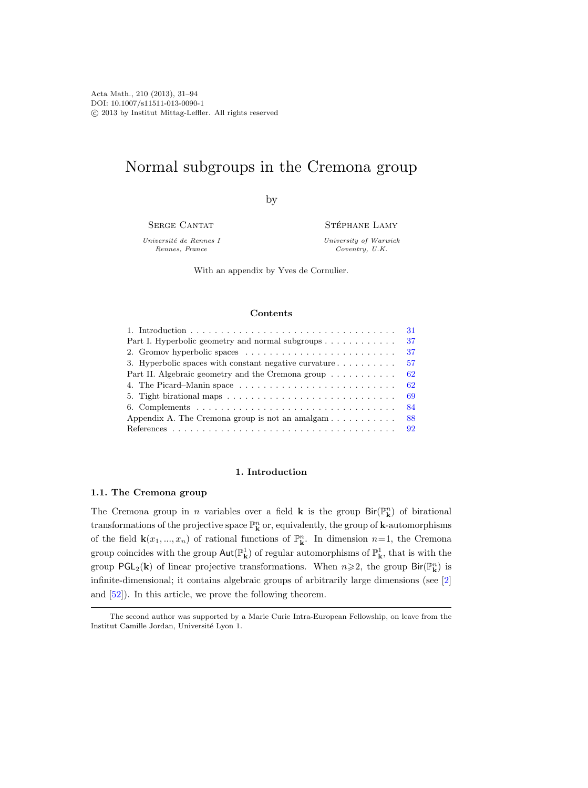# Normal subgroups in the Cremona group

by

SERGE CANTAT

Université de Rennes I Rennes, France

STÉPHANE LAMY

University of Warwick Coventry, U.K.

With an appendix by Yves de Cornulier.

#### Contents

| 31                                                                              |
|---------------------------------------------------------------------------------|
| 37<br>Part I. Hyperbolic geometry and normal subgroups $\dots \dots \dots$      |
| 37                                                                              |
| 57<br>3. Hyperbolic spaces with constant negative curvature $\dots \dots \dots$ |
| Part II. Algebraic geometry and the Cremona group<br>62                         |
| 62                                                                              |
| 69                                                                              |
| 84                                                                              |
| 88<br>Appendix A. The Cremona group is not an amalgam                           |
|                                                                                 |

#### 1. Introduction

#### <span id="page-0-0"></span>1.1. The Cremona group

The Cremona group in *n* variables over a field **k** is the group  $\text{Bir}(\mathbb{P}_{\mathbf{k}}^n)$  of birational transformations of the projective space  $\mathbb{P}^n_{\mathbf{k}}$  or, equivalently, the group of **k**-automorphisms of the field  $\mathbf{k}(x_1, ..., x_n)$  of rational functions of  $\mathbb{P}^n_{\mathbf{k}}$ . In dimension  $n=1$ , the Cremona group coincides with the group  $Aut(\mathbb{P}^1_{\mathbf{k}})$  of regular automorphisms of  $\mathbb{P}^1_{\mathbf{k}}$ , that is with the group  $\mathsf{PGL}_2(\mathbf{k})$  of linear projective transformations. When  $n \geqslant 2$ , the group  $\mathsf{Bir}(\mathbb{P}^n_{\mathbf{k}})$  is infinite-dimensional; it contains algebraic groups of arbitrarily large dimensions (see [\[2\]](#page-61-0) and [\[52\]](#page-63-0)). In this article, we prove the following theorem.

The second author was supported by a Marie Curie Intra-European Fellowship, on leave from the Institut Camille Jordan, Université Lyon 1.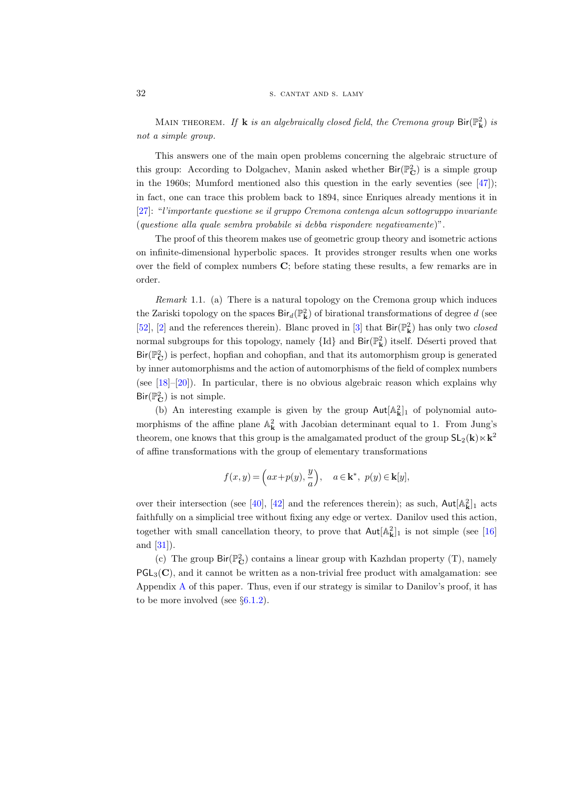MAIN THEOREM. If **k** is an algebraically closed field, the Cremona group  $\text{Bir}(\mathbb{P}_{\mathbf{k}}^2)$  is not a simple group.

This answers one of the main open problems concerning the algebraic structure of this group: According to Dolgachev, Manin asked whether  $\text{Bir}(\mathbb{P}_{\mathbf{C}}^2)$  is a simple group in the 1960s; Mumford mentioned also this question in the early seventies (see  $[47]$ ); in fact, one can trace this problem back to 1894, since Enriques already mentions it in [\[27\]](#page-62-0): "l'importante questione se il gruppo Cremona contenga alcun sottogruppo invariante (questione alla quale sembra probabile si debba rispondere negativamente)".

The proof of this theorem makes use of geometric group theory and isometric actions on infinite-dimensional hyperbolic spaces. It provides stronger results when one works over the field of complex numbers C; before stating these results, a few remarks are in order.

Remark 1.1. (a) There is a natural topology on the Cremona group which induces the Zariski topology on the spaces  $\text{Bir}_d(\mathbb{P}^2_{\mathbf{k}})$  of birational transformations of degree  $d$  (see [\[52\]](#page-63-0), [\[2\]](#page-61-0) and the references therein). Blanc proved in [\[3\]](#page-61-1) that  $\text{Bir}(\mathbb{P}_{\mathbf{k}}^2)$  has only two *closed* normal subgroups for this topology, namely  $\{Id\}$  and  $\textsf{Bir}({\mathbb P}^2_{\mathbf k})$  itself. Déserti proved that  $\text{Bir}(\mathbb{P}_\mathbf{C}^2)$  is perfect, hopfian and cohopfian, and that its automorphism group is generated by inner automorphisms and the action of automorphisms of the field of complex numbers (see [\[18\]](#page-62-1)–[\[20\]](#page-62-2)). In particular, there is no obvious algebraic reason which explains why  $\text{Bir}(\mathbb{P}_{\mathbf{C}}^2)$  is not simple.

(b) An interesting example is given by the group  $Aut[A_k^2]_1$  of polynomial automorphisms of the affine plane  $\mathbb{A}_{\mathbf{k}}^2$  with Jacobian determinant equal to 1. From Jung's theorem, one knows that this group is the amalgamated product of the group  $SL_2(k) \ltimes k^2$ of affine transformations with the group of elementary transformations

$$
f(x,y) = \left(ax + p(y), \frac{y}{a}\right), \quad a \in \mathbf{k}^*, \ p(y) \in \mathbf{k}[y],
$$

over their intersection (see [\[40\]](#page-62-3), [\[42\]](#page-63-2) and the references therein); as such,  $\text{Aut}[\mathbb{A}_{\mathbf{k}}^2]_1$  acts faithfully on a simplicial tree without fixing any edge or vertex. Danilov used this action, together with small cancellation theory, to prove that  $\text{Aut}[\mathbb{A}_{\mathbf{k}}^2]_1$  is not simple (see [\[16\]](#page-61-2) and [\[31\]](#page-62-4)).

(c) The group  ${\sf Bir}({\mathbb P}^2_{\bf C})$  contains a linear group with Kazhdan property (T), namely  $PGL_3(\mathbb{C})$ , and it cannot be written as a non-trivial free product with amalgamation: see Appendix [A](#page-57-0) of this paper. Thus, even if our strategy is similar to Danilov's proof, it has to be more involved (see  $\S6.1.2$ ).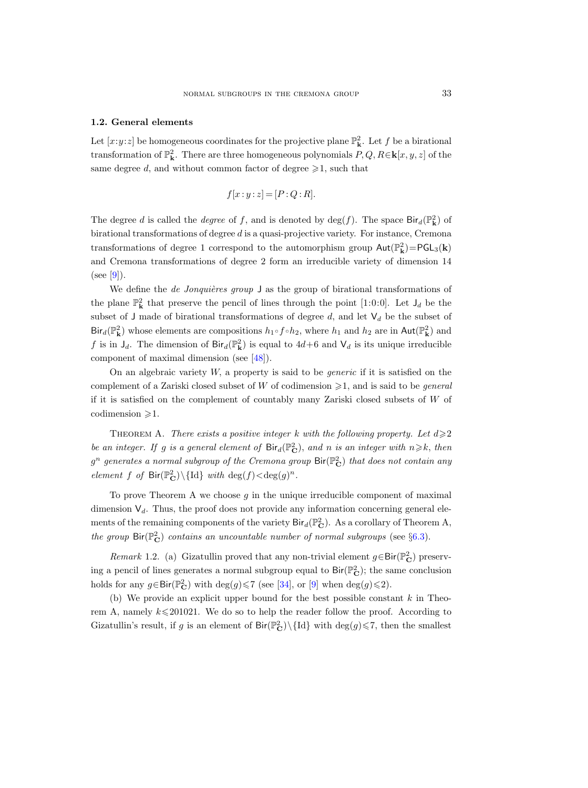#### 1.2. General elements

Let  $[x:y:z]$  be homogeneous coordinates for the projective plane  $\mathbb{P}^2_{\mathbf{k}}$ . Let f be a birational transformation of  $\mathbb{P}^2_{\mathbf{k}}$ . There are three homogeneous polynomials  $P, Q, R \in \mathbf{k}[x, y, z]$  of the same degree d, and without common factor of degree  $\geq 1$ , such that

$$
f[x:y:z] = [P:Q:R].
$$

The degree d is called the *degree* of f, and is denoted by  $deg(f)$ . The space  $Bir_d(\mathbb{P}_k^2)$  of birational transformations of degree d is a quasi-projective variety. For instance, Cremona transformations of degree 1 correspond to the automorphism group  $\text{Aut}(\mathbb{P}^2_{\mathbf{k}}) = \text{PGL}_3(\mathbf{k})$ and Cremona transformations of degree 2 form an irreducible variety of dimension 14  $(see [9]).$  $(see [9]).$  $(see [9]).$ 

We define the *de Jonquières group*  $\bigcup$  as the group of birational transformations of the plane  $\mathbb{P}^2_{\mathbf{k}}$  that preserve the pencil of lines through the point [1:0:0]. Let  $J_d$  be the subset of J made of birational transformations of degree d, and let  $V_d$  be the subset of  $\text{Bir}_d(\mathbb{P}^2_{\mathbf{k}})$  whose elements are compositions  $h_1 \circ f \circ h_2$ , where  $h_1$  and  $h_2$  are in Aut $(\mathbb{P}^2_{\mathbf{k}})$  and f is in  $J_d$ . The dimension of  $\text{Bir}_d(\mathbb{P}^2_{\mathbf{k}})$  is equal to  $4d+6$  and  $\mathsf{V}_d$  is its unique irreducible component of maximal dimension (see [\[48\]](#page-63-3)).

On an algebraic variety  $W$ , a property is said to be *generic* if it is satisfied on the complement of a Zariski closed subset of W of codimension  $\geq 1$ , and is said to be *general* if it is satisfied on the complement of countably many Zariski closed subsets of W of  $codimension \geqslant 1.$ 

THEOREM A. There exists a positive integer k with the following property. Let  $d \geqslant 2$ be an integer. If g is a general element of  $\text{Bir}_d(\mathbb{P}_\mathbf{C}^2)$ , and n is an integer with  $n \geq k$ , then  $g^n$  generates a normal subgroup of the Cremona group  ${\sf Bir}({\mathbb P}^2_{\bf C})$  that does not contain any element f of  $\text{Bir}(\mathbb{P}_{\mathbf{C}}^2)\backslash {\{\text{Id}\}}$  with  $\deg(f)\!<\!\deg(g)^n$ .

To prove Theorem A we choose  $g$  in the unique irreducible component of maximal dimension  $V_d$ . Thus, the proof does not provide any information concerning general elements of the remaining components of the variety  $\text{Bir}_d(\mathbb{P}_{\mathbf{C}}^2)$ . As a corollary of Theorem A, the group  $\text{Bir}(\mathbb{P}_{\mathbf{C}}^2)$  contains an uncountable number of normal subgroups (see §[6.3\)](#page-56-0).

*Remark* 1.2. (a) Gizatullin proved that any non-trivial element  $g \in Bir(\mathbb{P}_{\mathbf{C}}^2)$  preserving a pencil of lines generates a normal subgroup equal to  $\text{Bir}(\mathbb{P}_{\mathbf{C}}^2)$ ; the same conclusion holds for any  $g \in Bir(\mathbb{P}_{\mathbf{C}}^2)$  with  $\deg(g) \le 7$  (see [\[34\]](#page-62-5), or [\[9\]](#page-61-3) when  $\deg(g) \le 2$ ).

(b) We provide an explicit upper bound for the best possible constant  $k$  in Theorem A, namely  $k \leq 201021$ . We do so to help the reader follow the proof. According to Gizatullin's result, if g is an element of  $\text{Bir}(\mathbb{P}_{\mathbf{C}}^2)\setminus{\{\text{Id}\}}$  with  $\text{deg}(g)\leq 7$ , then the smallest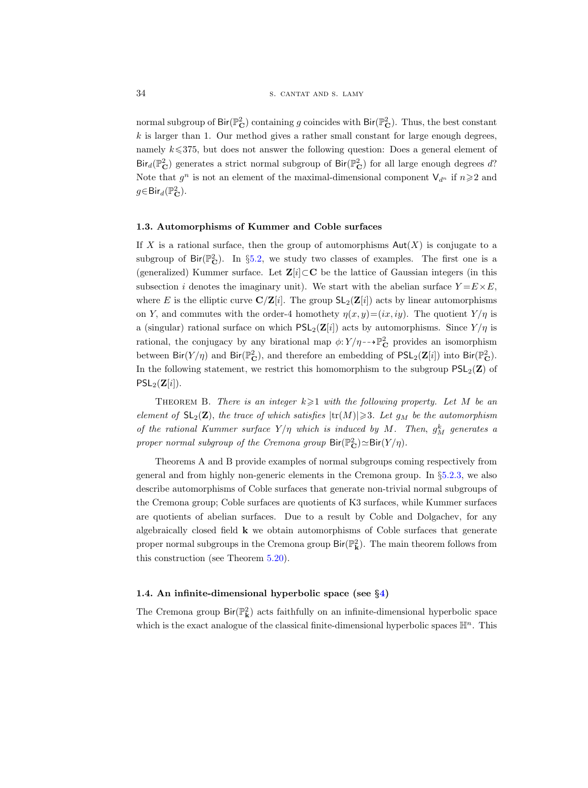normal subgroup of  $\text{Bir}(\mathbb{P}^2_{\mathbf{C}})$  containing g coincides with  $\text{Bir}(\mathbb{P}^2_{\mathbf{C}})$ . Thus, the best constant  $k$  is larger than 1. Our method gives a rather small constant for large enough degrees, namely  $k \leq 375$ , but does not answer the following question: Does a general element of  $\text{Bir}_d(\mathbb{P}_{\mathbf{C}}^2)$  generates a strict normal subgroup of  $\text{Bir}(\mathbb{P}_{\mathbf{C}}^2)$  for all large enough degrees d? Note that  $g^n$  is not an element of the maximal-dimensional component  $\mathsf{V}_{d^n}$  if  $n \geq 2$  and  $g \in \text{Bir}_d(\mathbb{P}^2_{\mathbf{C}})$ .

#### 1.3. Automorphisms of Kummer and Coble surfaces

If X is a rational surface, then the group of automorphisms  $Aut(X)$  is conjugate to a subgroup of  $\text{Bir}(\mathbb{P}_{\mathbf{C}}^2)$ . In §[5.2,](#page-46-0) we study two classes of examples. The first one is a (generalized) Kummer surface. Let  $\mathbf{Z}[i] \subset \mathbf{C}$  be the lattice of Gaussian integers (in this subsection i denotes the imaginary unit). We start with the abelian surface  $Y = E \times E$ , where E is the elliptic curve  $\mathbf{C}/\mathbf{Z}[i]$ . The group  $\mathsf{SL}_2(\mathbf{Z}[i])$  acts by linear automorphisms on Y, and commutes with the order-4 homothety  $\eta(x, y) = (ix, iy)$ . The quotient  $Y/\eta$  is a (singular) rational surface on which  $PSL_2(\mathbf{Z}[i])$  acts by automorphisms. Since  $Y/\eta$  is rational, the conjugacy by any birational map  $\phi: Y/\eta \rightarrow \mathbb{P}^2_{\mathbf{C}}$  provides an isomorphism between  $\text{Bir}(Y/\eta)$  and  $\text{Bir}(\mathbb{P}_{\mathbf{C}}^2)$ , and therefore an embedding of  $\text{PSL}_2(\mathbf{Z}[i])$  into  $\text{Bir}(\mathbb{P}_{\mathbf{C}}^2)$ . In the following statement, we restrict this homomorphism to the subgroup  $PSL_2(\mathbf{Z})$  of  $PSL_2(\mathbf{Z}[i]).$ 

THEOREM B. There is an integer  $k \geqslant 1$  with the following property. Let M be an element of  $SL_2(\mathbf{Z})$ , the trace of which satisfies  $|\text{tr}(M)| \geq 3$ . Let  $g_M$  be the automorphism of the rational Kummer surface  $Y/\eta$  which is induced by M. Then,  $g_M^k$  generates a proper normal subgroup of the Cremona group  $\text{Bir}(\mathbb{P}_{\mathbf{C}}^2) \simeq \text{Bir}(Y/\eta)$ .

Theorems A and B provide examples of normal subgroups coming respectively from general and from highly non-generic elements in the Cremona group. In §[5.2.3,](#page-50-0) we also describe automorphisms of Coble surfaces that generate non-trivial normal subgroups of the Cremona group; Coble surfaces are quotients of K3 surfaces, while Kummer surfaces are quotients of abelian surfaces. Due to a result by Coble and Dolgachev, for any algebraically closed field  $\bf{k}$  we obtain automorphisms of Coble surfaces that generate proper normal subgroups in the Cremona group  $\text{Bir}(\mathbb{P}_{\mathbf{k}}^2)$ . The main theorem follows from this construction (see Theorem [5.20\)](#page-53-1).

#### 1.4. An infinite-dimensional hyperbolic space (see §[4\)](#page-31-0)

The Cremona group  $\text{Bir}(\mathbb{P}^2_{\mathbf{k}})$  acts faithfully on an infinite-dimensional hyperbolic space which is the exact analogue of the classical finite-dimensional hyperbolic spaces  $\mathbb{H}^n$ . This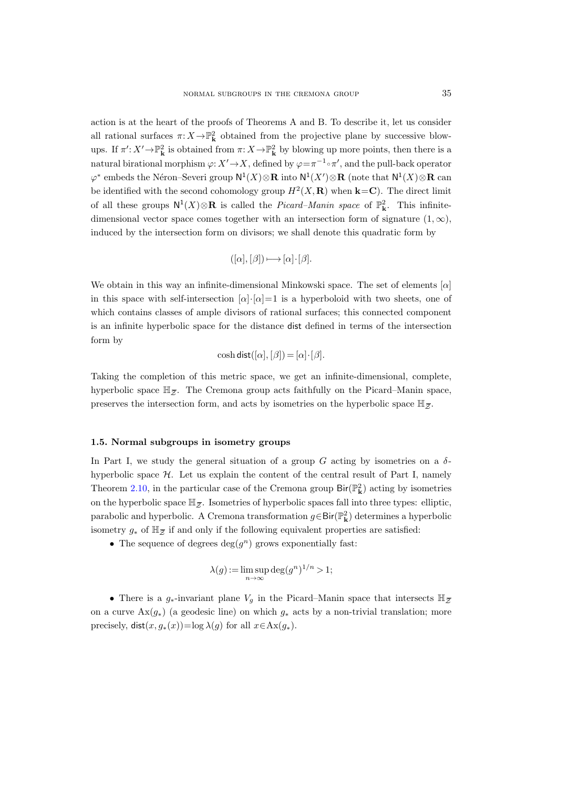action is at the heart of the proofs of Theorems A and B. To describe it, let us consider all rational surfaces  $\pi: X \to \mathbb{P}^2_{\mathbf{k}}$  obtained from the projective plane by successive blowups. If  $\pi': X' \to \mathbb{P}^2_{\mathbf{k}}$  is obtained from  $\pi: X \to \mathbb{P}^2_{\mathbf{k}}$  by blowing up more points, then there is a natural birational morphism  $\varphi: X' \to X$ , defined by  $\varphi = \pi^{-1} \circ \pi'$ , and the pull-back operator  $\varphi^*$  embeds the Néron–Severi group  $N^1(X)\otimes \mathbf{R}$  into  $N^1(X')\otimes \mathbf{R}$  (note that  $N^1(X)\otimes \mathbf{R}$  can be identified with the second cohomology group  $H^2(X, \mathbf{R})$  when  $\mathbf{k} = \mathbf{C}$ ). The direct limit of all these groups  $N^1(X)\otimes \mathbf{R}$  is called the *Picard–Manin space* of  $\mathbb{P}^2_{\mathbf{k}}$ . This infinitedimensional vector space comes together with an intersection form of signature  $(1, \infty)$ , induced by the intersection form on divisors; we shall denote this quadratic form by

$$
([\alpha],[\beta])\longmapsto [\alpha]\!\cdot\![\beta].
$$

We obtain in this way an infinite-dimensional Minkowski space. The set of elements  $[\alpha]$ in this space with self-intersection  $[\alpha] \cdot [\alpha] = 1$  is a hyperboloid with two sheets, one of which contains classes of ample divisors of rational surfaces; this connected component is an infinite hyperbolic space for the distance dist defined in terms of the intersection form by is an infinite hyperbolic space for the distance dist defined in terms of the intersection<br>form by<br> $\cosh \text{dist}([\alpha], [\beta]) = [\alpha] \cdot [\beta].$ <br>Taking the completion of this metric space, we get an infinite-dimensional, complete,<br>hyperbolic

$$
\cosh \mathsf{dist}([\alpha], [\beta]) = [\alpha] \cdot [\beta].
$$

Taking the completion of this metric space, we get an infinite-dimensional, complete, form by<br>  $\cosh \text{dist}([\alpha], [\beta]) = [\alpha] \cdot [\beta].$ <br>
Taking the completion of this metric space, we get an infinite-dimensional, comp<br>
hyperbolic space  $\mathbb{H}_{\overline{Z}}$ . The Cremona group acts faithfully on the Picard–Manin s<br>
preserves the preserves the intersection form, and acts by isometries on the hyperbolic space  $\mathbb{H}_{\overline{z}}$ .

#### 1.5. Normal subgroups in isometry groups

In Part I, we study the general situation of a group G acting by isometries on a  $\delta$ hyperbolic space  $H$ . Let us explain the content of the central result of Part I, namely Theorem [2.10,](#page-11-0) in the particular case of the Cremona group  $\text{Bir}(\mathbb{P}_{\mathbf{k}}^2)$  acting by isometries **1.5. Normal subgroups**<br>In Part I, we study the ge<br>hyperbolic space H. Let u<br>Theorem 2.10, in the partic<br>on the hyperbolic space  $\mathbb{H}_{\overline{Z}}$ on the hyperbolic space  $\mathbb{H}_{\bar{z}}$ . Isometries of hyperbolic spaces fall into three types: elliptic, parabolic and hyperbolic. A Cremona transformation  $g \in Bir(\mathbb{P}_{\mathbf{k}}^2)$  determines a hyperbolic in Part 1, we stude<br>hyperbolic space 7<br>Theorem 2.10, in t<br>on the hyperbolic sparabolic and hype<br>isometry  $g_*$  of  $\mathbb{H}_{\mathbb{Z}}$ isometry  $g_*$  of  $\mathbb{H}_{\overline{z}}$  if and only if the following equivalent properties are satisfied:

• The sequence of degrees  $deg(g^n)$  grows exponentially fast:

$$
\lambda(g) := \limsup_{n \to \infty} \deg(g^n)^{1/n} > 1;
$$

etry  $g_*$  of  $\mathbb{H}_{\overline{Z}}$  if and only if the following equivalent properties are satisfied:<br>
• The sequence of degrees  $\deg(g^n)$  grows exponentially fast:<br>  $\lambda(g) := \limsup_{n \to \infty} \deg(g^n)^{1/n} > 1;$ <br>
• There is a  $g_*$ -invariant pla on a curve  $\text{Ax}(g_*)$  (a geodesic line) on which  $g_*$  acts by a non-trivial translation; more precisely,  $dist(x, g_*(x)) = \log \lambda(g)$  for all  $x \in Ax(g_*)$ .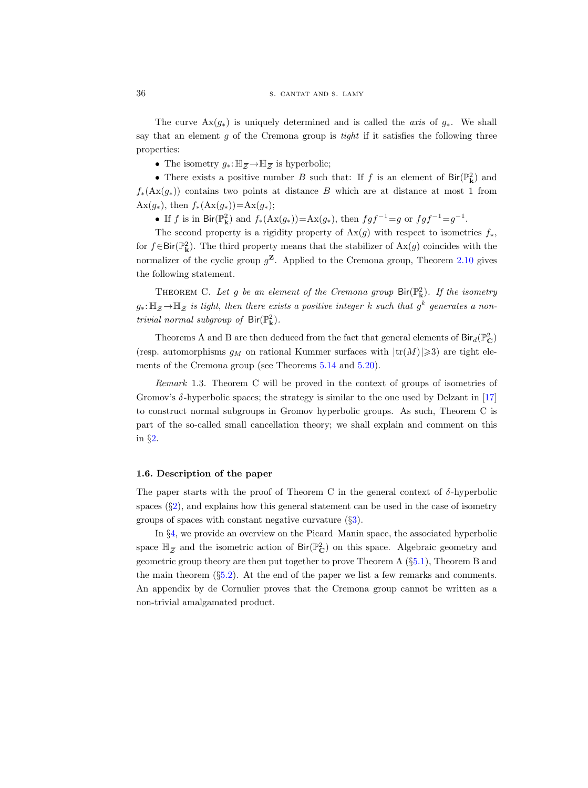The curve  $\text{Ax}(g_*)$  is uniquely determined and is called the *axis* of  $g_*$ . We shall say that an element  $g$  of the Cremona group is *tight* if it satisfies the following three properties: The curve  $\text{Ax}(g_*)$  is uniquel<br>that an element g of the Cre<br>erties:<br>• The isometry  $g_*: \mathbb{H}_{\mathcal{Z}} \to \mathbb{H}_{\mathcal{Z}}$ 

• The isometry  $g_*: \mathbb{H}_{\overline{z}} \to \mathbb{H}_{\overline{z}}$  is hyperbolic;

• There exists a positive number B such that: If f is an element of  $\text{Bir}(\mathbb{P}_{\mathbf{k}}^2)$  and  $f_*(\text{Ax}(q_*))$  contains two points at distance B which are at distance at most 1 from Ax $(g_*)$ , then  $f_*(A x(g_*)=A x(g_*);$ 

• If f is in Bir( $\mathbb{P}^2_{\mathbf{k}}$ ) and  $f_*(\text{Ax}(g_*)) = \text{Ax}(g_*)$ , then  $fgf^{-1} = g$  or  $fgf^{-1} = g^{-1}$ .

The second property is a rigidity property of  $Ax(g)$  with respect to isometries  $f_*$ , for  $f \in Bir(\mathbb{P}^2_{\mathbf{k}})$ . The third property means that the stabilizer of  $Ax(g)$  coincides with the normalizer of the cyclic group  $g^{\mathbf{Z}}$ . Applied to the Cremona group, Theorem [2.10](#page-11-0) gives the following statement. for  $f \in Bir(\mathbb{P}_{\mathbf{k}}^2)$ . The third property means that the stabilizer of  $Ax(g)$  coincides with the<br>normalizer of the cyclic group  $g^{\mathbf{Z}}$ . Applied to the Cremona group, Theorem 2.10 gives<br>the following statement.<br>THEOR Bir( $\mathbb{P}^2_{\mathbf{k}}$ <br>lizer o<br>lowing<br>неовн $\rightarrow \mathbb{H}_{\overline{Z}}$ 

THEOREM C. Let g be an element of the Cremona group  $\text{Bir}(\mathbb{P}_{\mathbf{k}}^2)$ . If the isometry trivial normal subgroup of  $\text{Bir}(\mathbb{P}_{\mathbf{k}}^2)$ .

Theorems A and B are then deduced from the fact that general elements of  ${\sf Bir}_d({\mathbb P}^2_{\bf C})$ (resp. automorphisms  $g_M$  on rational Kummer surfaces with  $|\text{tr}(M)| \geq 3$ ) are tight elements of the Cremona group (see Theorems [5.14](#page-49-0) and [5.20\)](#page-53-1).

Remark 1.3. Theorem C will be proved in the context of groups of isometries of Gromov's δ-hyperbolic spaces; the strategy is similar to the one used by Delzant in [\[17\]](#page-61-4) to construct normal subgroups in Gromov hyperbolic groups. As such, Theorem C is part of the so-called small cancellation theory; we shall explain and comment on this in §[2.](#page-6-0)

#### 1.6. Description of the paper

The paper starts with the proof of Theorem C in the general context of  $\delta$ -hyperbolic spaces  $(\S2)$  $(\S2)$ , and explains how this general statement can be used in the case of isometry groups of spaces with constant negative curvature  $(\S3)$  $(\S3)$ . The paper starts with the proof of Theorem C in the general context of  $\delta$ -hyperbolic spaces (§2), and explains how this general statement can be used in the case of isometry groups of spaces with constant negative curva

<span id="page-5-0"></span>In §[4,](#page-31-0) we provide an overview on the Picard–Manin space, the associated hyperbolic geometric group theory are then put together to prove Theorem A (§[5.1\)](#page-38-1), Theorem B and the main theorem  $(\S 5.2)$  $(\S 5.2)$ . At the end of the paper we list a few remarks and comments. An appendix by de Cornulier proves that the Cremona group cannot be written as a non-trivial amalgamated product.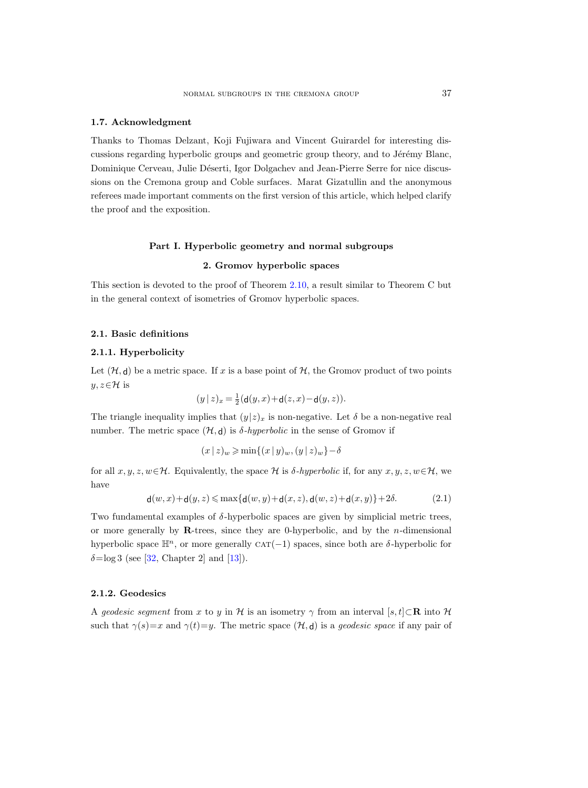#### 1.7. Acknowledgment

Thanks to Thomas Delzant, Koji Fujiwara and Vincent Guirardel for interesting discussions regarding hyperbolic groups and geometric group theory, and to Jérémy Blanc, Dominique Cerveau, Julie Déserti, Igor Dolgachev and Jean-Pierre Serre for nice discussions on the Cremona group and Coble surfaces. Marat Gizatullin and the anonymous referees made important comments on the first version of this article, which helped clarify the proof and the exposition.

### Part I. Hyperbolic geometry and normal subgroups

### 2. Gromov hyperbolic spaces

<span id="page-6-0"></span>This section is devoted to the proof of Theorem [2.10,](#page-11-0) a result similar to Theorem C but in the general context of isometries of Gromov hyperbolic spaces.

#### <span id="page-6-1"></span>2.1. Basic definitions

#### 2.1.1. Hyperbolicity

Let  $(\mathcal{H}, d)$  be a metric space. If x is a base point of  $\mathcal{H}$ , the Gromov product of two points  $y, z \in \mathcal{H}$  is

$$
(y | z)_x = \frac{1}{2}(\mathbf{d}(y, x) + \mathbf{d}(z, x) - \mathbf{d}(y, z)).
$$

The triangle inequality implies that  $(y|z)_x$  is non-negative. Let  $\delta$  be a non-negative real number. The metric space  $(\mathcal{H}, d)$  is  $\delta$ -hyperbolic in the sense of Gromov if

$$
(x\,|\,z)_{w}\geqslant\min\{(x\,|\,y)_{w},(y\,|\,z)_{w}\}-\delta
$$

for all  $x, y, z, w \in \mathcal{H}$ . Equivalently, the space  $\mathcal H$  is  $\delta$ -hyperbolic if, for any  $x, y, z, w \in \mathcal{H}$ , we have

$$
\mathsf{d}(w,x)+\mathsf{d}(y,z) \leqslant \max\{\mathsf{d}(w,y)+\mathsf{d}(x,z),\mathsf{d}(w,z)+\mathsf{d}(x,y)\}+2\delta. \tag{2.1}
$$

Two fundamental examples of  $\delta$ -hyperbolic spaces are given by simplicial metric trees, or more generally by R-trees, since they are 0-hyperbolic, and by the  $n$ -dimensional hyperbolic space  $\mathbb{H}^n$ , or more generally CAT(−1) spaces, since both are  $\delta$ -hyperbolic for  $\delta = \log 3$  (see [\[32,](#page-62-6) Chapter 2] and [\[13\]](#page-61-5)).

#### 2.1.2. Geodesics

A geodesic segment from x to y in H is an isometry  $\gamma$  from an interval [s, t]⊂R into H such that  $\gamma(s)=x$  and  $\gamma(t)=y$ . The metric space  $(\mathcal{H},\mathsf{d})$  is a *geodesic space* if any pair of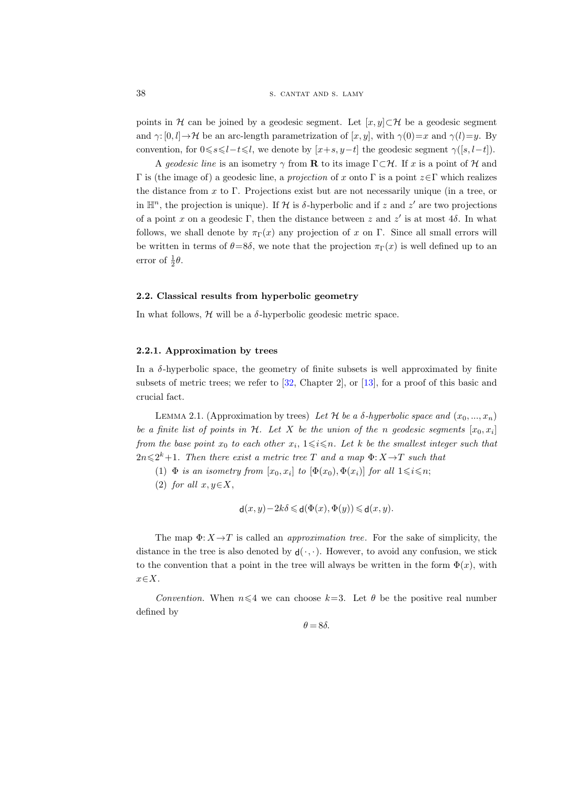points in H can be joined by a geodesic segment. Let  $[x, y] \subset \mathcal{H}$  be a geodesic segment and  $\gamma: [0, l] \to \mathcal{H}$  be an arc-length parametrization of  $[x, y]$ , with  $\gamma(0)=x$  and  $\gamma(l)=y$ . By convention, for  $0 \le s \le l - t \le l$ , we denote by  $[x+s, y-t]$  the geodesic segment  $\gamma([s, l-t])$ .

A geodesic line is an isometry  $\gamma$  from **R** to its image  $\Gamma \subset \mathcal{H}$ . If x is a point of H and Γ is (the image of) a geodesic line, a projection of x onto Γ is a point z∈Γ which realizes the distance from x to Γ. Projections exist but are not necessarily unique (in a tree, or in  $\mathbb{H}^n$ , the projection is unique). If H is  $\delta$ -hyperbolic and if z and z' are two projections of a point x on a geodesic Γ, then the distance between z and z' is at most  $4\delta$ . In what follows, we shall denote by  $\pi_{\Gamma}(x)$  any projection of x on Γ. Since all small errors will be written in terms of  $\theta = 8\delta$ , we note that the projection  $\pi_{\Gamma}(x)$  is well defined up to an error of  $\frac{1}{2}\theta$ .

#### <span id="page-7-0"></span>2.2. Classical results from hyperbolic geometry

In what follows,  $H$  will be a  $\delta$ -hyperbolic geodesic metric space.

#### <span id="page-7-1"></span>2.2.1. Approximation by trees

In a  $\delta$ -hyperbolic space, the geometry of finite subsets is well approximated by finite subsets of metric trees; we refer to [\[32,](#page-62-6) Chapter 2], or [\[13\]](#page-61-5), for a proof of this basic and crucial fact.

LEMMA 2.1. (Approximation by trees) Let H be a  $\delta$ -hyperbolic space and  $(x_0, ..., x_n)$ be a finite list of points in H. Let X be the union of the n geodesic segments  $[x_0, x_i]$ from the base point  $x_0$  to each other  $x_i$ ,  $1 \leq i \leq n$ . Let k be the smallest integer such that  $2n\leqslant 2^k+1$ . Then there exist a metric tree T and a map  $\Phi: X \rightarrow T$  such that

- (1)  $\Phi$  is an isometry from  $[x_0, x_i]$  to  $[\Phi(x_0), \Phi(x_i)]$  for all  $1 \leq i \leq n$ ;
- (2) for all  $x, y \in X$ ,

$$
\mathsf{d}(x,y) - 2k\delta \leqslant \mathsf{d}(\Phi(x),\Phi(y)) \leqslant \mathsf{d}(x,y).
$$

The map  $\Phi: X \to T$  is called an *approximation tree*. For the sake of simplicity, the distance in the tree is also denoted by  $d(\cdot, \cdot)$ . However, to avoid any confusion, we stick to the convention that a point in the tree will always be written in the form  $\Phi(x)$ , with  $x \in X$ .

Convention. When  $n \leq 4$  we can choose  $k=3$ . Let  $\theta$  be the positive real number defined by

 $\theta = 8\delta$ .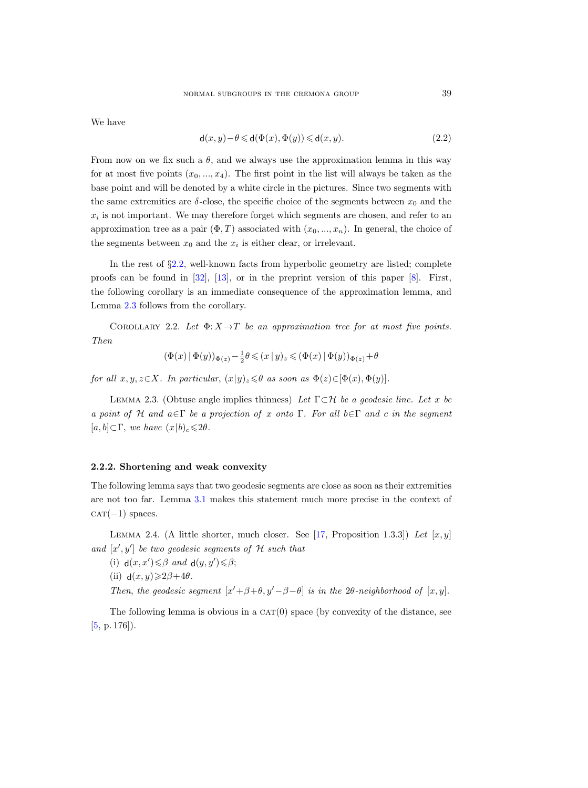We have

$$
\mathsf{d}(x,y) - \theta \leq \mathsf{d}(\Phi(x), \Phi(y)) \leq \mathsf{d}(x,y). \tag{2.2}
$$

From now on we fix such a  $\theta$ , and we always use the approximation lemma in this way for at most five points  $(x_0, ..., x_4)$ . The first point in the list will always be taken as the base point and will be denoted by a white circle in the pictures. Since two segments with the same extremities are  $\delta$ -close, the specific choice of the segments between  $x_0$  and the  $x_i$  is not important. We may therefore forget which segments are chosen, and refer to an approximation tree as a pair  $(\Phi, T)$  associated with  $(x_0, ..., x_n)$ . In general, the choice of the segments between  $x_0$  and the  $x_i$  is either clear, or irrelevant.

In the rest of §[2.2,](#page-7-0) well-known facts from hyperbolic geometry are listed; complete proofs can be found in  $[32]$ ,  $[13]$ , or in the preprint version of this paper  $[8]$ . First, the following corollary is an immediate consequence of the approximation lemma, and Lemma [2.3](#page-8-0) follows from the corollary.

<span id="page-8-3"></span>COROLLARY 2.2. Let  $\Phi: X \to T$  be an approximation tree for at most five points. Then

$$
(\Phi(x)\,|\,\Phi(y))_{\Phi(z)}-\tfrac{1}{2}\theta\leqslant (x\,|\,y)_z\leqslant (\Phi(x)\,|\,\Phi(y))_{\Phi(z)}+\theta
$$

for all  $x, y, z \in X$ . In particular,  $(x|y)_z \leq \theta$  as soon as  $\Phi(z) \in [\Phi(x), \Phi(y)]$ .

<span id="page-8-0"></span>LEMMA 2.3. (Obtuse angle implies thinness) Let  $\Gamma \subset \mathcal{H}$  be a geodesic line. Let x be a point of H and  $a \in \Gamma$  be a projection of x onto  $\Gamma$ . For all  $b \in \Gamma$  and c in the segment  $[a, b] \subset \Gamma$ , we have  $(x|b)_c \leq 2\theta$ .

#### 2.2.2. Shortening and weak convexity

The following lemma says that two geodesic segments are close as soon as their extremities are not too far. Lemma [3.1](#page-28-0) makes this statement much more precise in the context of  $CAT(-1)$  spaces.

<span id="page-8-1"></span>LEMMA 2.4. (A little shorter, much closer. See [\[17,](#page-61-4) Proposition 1.3.3]) Let [x, y] and  $[x', y']$  be two geodesic segments of  $H$  such that

(i)  $d(x, x') \leq \beta$  and  $d(y, y') \leq \beta$ ;

(ii)  $d(x, y) \ge 2\beta + 4\theta$ .

Then, the geodesic segment  $[x'+\beta+\theta, y'-\beta-\theta]$  is in the 2 $\theta$ -neighborhood of  $[x, y]$ .

<span id="page-8-2"></span>The following lemma is obvious in a  $CAT(0)$  space (by convexity of the distance, see  $[5, p. 176]$  $[5, p. 176]$ .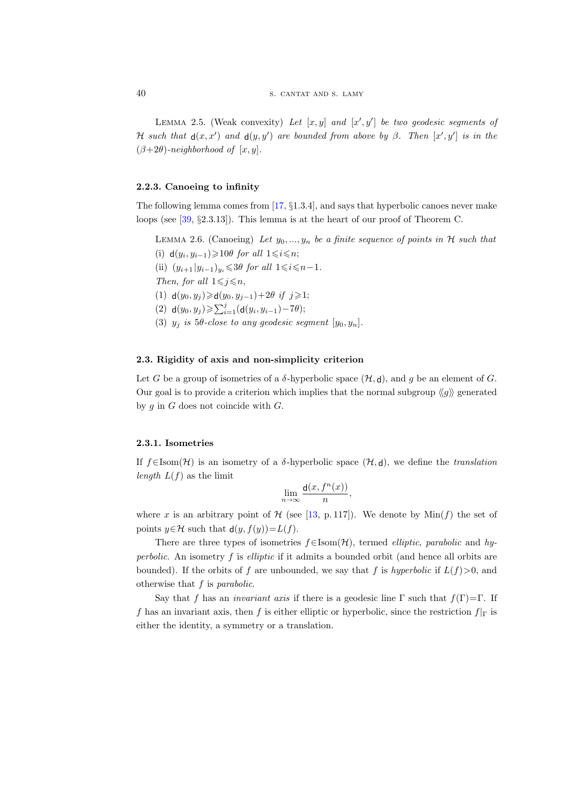LEMMA 2.5. (Weak convexity) Let  $[x, y]$  and  $[x', y']$  be two geodesic segments of H such that  $d(x, x')$  and  $d(y, y')$  are bounded from above by  $\beta$ . Then  $[x', y']$  is in the  $(\beta+2\theta)$ -neighborhood of  $[x, y]$ .

#### 2.2.3. Canoeing to infinity

The following lemma comes from [\[17,](#page-61-4) §1.3.4], and says that hyperbolic canoes never make loops (see [\[39,](#page-62-7) §2.3.13]). This lemma is at the heart of our proof of Theorem C.

<span id="page-9-0"></span>LEMMA 2.6. (Canoeing) Let  $y_0, ..., y_n$  be a finite sequence of points in H such that (i)  $d(y_i, y_{i-1})$ ≥10θ for all  $1 \leq i \leq n$ ; (ii)  $(y_{i+1} | y_{i-1})_{y_i} \leq 3\theta$  for all  $1 \leq i \leq n-1$ . Then, for all  $1 \leq j \leq n$ , (1) **d**( $y_0, y_j$ )≥**d**( $y_0, y_{j-1}$ )+2 $\theta$  *if*  $j \ge 1$ ; (2)  $d(y_0, y_j) \geqslant \sum_{i=1}^j (d(y_i, y_{i-1}) - 7\theta);$ (3)  $y_j$  is 5 $\theta$ -close to any geodesic segment  $[y_0, y_n]$ .

#### 2.3. Rigidity of axis and non-simplicity criterion

Let G be a group of isometries of a  $\delta$ -hyperbolic space  $(\mathcal{H}, d)$ , and g be an element of G. Our goal is to provide a criterion which implies that the normal subgroup  $\langle g \rangle$  generated by  $g$  in  $G$  does not coincide with  $G$ .

#### <span id="page-9-1"></span>2.3.1. Isometries

If  $f \in \text{Isom}(\mathcal{H})$  is an isometry of a  $\delta$ -hyperbolic space  $(\mathcal{H}, d)$ , we define the translation length  $L(f)$  as the limit

$$
\lim_{n \to \infty} \frac{d(x, f^n(x))}{n},
$$

where x is an arbitrary point of  $H$  (see [\[13,](#page-61-5) p. 117]). We denote by  $Min(f)$  the set of points  $y \in \mathcal{H}$  such that  $d(y, f(y)) = L(f)$ .

There are three types of isometries  $f \in \text{Isom}(\mathcal{H})$ , termed *elliptic*, *parabolic* and *hy*perbolic. An isometry  $f$  is elliptic if it admits a bounded orbit (and hence all orbits are bounded). If the orbits of f are unbounded, we say that f is hyperbolic if  $L(f) > 0$ , and otherwise that  $f$  is *parabolic*.

Say that f has an *invariant axis* if there is a geodesic line  $\Gamma$  such that  $f(\Gamma)=\Gamma$ . If f has an invariant axis, then f is either elliptic or hyperbolic, since the restriction  $f|_{\Gamma}$  is either the identity, a symmetry or a translation.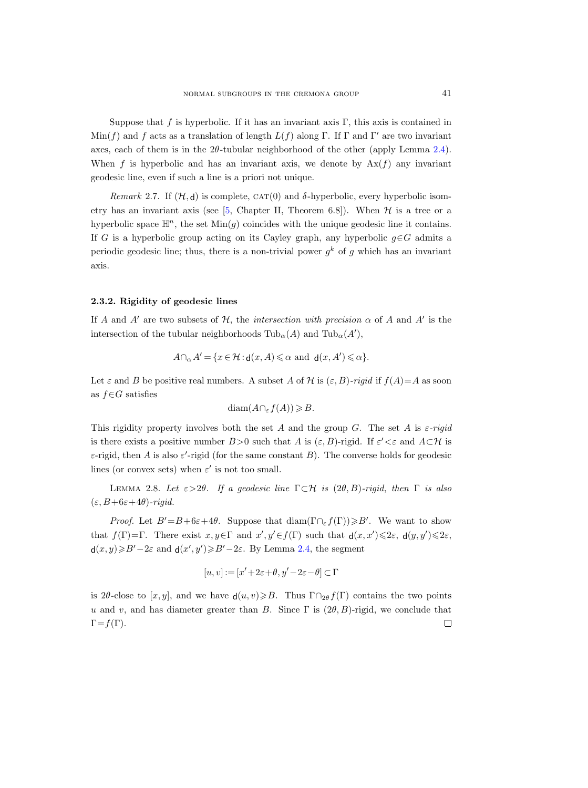Suppose that f is hyperbolic. If it has an invariant axis  $\Gamma$ , this axis is contained in  $\text{Min}(f)$  and f acts as a translation of length  $L(f)$  along Γ. If Γ and Γ' are two invariant axes, each of them is in the  $2\theta$ -tubular neighborhood of the other (apply Lemma [2.4\)](#page-8-1). When f is hyperbolic and has an invariant axis, we denote by  $\text{Ax}(f)$  any invariant geodesic line, even if such a line is a priori not unique.

<span id="page-10-1"></span>Remark 2.7. If  $(\mathcal{H}, d)$  is complete,  $CAT(0)$  and  $\delta$ -hyperbolic, every hyperbolic isometry has an invariant axis (see  $[5,$  Chapter II, Theorem 6.8]). When  $H$  is a tree or a hyperbolic space  $\mathbb{H}^n$ , the set  $\text{Min}(q)$  coincides with the unique geodesic line it contains. If G is a hyperbolic group acting on its Cayley graph, any hyperbolic  $q \in G$  admits a periodic geodesic line; thus, there is a non-trivial power  $g^k$  of g which has an invariant axis.

#### 2.3.2. Rigidity of geodesic lines

If A and A' are two subsets of H, the *intersection with precision*  $\alpha$  of A and A' is the intersection of the tubular neighborhoods  $\text{Tub}_{\alpha}(A)$  and  $\text{Tub}_{\alpha}(A'),$ 

$$
A \cap_{\alpha} A' = \{x \in \mathcal{H} : \mathbf{d}(x, A) \leq \alpha \text{ and } \mathbf{d}(x, A') \leq \alpha\}.
$$

Let  $\varepsilon$  and B be positive real numbers. A subset A of H is  $(\varepsilon, B)$ -rigid if  $f(A)=A$  as soon as  $f ∈ G$  satisfies

$$
\text{diam}(A \cap_{\varepsilon} f(A)) \geq B.
$$

This rigidity property involves both the set A and the group G. The set A is  $\varepsilon$ -rigid is there exists a positive number  $B > 0$  such that A is  $(\varepsilon, B)$ -rigid. If  $\varepsilon' < \varepsilon$  and  $A \subset \mathcal{H}$  is  $\varepsilon$ -rigid, then A is also  $\varepsilon'$ -rigid (for the same constant B). The converse holds for geodesic lines (or convex sets) when  $\varepsilon'$  is not too small.

<span id="page-10-0"></span>LEMMA 2.8. Let  $\varepsilon > 2\theta$ . If a geodesic line  $\Gamma \subset \mathcal{H}$  is (2θ, B)-rigid, then  $\Gamma$  is also  $(\varepsilon, B+6\varepsilon+4\theta)$ -rigid.

*Proof.* Let  $B'=B+6\varepsilon+4\theta$ . Suppose that  $\text{diam}(\Gamma \cap_{\varepsilon} f(\Gamma)) \geqslant B'$ . We want to show that  $f(\Gamma) = \Gamma$ . There exist  $x, y \in \Gamma$  and  $x', y' \in f(\Gamma)$  such that  $d(x, x') \leq 2\varepsilon$ ,  $d(y, y') \leq 2\varepsilon$ ,  $d(x, y) \ge B' - 2\varepsilon$  and  $d(x', y') \ge B' - 2\varepsilon$ . By Lemma [2.4,](#page-8-1) the segment

$$
[u, v] := [x' + 2\varepsilon + \theta, y' - 2\varepsilon - \theta] \subset \Gamma
$$

is 2θ-close to [x, y], and we have  $d(u, v) \ge B$ . Thus  $\Gamma \cap_{2\theta} f(\Gamma)$  contains the two points u and v, and has diameter greater than B. Since  $\Gamma$  is  $(2\theta, B)$ -rigid, we conclude that  $\Gamma = f(\Gamma)$ .  $\Box$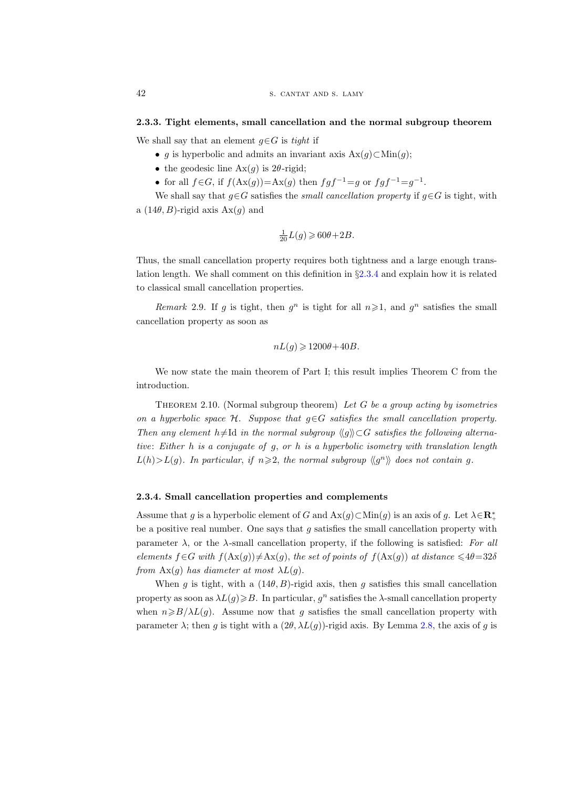#### 2.3.3. Tight elements, small cancellation and the normal subgroup theorem

We shall say that an element  $g \in G$  is tight if

- q is hyperbolic and admits an invariant axis  $Ax(q) \subset Min(q)$ ;
- the geodesic line  $Ax(g)$  is 2 $\theta$ -rigid;
- for all  $f \in G$ , if  $f(\text{Ax}(g)) = \text{Ax}(g)$  then  $fgf^{-1} = g$  or  $fgf^{-1} = g^{-1}$ .

We shall say that  $g \in G$  satisfies the *small cancellation property* if  $g \in G$  is tight, with a  $(14\theta, B)$ -rigid axis  $Ax(q)$  and

$$
\frac{1}{20}L(g) \geqslant 60\theta + 2B.
$$

Thus, the small cancellation property requires both tightness and a large enough translation length. We shall comment on this definition in §[2.3.4](#page-11-1) and explain how it is related to classical small cancellation properties.

Remark 2.9. If g is tight, then  $g^n$  is tight for all  $n \geq 1$ , and  $g^n$  satisfies the small cancellation property as soon as

$$
nL(g) \geqslant 1200\theta + 40B.
$$

We now state the main theorem of Part I; this result implies Theorem C from the introduction.

<span id="page-11-0"></span>THEOREM 2.10. (Normal subgroup theorem) Let  $G$  be a group acting by isometries on a hyperbolic space H. Suppose that  $g \in G$  satisfies the small cancellation property. Then any element h≠Id in the normal subgroup  $\langle q \rangle \rangle \subset G$  satisfies the following alternative: Either h is a conjugate of g, or h is a hyperbolic isometry with translation length  $L(h) > L(g)$ . In particular, if  $n \geqslant 2$ , the normal subgroup  $\langle g^n \rangle$  does not contain g.

### <span id="page-11-1"></span>2.3.4. Small cancellation properties and complements

Assume that g is a hyperbolic element of G and  $\text{Ax}(g) \subset \text{Min}(g)$  is an axis of g. Let  $\lambda \in \mathbb{R}_+^*$ be a positive real number. One says that  $g$  satisfies the small cancellation property with parameter  $\lambda$ , or the  $\lambda$ -small cancellation property, if the following is satisfied: For all elements  $f \in G$  with  $f(\text{Ax}(g)) \neq \text{Ax}(g)$ , the set of points of  $f(\text{Ax}(g))$  at distance  $\leq 4\theta = 32\delta$ from  $\text{Ax}(q)$  has diameter at most  $\lambda L(q)$ .

When g is tight, with a  $(14\theta, B)$ -rigid axis, then g satisfies this small cancellation property as soon as  $\lambda L(g) \geq B$ . In particular,  $g^n$  satisfies the  $\lambda$ -small cancellation property when  $n\geq B/\lambda L(g)$ . Assume now that g satisfies the small cancellation property with parameter  $\lambda$ ; then g is tight with a  $(2\theta, \lambda L(g))$ -rigid axis. By Lemma [2.8,](#page-10-0) the axis of g is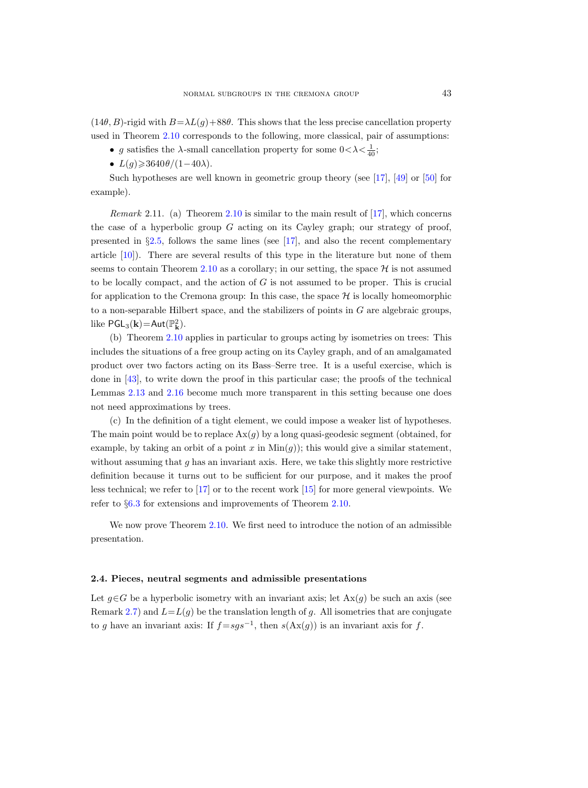$(14\theta, B)$ -rigid with  $B=\lambda L(g)+88\theta$ . This shows that the less precise cancellation property used in Theorem [2.10](#page-11-0) corresponds to the following, more classical, pair of assumptions:

• g satisfies the  $\lambda$ -small cancellation property for some  $0<\lambda<\frac{1}{40}$ ;

•  $L(q) \geqslant 3640\theta/(1-40\lambda)$ .

Such hypotheses are well known in geometric group theory (see [\[17\]](#page-61-4), [\[49\]](#page-63-4) or [\[50\]](#page-63-5) for example).

*Remark* 2.11. (a) Theorem [2.10](#page-11-0) is similar to the main result of  $[17]$ , which concerns the case of a hyperbolic group  $G$  acting on its Cayley graph; our strategy of proof, presented in §[2.5,](#page-18-0) follows the same lines (see [\[17\]](#page-61-4), and also the recent complementary article [\[10\]](#page-61-8)). There are several results of this type in the literature but none of them seems to contain Theorem [2.10](#page-11-0) as a corollary; in our setting, the space  $\mathcal H$  is not assumed to be locally compact, and the action of  $G$  is not assumed to be proper. This is crucial for application to the Cremona group: In this case, the space  $\mathcal H$  is locally homeomorphic to a non-separable Hilbert space, and the stabilizers of points in  $G$  are algebraic groups, like  $\mathsf{PGL}_3(\mathbf{k}) = \mathsf{Aut}(\mathbb{P}^2_{\mathbf{k}}).$ 

(b) Theorem [2.10](#page-11-0) applies in particular to groups acting by isometries on trees: This includes the situations of a free group acting on its Cayley graph, and of an amalgamated product over two factors acting on its Bass–Serre tree. It is a useful exercise, which is done in [\[43\]](#page-63-6), to write down the proof in this particular case; the proofs of the technical Lemmas [2.13](#page-14-0) and [2.16](#page-19-0) become much more transparent in this setting because one does not need approximations by trees.

(c) In the definition of a tight element, we could impose a weaker list of hypotheses. The main point would be to replace  $\text{Ax}(g)$  by a long quasi-geodesic segment (obtained, for example, by taking an orbit of a point x in  $Min(g)$ ; this would give a similar statement, without assuming that  $q$  has an invariant axis. Here, we take this slightly more restrictive definition because it turns out to be sufficient for our purpose, and it makes the proof less technical; we refer to [\[17\]](#page-61-4) or to the recent work [\[15\]](#page-61-9) for more general viewpoints. We refer to §[6.3](#page-56-0) for extensions and improvements of Theorem [2.10.](#page-11-0)

We now prove Theorem [2.10.](#page-11-0) We first need to introduce the notion of an admissible presentation.

#### <span id="page-12-0"></span>2.4. Pieces, neutral segments and admissible presentations

Let  $g \in G$  be a hyperbolic isometry with an invariant axis; let  $Ax(g)$  be such an axis (see Remark [2.7\)](#page-10-1) and  $L=L(g)$  be the translation length of g. All isometries that are conjugate to g have an invariant axis: If  $f = sgs^{-1}$ , then  $s(Ax(g))$  is an invariant axis for f.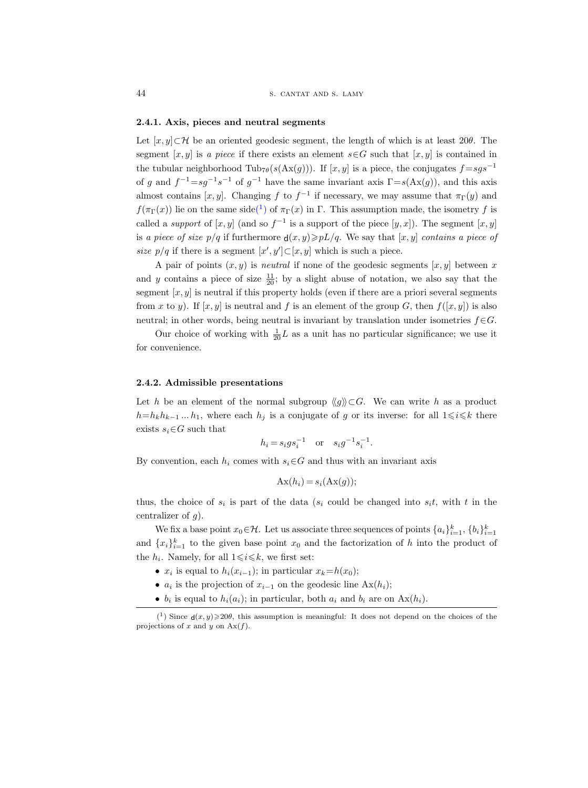#### 2.4.1. Axis, pieces and neutral segments

Let  $[x, y] \subset \mathcal{H}$  be an oriented geodesic segment, the length of which is at least 20 $\theta$ . The segment [x, y] is a piece if there exists an element  $s \in G$  such that [x, y] is contained in the tubular neighborhood Tub<sub>7</sub> $\theta(s(\text{Ax}(g)))$ . If [x, y] is a piece, the conjugates  $f = sgs^{-1}$ of g and  $f^{-1}=sg^{-1}s^{-1}$  of  $g^{-1}$  have the same invariant axis  $\Gamma = s(\text{Ax}(g))$ , and this axis almost contains  $[x, y]$ . Changing f to  $f^{-1}$  if necessary, we may assume that  $\pi_{\Gamma}(y)$  and  $f(\pi_{\Gamma}(x))$  lie on the same sid[e\(](#page-13-0)<sup>1</sup>) of  $\pi_{\Gamma}(x)$  in  $\Gamma$ . This assumption made, the isometry f is called a *support* of  $[x, y]$  (and so  $f^{-1}$  is a support of the piece  $[y, x]$ ). The segment  $[x, y]$ is a piece of size  $p/q$  if furthermore  $d(x, y) \geq pL/q$ . We say that  $[x, y]$  contains a piece of size  $p/q$  if there is a segment  $[x', y'] \subset [x, y]$  which is such a piece.

A pair of points  $(x, y)$  is *neutral* if none of the geodesic segments  $[x, y]$  between x and y contains a piece of size  $\frac{11}{20}$ ; by a slight abuse of notation, we also say that the segment  $[x, y]$  is neutral if this property holds (even if there are a priori several segments from x to y). If  $[x, y]$  is neutral and f is an element of the group G, then  $f([x, y])$  is also neutral; in other words, being neutral is invariant by translation under isometries  $f \in G$ .

Our choice of working with  $\frac{1}{20}L$  as a unit has no particular significance; we use it for convenience.

#### 2.4.2. Admissible presentations

Let h be an element of the normal subgroup  $\langle q \rangle \rangle \subset G$ . We can write h as a product  $h=h_kh_{k-1}...h_1$ , where each  $h_j$  is a conjugate of g or its inverse: for all  $1\leq i\leq k$  there exists  $s_i \in G$  such that

$$
h_i = s_i g s_i^{-1}
$$
 or  $s_i g^{-1} s_i^{-1}$ .

By convention, each  $h_i$  comes with  $s_i \in G$  and thus with an invariant axis

$$
Ax(h_i) = s_i(Ax(g));
$$

thus, the choice of  $s_i$  is part of the data ( $s_i$  could be changed into  $s_it$ , with t in the centralizer of  $q$ ).

We fix a base point  $x_0 \in \mathcal{H}$ . Let us associate three sequences of points  $\{a_i\}_{i=1}^k$ ,  $\{b_i\}_{i=1}^k$ and  ${x_i}_{i=1}^k$  to the given base point  $x_0$  and the factorization of h into the product of the  $h_i$ . Namely, for all  $1 \leq i \leq k$ , we first set:

- $x_i$  is equal to  $h_i(x_{i-1})$ ; in particular  $x_k = h(x_0)$ ;
- $a_i$  is the projection of  $x_{i-1}$  on the geodesic line  $Ax(h_i)$ ;
- <span id="page-13-0"></span>•  $b_i$  is equal to  $h_i(a_i)$ ; in particular, both  $a_i$  and  $b_i$  are on  $Ax(h_i)$ .

<sup>(&</sup>lt;sup>1</sup>) Since  $d(x, y) \ge 20\theta$ , this assumption is meaningful: It does not depend on the choices of the projections of x and y on  $Ax(f)$ .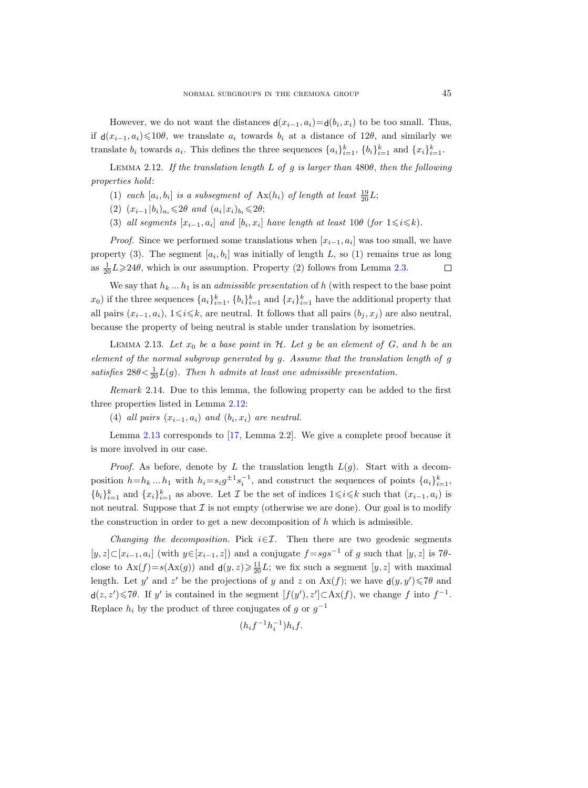However, we do not want the distances  $\mathsf{d}(x_{i-1}, a_i) = \mathsf{d}(b_i, x_i)$  to be too small. Thus, if  $d(x_{i-1}, a_i) \leq 10\theta$ , we translate  $a_i$  towards  $b_i$  at a distance of 12 $\theta$ , and similarly we translate  $b_i$  towards  $a_i$ . This defines the three sequences  $\{a_i\}_{i=1}^k$ ,  $\{b_i\}_{i=1}^k$  and  $\{x_i\}_{i=1}^k$ .

<span id="page-14-1"></span>LEMMA 2.12. If the translation length L of g is larger than  $480\theta$ , then the following properties hold:

- (1) each  $[a_i, b_i]$  is a subsegment of  $\text{Ax}(h_i)$  of length at least  $\frac{19}{20}L$ ;
- (2)  $(x_{i-1}|b_i)_{a_i} \leq 2\theta$  and  $(a_i|x_i)_{b_i} \leq 2\theta;$
- (3) all segments  $[x_{i-1}, a_i]$  and  $[b_i, x_i]$  have length at least 10 $\theta$  (for  $1 \leq i \leq k$ ).

*Proof.* Since we performed some translations when  $[x_{i-1}, a_i]$  was too small, we have property (3). The segment  $[a_i, b_i]$  was initially of length L, so (1) remains true as long as  $\frac{1}{20}L \geq 24\theta$ , which is our assumption. Property (2) follows from Lemma [2.3.](#page-8-0)  $\Box$ 

We say that  $h_k ... h_1$  is an *admissible presentation* of h (with respect to the base point  $(x_0)$  if the three sequences  $\{a_i\}_{i=1}^k$ ,  $\{b_i\}_{i=1}^k$  and  $\{x_i\}_{i=1}^k$  have the additional property that all pairs  $(x_{i-1}, a_i)$ ,  $1 \leq i \leq k$ , are neutral. It follows that all pairs  $(b_i, x_i)$  are also neutral, because the property of being neutral is stable under translation by isometries.

<span id="page-14-0"></span>LEMMA 2.13. Let  $x_0$  be a base point in  $H$ . Let g be an element of G, and h be an element of the normal subgroup generated by g. Assume that the translation length of g satisfies  $28\theta < \frac{1}{20}L(g)$ . Then h admits at least one admissible presentation.

<span id="page-14-2"></span>Remark 2.14. Due to this lemma, the following property can be added to the first three properties listed in Lemma [2.12:](#page-14-1)

(4) all pairs  $(x_{i-1}, a_i)$  and  $(b_i, x_i)$  are neutral.

Lemma [2.13](#page-14-0) corresponds to [\[17,](#page-61-4) Lemma 2.2]. We give a complete proof because it is more involved in our case.

*Proof.* As before, denote by L the translation length  $L(g)$ . Start with a decomposition  $h=h_k...h_1$  with  $h_i=s_ig^{\pm 1}s_i^{-1}$ , and construct the sequences of points  $\{a_i\}_{i=1}^k$ ,  ${b_i}_{i=1}^k$  and  ${x_i}_{i=1}^k$  as above. Let  $\mathcal I$  be the set of indices  $1 \leq i \leq k$  such that  $(x_{i-1}, a_i)$  is not neutral. Suppose that  $\mathcal I$  is not empty (otherwise we are done). Our goal is to modify the construction in order to get a new decomposition of h which is admissible.

Changing the decomposition. Pick  $i \in \mathcal{I}$ . Then there are two geodesic segments [y, z] ⊂[x<sub>i-1</sub>, a<sub>i</sub>] (with y∈[x<sub>i-1</sub>, z]) and a conjugate  $f = sgs^{-1}$  of g such that [y, z] is 7θclose to  $Ax(f) = s(Ax(g))$  and  $d(y, z) \ge \frac{11}{20}L$ ; we fix such a segment  $[y, z]$  with maximal length. Let y' and z' be the projections of y and z on  $Ax(f)$ ; we have  $d(y, y') \leq 7\theta$  and  $d(z, z') \leq 7\theta$ . If y' is contained in the segment  $[f(y'), z'] \subset Ax(f)$ , we change f into  $f^{-1}$ . Replace  $h_i$  by the product of three conjugates of g or  $g^{-1}$ 

$$
(h_i f^{-1} h_i^{-1}) h_i f.
$$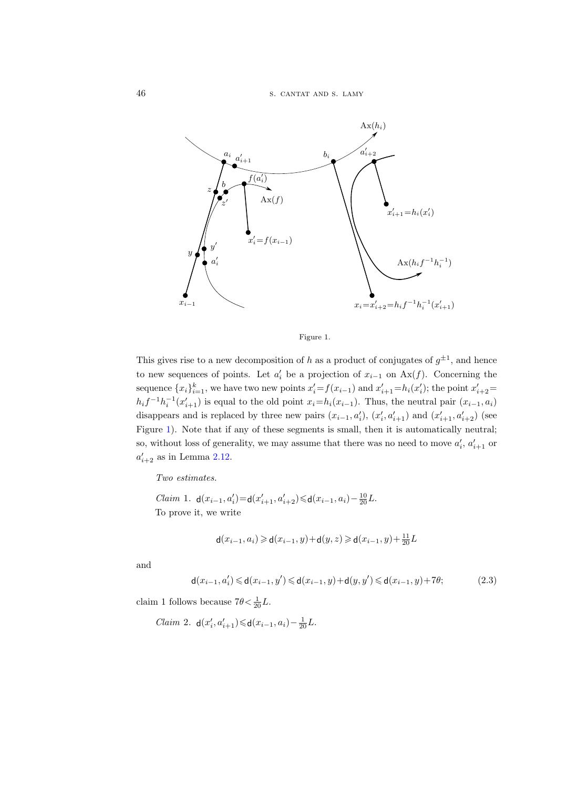

<span id="page-15-0"></span>Figure 1.

This gives rise to a new decomposition of h as a product of conjugates of  $g^{\pm 1}$ , and hence to new sequences of points. Let  $a'_i$  be a projection of  $x_{i-1}$  on  $Ax(f)$ . Concerning the sequence  $\{x_i\}_{i=1}^k$ , we have two new points  $x'_i = f(x_{i-1})$  and  $x'_{i+1} = h_i(x'_i)$ ; the point  $x'_{i+2} =$  $h_i f^{-1} h_i^{-1}(x'_{i+1})$  is equal to the old point  $x_i = h_i(x_{i-1})$ . Thus, the neutral pair  $(x_{i-1}, a_i)$ disappears and is replaced by three new pairs  $(x_{i-1}, a'_i)$ ,  $(x'_i, a'_{i+1})$  and  $(x'_{i+1}, a'_{i+2})$  (see Figure [1\)](#page-15-0). Note that if any of these segments is small, then it is automatically neutral; so, without loss of generality, we may assume that there was no need to move  $a'_i$ ,  $a'_{i+1}$  or  $a'_{i+2}$  as in Lemma [2.12.](#page-14-1)

Two estimates.

Claim 1.  $d(x_{i-1}, a'_i) = d(x'_{i+1}, a'_{i+2}) \le d(x_{i-1}, a_i) - \frac{10}{20}L$ . To prove it, we write

$$
\mathsf{d}(x_{i-1}, a_i) \geq \mathsf{d}(x_{i-1}, y) + \mathsf{d}(y, z) \geq \mathsf{d}(x_{i-1}, y) + \frac{11}{20}L
$$

and

<span id="page-15-1"></span>
$$
\mathsf{d}(x_{i-1}, a_i') \leq \mathsf{d}(x_{i-1}, y') \leq \mathsf{d}(x_{i-1}, y) + \mathsf{d}(y, y') \leq \mathsf{d}(x_{i-1}, y) + 7\theta; \tag{2.3}
$$

claim 1 follows because  $7\theta < \frac{1}{20}L$ .

$$
\text{Claim 2. } \mathsf{d}(x'_i, a'_{i+1}) \mathsf{ \leqslant d}(x_{i-1}, a_i) \!-\! \tfrac{1}{20} L.
$$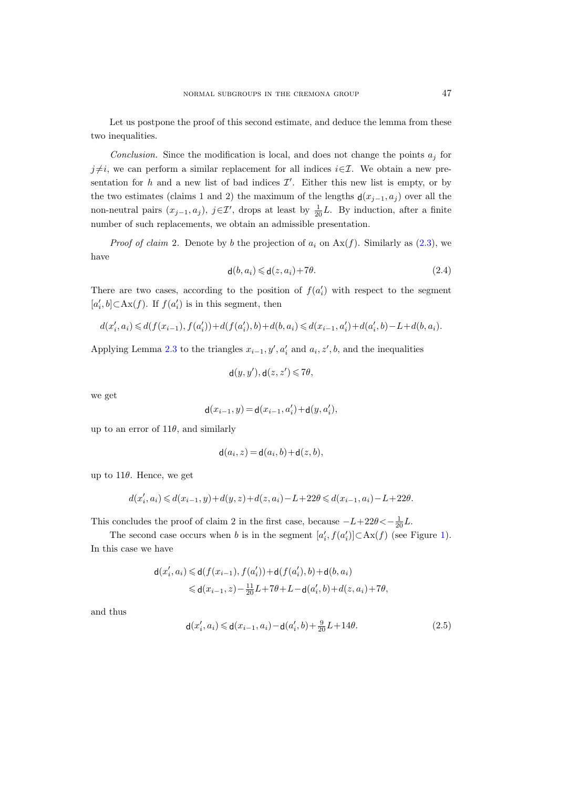Let us postpone the proof of this second estimate, and deduce the lemma from these two inequalities.

Conclusion. Since the modification is local, and does not change the points  $a_j$  for j≠i, we can perform a similar replacement for all indices  $i\in\mathcal{I}$ . We obtain a new presentation for h and a new list of bad indices  $\mathcal{I}'$ . Either this new list is empty, or by the two estimates (claims 1 and 2) the maximum of the lengths  $d(x_{j-1}, a_j)$  over all the non-neutral pairs  $(x_{j-1}, a_j)$ ,  $j \in \mathcal{I}'$ , drops at least by  $\frac{1}{20}L$ . By induction, after a finite number of such replacements, we obtain an admissible presentation.

*Proof of claim* 2. Denote by b the projection of  $a_i$  on  $Ax(f)$ . Similarly as [\(2.3\)](#page-15-1), we have

<span id="page-16-0"></span>
$$
\mathsf{d}(b, a_i) \leq \mathsf{d}(z, a_i) + 7\theta. \tag{2.4}
$$

There are two cases, according to the position of  $f(a'_i)$  with respect to the segment [ $a'_{i}$ ,  $b$ ]⊂Ax( $f$ ). If  $f(a'_{i})$  is in this segment, then

$$
d(x'_i,a_i) \leqslant d(f(x_{i-1}),f(a'_i)) + d(f(a'_i),b) + d(b,a_i) \leqslant d(x_{i-1},a'_i) + d(a'_i,b) - L + d(b,a_i).
$$

Applying Lemma [2.3](#page-8-0) to the triangles  $x_{i-1}, y', a'_i$  and  $a_i, z', b$ , and the inequalities

$$
\mathsf{d}(y,y'),\mathsf{d}(z,z')\leqslant 7\theta,
$$

we get

$$
\mathsf{d}(x_{i-1},y)\!=\!\mathsf{d}(x_{i-1},a'_i)\!+\!\mathsf{d}(y,a'_i),
$$

up to an error of  $11\theta$ , and similarly

$$
\mathsf{d}(a_i, z) = \mathsf{d}(a_i, b) + \mathsf{d}(z, b),
$$

up to  $11\theta$ . Hence, we get

$$
d(x'_i,a_i) \leqslant d(x_{i-1},y) + d(y,z) + d(z,a_i) - L + 22\theta \leqslant d(x_{i-1},a_i) - L + 22\theta.
$$

This concludes the proof of claim 2 in the first case, because  $-L+22\theta < -\frac{1}{20}L$ .

The second case occurs when b is in the segment  $[a'_i, f(a'_i)] \subset Ax(f)$  (see Figure [1\)](#page-15-0). In this case we have

$$
\begin{aligned} \mathsf{d}(x'_i,a_i) \!\leqslant\! \mathsf{d}(f(x_{i-1}),f(a'_i)) \!+\! \mathsf{d}(f(a'_i),b) \!+\! \mathsf{d}(b,a_i) \\ \!\leqslant\! \mathsf{d}(x_{i-1},z) \!-\! \tfrac{11}{20}L \!+\! 7\theta \!+\! L \!-\! \mathsf{d}(a'_i,b) \!+\! d(z,a_i) \!+\! 7\theta, \end{aligned}
$$

and thus

<span id="page-16-1"></span>
$$
\mathsf{d}(x_i', a_i) \leq \mathsf{d}(x_{i-1}, a_i) - \mathsf{d}(a_i', b) + \frac{9}{20}L + 14\theta.
$$
 (2.5)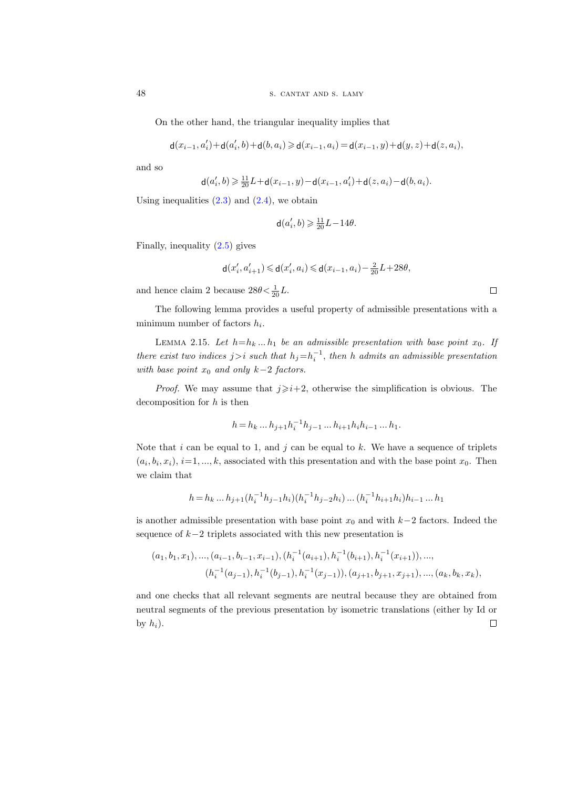On the other hand, the triangular inequality implies that

$$
\mathsf{d}(x_{i-1}, a'_i) + \mathsf{d}(a'_i, b) + \mathsf{d}(b, a_i) \geq \mathsf{d}(x_{i-1}, a_i) = \mathsf{d}(x_{i-1}, y) + \mathsf{d}(y, z) + \mathsf{d}(z, a_i),
$$

and so

$$
\mathbf{d}(a'_i, b) \geq \frac{11}{20}L + \mathbf{d}(x_{i-1}, y) - \mathbf{d}(x_{i-1}, a'_i) + \mathbf{d}(z, a_i) - \mathbf{d}(b, a_i).
$$

Using inequalities  $(2.3)$  and  $(2.4)$ , we obtain

$$
\mathbf{d}(a'_i, b) \geqslant \frac{11}{20}L - 14\theta.
$$

Finally, inequality [\(2.5\)](#page-16-1) gives

$$
\mathsf{d}(x'_i,a'_{i+1})\leqslant \mathsf{d}(x'_i,a_i)\leqslant \mathsf{d}(x_{i-1},a_i)-\tfrac{2}{20}L+28\theta,
$$

and hence claim 2 because  $28\theta < \frac{1}{20}L$ .

The following lemma provides a useful property of admissible presentations with a minimum number of factors  $h_i$ .

<span id="page-17-0"></span>LEMMA 2.15. Let  $h=h_k ... h_1$  be an admissible presentation with base point  $x_0$ . If there exist two indices  $j>i$  such that  $h_j=h_i^{-1}$ , then h admits an admissible presentation with base point  $x_0$  and only k−2 factors.

*Proof.* We may assume that  $j\geqslant i+2$ , otherwise the simplification is obvious. The decomposition for  $h$  is then

$$
h = h_k \dots h_{j+1} h_i^{-1} h_{j-1} \dots h_{i+1} h_i h_{i-1} \dots h_1.
$$

Note that  $i$  can be equal to 1, and  $j$  can be equal to  $k$ . We have a sequence of triplets  $(a_i, b_i, x_i), i=1, ..., k$ , associated with this presentation and with the base point  $x_0$ . Then we claim that

$$
h = h_k \dots h_{j+1} (h_i^{-1} h_{j-1} h_i) (h_i^{-1} h_{j-2} h_i) \dots (h_i^{-1} h_{i+1} h_i) h_{i-1} \dots h_1
$$

is another admissible presentation with base point  $x_0$  and with  $k-2$  factors. Indeed the sequence of  $k-2$  triplets associated with this new presentation is

$$
(a_1, b_1, x_1), \dots, (a_{i-1}, b_{i-1}, x_{i-1}), (h_i^{-1}(a_{i+1}), h_i^{-1}(b_{i+1}), h_i^{-1}(x_{i+1})), \dots,
$$

$$
(h_i^{-1}(a_{j-1}), h_i^{-1}(b_{j-1}), h_i^{-1}(x_{j-1})), (a_{j+1}, b_{j+1}, x_{j+1}), \dots, (a_k, b_k, x_k),
$$

and one checks that all relevant segments are neutral because they are obtained from neutral segments of the previous presentation by isometric translations (either by Id or by  $h_i$ ).  $\Box$ 

 $\Box$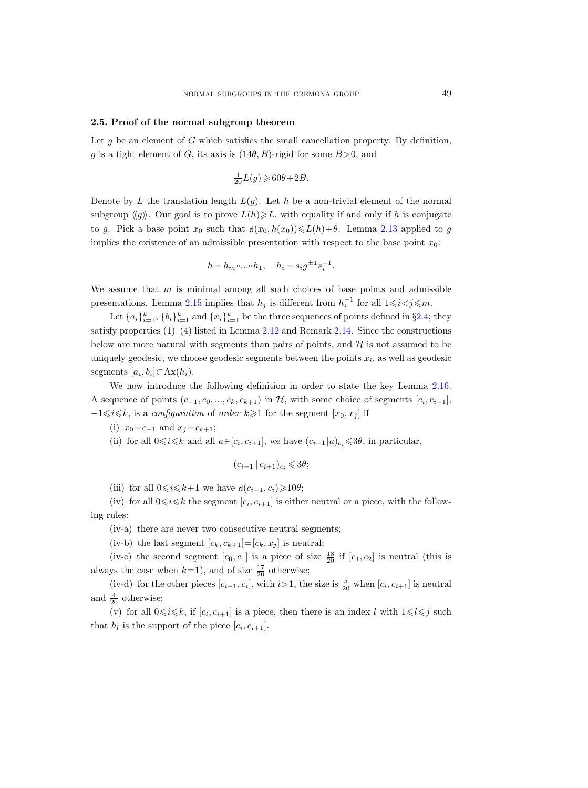#### <span id="page-18-0"></span>2.5. Proof of the normal subgroup theorem

Let  $g$  be an element of  $G$  which satisfies the small cancellation property. By definition, g is a tight element of G, its axis is  $(14\theta, B)$ -rigid for some  $B>0$ , and

$$
\frac{1}{20}L(g) \geqslant 60\theta + 2B.
$$

Denote by L the translation length  $L(g)$ . Let h be a non-trivial element of the normal subgroup  $\langle g \rangle$ . Our goal is to prove  $L(h) \geqslant L$ , with equality if and only if h is conjugate to g. Pick a base point  $x_0$  such that  $d(x_0, h(x_0)) \le L(h) + \theta$ . Lemma [2.13](#page-14-0) applied to g implies the existence of an admissible presentation with respect to the base point  $x_0$ :

$$
h=h_m\circ\dots\circ h_1,\quad h_i=s_ig^{\pm 1}s_i^{-1}.
$$

We assume that  $m$  is minimal among all such choices of base points and admissible presentations. Lemma [2.15](#page-17-0) implies that  $h_j$  is different from  $h_i^{-1}$  for all  $1 \leq i < j \leq m$ .

Let  $\{a_i\}_{i=1}^k$ ,  $\{b_i\}_{i=1}^k$  and  $\{x_i\}_{i=1}^k$  be the three sequences of points defined in §[2.4;](#page-12-0) they satisfy properties  $(1)$ – $(4)$  listed in Lemma [2.12](#page-14-1) and Remark [2.14.](#page-14-2) Since the constructions below are more natural with segments than pairs of points, and  $H$  is not assumed to be uniquely geodesic, we choose geodesic segments between the points  $x_i$ , as well as geodesic segments  $[a_i, b_i] \subset \text{Ax}(h_i)$ .

We now introduce the following definition in order to state the key Lemma [2.16.](#page-19-0) A sequence of points  $(c_{-1}, c_0, ..., c_k, c_{k+1})$  in  $H$ , with some choice of segments  $[c_i, c_{i+1}]$ ,  $-1 \leq i \leq k$ , is a *configuration* of *order*  $k \geq 1$  for the segment  $[x_0, x_j]$  if

(i) 
$$
x_0 = c_{-1}
$$
 and  $x_j = c_{k+1}$ ;

(ii) for all  $0 \le i \le k$  and all  $a \in [c_i, c_{i+1}]$ , we have  $(c_{i-1} | a)_{c_i} \le 3\theta$ , in particular,

$$
(c_{i-1} | c_{i+1})_{c_i} \leqslant 3\theta;
$$

(iii) for all  $0 \le i \le k+1$  we have  $d(c_{i-1}, c_i) \ge 10\theta$ ;

(iv) for all  $0 \le i \le k$  the segment  $[c_i, c_{i+1}]$  is either neutral or a piece, with the following rules:

(iv-a) there are never two consecutive neutral segments;

(iv-b) the last segment  $[c_k, c_{k+1}]=[c_k, x_i]$  is neutral;

(iv-c) the second segment  $[c_0, c_1]$  is a piece of size  $\frac{18}{20}$  if  $[c_1, c_2]$  is neutral (this is always the case when  $k=1$ , and of size  $\frac{17}{20}$  otherwise;

(iv-d) for the other pieces  $[c_{i-1}, c_i]$ , with  $i>1$ , the size is  $\frac{5}{20}$  when  $[c_i, c_{i+1}]$  is neutral and  $\frac{4}{20}$  otherwise;

(v) for all  $0 \le i \le k$ , if  $[c_i, c_{i+1}]$  is a piece, then there is an index l with  $1 \le l \le j$  such that  $h_l$  is the support of the piece  $[c_i, c_{i+1}].$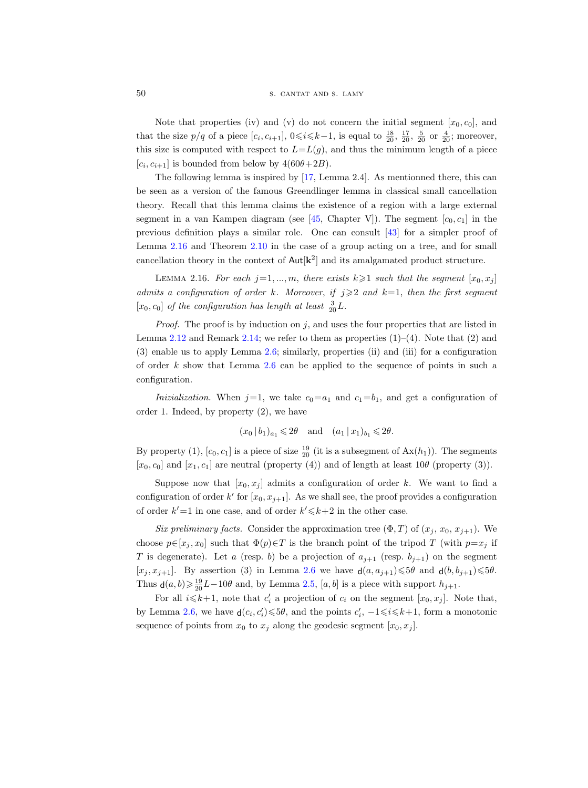Note that properties (iv) and (v) do not concern the initial segment  $[x_0, c_0]$ , and that the size  $p/q$  of a piece  $[c_i, c_{i+1}]$ ,  $0 \le i \le k-1$ , is equal to  $\frac{18}{20}$ ,  $\frac{17}{20}$ ,  $\frac{5}{20}$  or  $\frac{4}{20}$ ; moreover, this size is computed with respect to  $L=L(g)$ , and thus the minimum length of a piece  $[c_i, c_{i+1}]$  is bounded from below by  $4(60\theta+2B)$ .

The following lemma is inspired by [\[17,](#page-61-4) Lemma 2.4]. As mentionned there, this can be seen as a version of the famous Greendlinger lemma in classical small cancellation theory. Recall that this lemma claims the existence of a region with a large external segment in a van Kampen diagram (see [\[45,](#page-63-7) Chapter V]). The segment  $[c_0, c_1]$  in the previous definition plays a similar role. One can consult [\[43\]](#page-63-6) for a simpler proof of Lemma [2.16](#page-19-0) and Theorem [2.10](#page-11-0) in the case of a group acting on a tree, and for small cancellation theory in the context of  $\text{Aut}[\mathbf{k}^2]$  and its amalgamated product structure.

<span id="page-19-0"></span>LEMMA 2.16. For each  $j=1,\ldots,m$ , there exists  $k\geqslant 1$  such that the segment  $[x_0, x_j]$ admits a configuration of order k. Moreover, if  $j \geqslant 2$  and  $k=1$ , then the first segment  $[x_0, c_0]$  of the configuration has length at least  $\frac{3}{20}L$ .

*Proof.* The proof is by induction on j, and uses the four properties that are listed in Lemma [2.12](#page-14-1) and Remark [2.14;](#page-14-2) we refer to them as properties  $(1)-(4)$ . Note that  $(2)$  and (3) enable us to apply Lemma [2.6;](#page-9-0) similarly, properties (ii) and (iii) for a configuration of order  $k$  show that Lemma [2.6](#page-9-0) can be applied to the sequence of points in such a configuration.

Inizialization. When  $j=1$ , we take  $c_0=a_1$  and  $c_1=b_1$ , and get a configuration of order 1. Indeed, by property (2), we have

$$
(x_0 | b_1)_{a_1} \leq 2\theta
$$
 and  $(a_1 | x_1)_{b_1} \leq 2\theta$ .

By property (1),  $[c_0, c_1]$  is a piece of size  $\frac{19}{20}$  (it is a subsegment of  $Ax(h_1)$ ). The segments  $[x_0, c_0]$  and  $[x_1, c_1]$  are neutral (property (4)) and of length at least  $10\theta$  (property (3)).

Suppose now that  $[x_0, x_j]$  admits a configuration of order k. We want to find a configuration of order  $k'$  for  $[x_0, x_{j+1}]$ . As we shall see, the proof provides a configuration of order  $k'=1$  in one case, and of order  $k' \leq k+2$  in the other case.

Six preliminary facts. Consider the approximation tree  $(\Phi, T)$  of  $(x_j, x_0, x_{j+1})$ . We choose  $p \in [x_i, x_0]$  such that  $\Phi(p) \in T$  is the branch point of the tripod T (with  $p=x_i$  if T is degenerate). Let a (resp. b) be a projection of  $a_{j+1}$  (resp.  $b_{j+1}$ ) on the segment  $[x_j, x_{j+1}]$ . By assertion (3) in Lemma [2.6](#page-9-0) we have  $\mathsf{d}(a, a_{j+1}) \leq \mathsf{5}\theta$  and  $\mathsf{d}(b, b_{j+1}) \leq \mathsf{5}\theta$ . Thus  $\mathsf{d}(a, b) \geq \frac{19}{20}L-10\theta$  and, by Lemma [2.5,](#page-8-2)  $[a, b]$  is a piece with support  $h_{j+1}$ .

For all  $i \leq k+1$ , note that  $c_i'$  a projection of  $c_i$  on the segment  $[x_0, x_j]$ . Note that, by Lemma [2.6,](#page-9-0) we have  $d(c_i, c'_i) \leq 5\theta$ , and the points  $c'_i$ ,  $-1 \leq i \leq k+1$ , form a monotonic sequence of points from  $x_0$  to  $x_j$  along the geodesic segment  $[x_0, x_j]$ .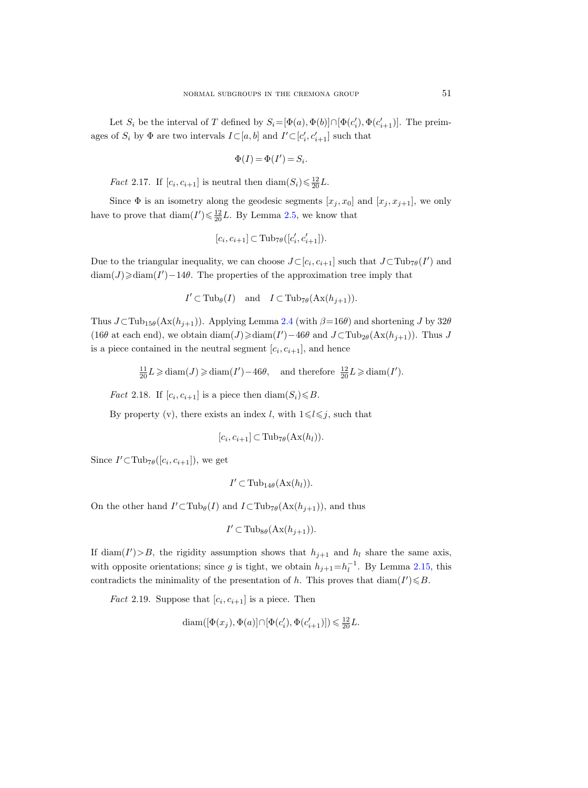Let  $S_i$  be the interval of T defined by  $S_i = [\Phi(a), \Phi(b)] \cap [\Phi(c'_i), \Phi(c'_{i+1})]$ . The preimages of  $S_i$  by  $\Phi$  are two intervals  $I \subset [a, b]$  and  $I' \subset [c'_i, c'_{i+1}]$  such that

$$
\Phi(I)=\Phi(I')=S_i.
$$

<span id="page-20-0"></span>*Fact* 2.17. If  $[c_i, c_{i+1}]$  is neutral then  $\text{diam}(S_i) \leq \frac{12}{20}L$ .

Since  $\Phi$  is an isometry along the geodesic segments  $[x_j, x_0]$  and  $[x_j, x_{j+1}]$ , we only have to prove that  $\text{diam}(I') \leq \frac{12}{20}L$ . By Lemma [2.5,](#page-8-2) we know that

$$
[c_i, c_{i+1}] \subset \text{Tub}_{7\theta}([c'_i, c'_{i+1}]).
$$

Due to the triangular inequality, we can choose  $J\subset [c_i, c_{i+1}]$  such that  $J\subset \text{Tub}_{7\theta}(I')$  and  $\dim(J) \geq \dim(I') - 14\theta$ . The properties of the approximation tree imply that

$$
I' \subset \text{Tub}_{\theta}(I)
$$
 and  $I \subset \text{Tub}_{7\theta}(\text{Ax}(h_{j+1})).$ 

Thus  $J\subset \text{Tub}_{15\theta}(\text{Ax}(h_{j+1}))$ . Applying Lemma [2.4](#page-8-1) (with  $\beta=16\theta$ ) and shortening J by 32 $\theta$ (16θ at each end), we obtain  $\text{diam}(J) \geq \text{diam}(I') - 46\theta$  and  $J \subset \text{Tub}_{2\theta}(\text{Ax}(h_{j+1}))$ . Thus J is a piece contained in the neutral segment  $[c_i, c_{i+1}]$ , and hence

 $\frac{11}{20}L \geq \text{diam}(J) \geq \text{diam}(I') - 46\theta$ , and therefore  $\frac{12}{20}L \geq \text{diam}(I')$ .

<span id="page-20-1"></span>*Fact* 2.18. If  $[c_i, c_{i+1}]$  is a piece then  $\text{diam}(S_i) \leq B$ .

By property (v), there exists an index l, with  $1 \le l \le j$ , such that

$$
[c_i, c_{i+1}] \subset \text{Tub}_{7\theta}(\text{Ax}(h_l)).
$$

Since  $I' \subset \text{Tub}_{7\theta}([c_i, c_{i+1}]),$  we get

$$
I' \subset \operatorname{Tub}_{14\theta}(\operatorname{Ax}(h_l)).
$$

On the other hand  $I' \subset \text{Tub}_{\theta}(I)$  and  $I \subset \text{Tub}_{7\theta}(\text{Ax}(h_{j+1}))$ , and thus

$$
I' \subset \text{Tub}_{8\theta}(\text{Ax}(h_{j+1})).
$$

If diam( $I'$ )>B, the rigidity assumption shows that  $h_{j+1}$  and  $h_l$  share the same axis, with opposite orientations; since g is tight, we obtain  $h_{j+1} = h_l^{-1}$ . By Lemma [2.15,](#page-17-0) this contradicts the minimality of the presentation of h. This proves that  $\text{diam}(I') \leq B$ .

<span id="page-20-2"></span>*Fact* 2.19. Suppose that  $[c_i, c_{i+1}]$  is a piece. Then

$$
\textnormal{diam}([\Phi(x_j),\Phi(a)]\cap[\Phi(c'_i),\Phi(c'_{i+1})])\leqslant \tfrac{12}{20}L.
$$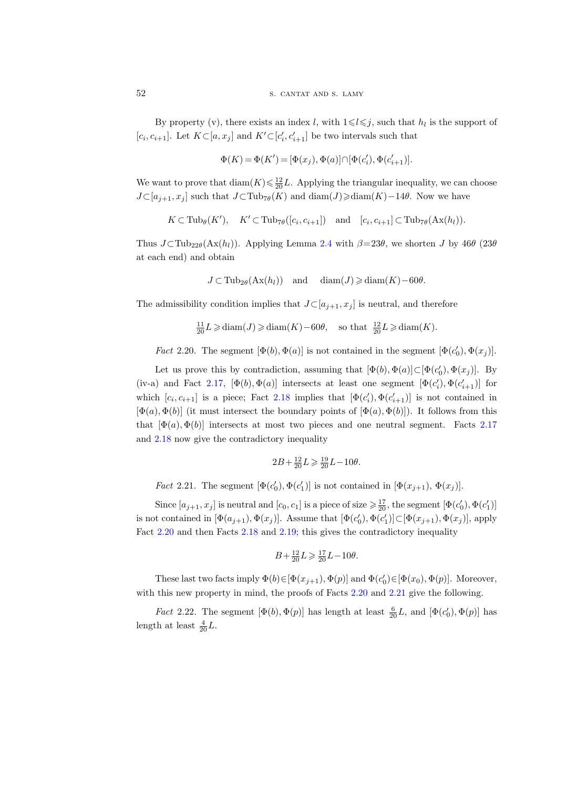By property (v), there exists an index l, with  $1 \leq l \leq j$ , such that  $h_l$  is the support of [ $c_i, c_{i+1}$ ]. Let  $K \subset [a, x_j]$  and  $K' \subset [c'_i, c'_{i+1}]$  be two intervals such that

$$
\Phi(K) = \Phi(K') = [\Phi(x_j), \Phi(a)] \cap [\Phi(c'_i), \Phi(c'_{i+1})].
$$

We want to prove that  $\text{diam}(K) \leq \frac{12}{20}L$ . Applying the triangular inequality, we can choose  $J\subset [a_{j+1}, x_j]$  such that  $J\subset \text{Tub}_{7\theta}(K)$  and  $\text{diam}(J) \geq \text{diam}(K) - 14\theta$ . Now we have

$$
K \subset \mathrm{Tub}_{\theta}(K'), \quad K' \subset \mathrm{Tub}_{7\theta}([c_i, c_{i+1}]) \quad \text{and} \quad [c_i, c_{i+1}] \subset \mathrm{Tub}_{7\theta}(\mathrm{Ax}(h_l)).
$$

Thus  $J\subset \text{Tub}_{22\theta}(\text{Ax}(h_l))$ . Applying Lemma [2.4](#page-8-1) with  $\beta=23\theta$ , we shorten J by  $46\theta$  (23 $\theta$ at each end) and obtain

$$
J \subset \mathrm{Tub}_{2\theta}(\mathrm{Ax}(h_l)) \quad \text{and} \quad \mathrm{diam}(J) \geqslant \mathrm{diam}(K) - 60\theta.
$$

The admissibility condition implies that  $J\subset [a_{j+1}, x_j]$  is neutral, and therefore

$$
\frac{11}{20}L \geqslant \text{diam}(J) \geqslant \text{diam}(K) - 60\theta, \quad \text{so that } \frac{12}{20}L \geqslant \text{diam}(K).
$$

<span id="page-21-0"></span>*Fact* 2.20. The segment  $[\Phi(b), \Phi(a)]$  is not contained in the segment  $[\Phi(c'_0), \Phi(x_j)]$ .

Let us prove this by contradiction, assuming that  $[\Phi(b), \Phi(a)] \subset [\Phi(c'_0), \Phi(x_j)]$ . By (iv-a) and Fact [2.17,](#page-20-0)  $[\Phi(b), \Phi(a)]$  intersects at least one segment  $[\Phi(c'_i), \Phi(c'_{i+1})]$  for which  $[c_i, c_{i+1}]$  is a piece; Fact [2.18](#page-20-1) implies that  $[\Phi(c'_i), \Phi(c'_{i+1})]$  is not contained in  $[\Phi(a), \Phi(b)]$  (it must intersect the boundary points of  $[\Phi(a), \Phi(b)]$ ). It follows from this that  $[\Phi(a), \Phi(b)]$  intersects at most two pieces and one neutral segment. Facts [2.17](#page-20-0) and [2.18](#page-20-1) now give the contradictory inequality

$$
2B + \frac{12}{20}L \geqslant \frac{19}{20}L - 10\theta.
$$

<span id="page-21-1"></span>*Fact* 2.21. The segment  $[\Phi(c'_0), \Phi(c'_1)]$  is not contained in  $[\Phi(x_{j+1}), \Phi(x_j)]$ .

Since  $[a_{j+1}, x_j]$  is neutral and  $[c_0, c_1]$  is a piece of size  $\ge \frac{17}{20}$ , the segment  $[\Phi(c'_0), \Phi(c'_1)]$ is not contained in  $[\Phi(a_{j+1}), \Phi(x_j)]$ . Assume that  $[\Phi(c'_0), \Phi(c'_1)] \subset [\Phi(x_{j+1}), \Phi(x_j)]$ , apply Fact [2.20](#page-21-0) and then Facts [2.18](#page-20-1) and [2.19;](#page-20-2) this gives the contradictory inequality

$$
B+\tfrac{12}{20}L\geqslant \tfrac{17}{20}L-10\theta.
$$

These last two facts imply  $\Phi(b) \in [\Phi(x_{j+1}), \Phi(p)]$  and  $\Phi(c'_0) \in [\Phi(x_0), \Phi(p)]$ . Moreover, with this new property in mind, the proofs of Facts [2.20](#page-21-0) and [2.21](#page-21-1) give the following.

<span id="page-21-2"></span>*Fact* 2.22. The segment  $[\Phi(b), \Phi(p)]$  has length at least  $\frac{6}{20}L$ , and  $[\Phi(c'_0), \Phi(p)]$  has length at least  $\frac{4}{20}L$ .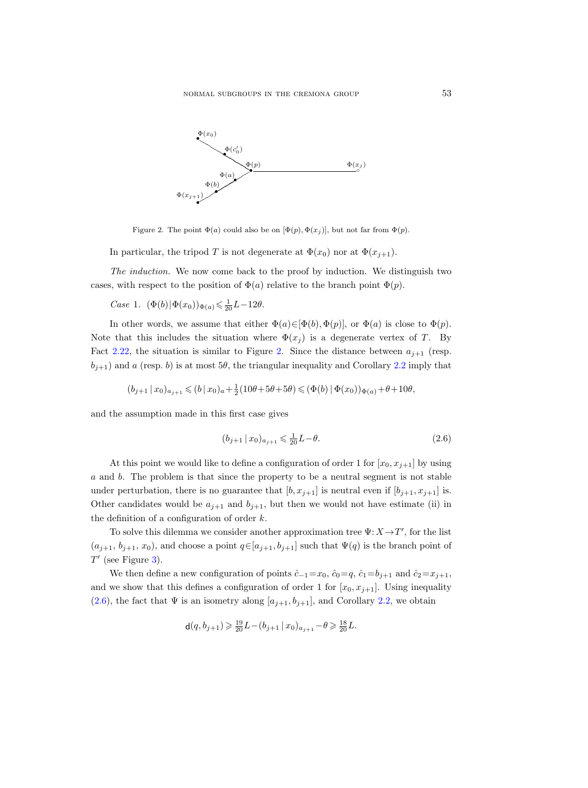

<span id="page-22-0"></span>Figure 2. The point  $\Phi(a)$  could also be on  $[\Phi(p), \Phi(x_i)]$ , but not far from  $\Phi(p)$ .

In particular, the tripod T is not degenerate at  $\Phi(x_0)$  nor at  $\Phi(x_{j+1})$ .

The induction. We now come back to the proof by induction. We distinguish two cases, with respect to the position of  $\Phi(a)$  relative to the branch point  $\Phi(p)$ .

*Case* 1.  $(\Phi(b)|\Phi(x_0))_{\Phi(a)} \le \frac{1}{20}L - 12\theta$ .

In other words, we assume that either  $\Phi(a) \in [\Phi(b), \Phi(p)]$ , or  $\Phi(a)$  is close to  $\Phi(p)$ . Note that this includes the situation where  $\Phi(x_j)$  is a degenerate vertex of T. By Fact [2.22,](#page-21-2) the situation is similar to Figure [2.](#page-22-0) Since the distance between  $a_{j+1}$  (resp.  $b_{j+1}$ ) and a (resp. b) is at most 5 $\theta$ , the triangular inequality and Corollary [2.2](#page-8-3) imply that

$$
(b_{j+1}\,|\,x_0)_{a_{j+1}} \leqslant (b\,|\,x_0)_a + \tfrac{1}{2}(10\theta+5\theta+5\theta) \leqslant (\Phi(b)\,|\,\Phi(x_0))_{\Phi(a)} + \theta + 10\theta,
$$

and the assumption made in this first case gives

<span id="page-22-1"></span>
$$
(b_{j+1} | x_0)_{a_{j+1}} \leqslant \frac{1}{20} L - \theta.
$$
\n(2.6)

At this point we would like to define a configuration of order 1 for  $[x_0, x_{i+1}]$  by using a and b. The problem is that since the property to be a neutral segment is not stable under perturbation, there is no guarantee that  $[b, x_{j+1}]$  is neutral even if  $[b_{j+1}, x_{j+1}]$  is. Other candidates would be  $a_{j+1}$  and  $b_{j+1}$ , but then we would not have estimate (ii) in the definition of a configuration of order  $k$ .

To solve this dilemma we consider another approximation tree  $\Psi: X \to T'$ , for the list  $(a_{j+1}, b_{j+1}, x_0)$ , and choose a point  $q \in [a_{j+1}, b_{j+1}]$  such that  $\Psi(q)$  is the branch point of  $T'$  (see Figure [3\)](#page-23-0).

We then define a new configuration of points  $\hat{c}_{-1}=x_0$ ,  $\hat{c}_0=q$ ,  $\hat{c}_1=b_{j+1}$  and  $\hat{c}_2=x_{j+1}$ , and we show that this defines a configuration of order 1 for  $[x_0, x_{j+1}]$ . Using inequality [\(2.6\)](#page-22-1), the fact that  $\Psi$  is an isometry along  $[a_{j+1}, b_{j+1}]$ , and Corollary [2.2,](#page-8-3) we obtain

$$
\mathsf{d}(q, b_{j+1}) \geqslant \frac{19}{20} L - (b_{j+1} \mid x_0)_{a_{j+1}} - \theta \geqslant \frac{18}{20} L.
$$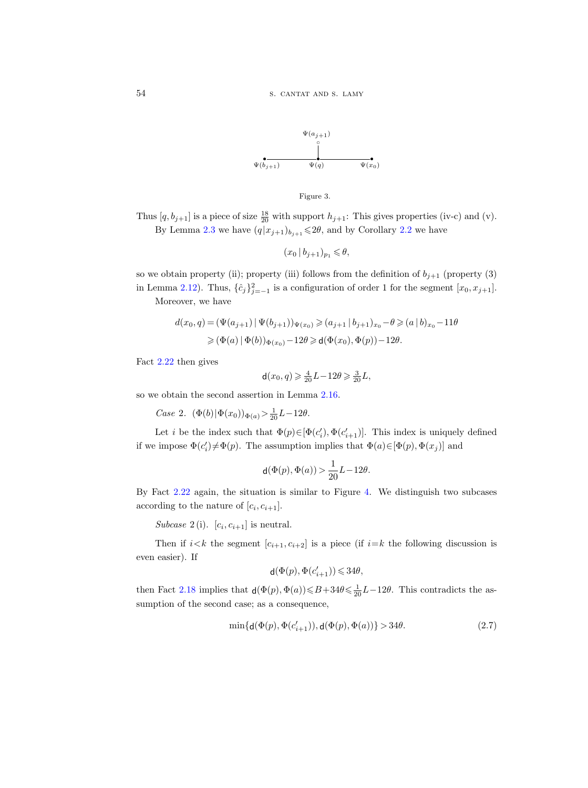

<span id="page-23-0"></span>

Thus  $[q, b_{j+1}]$  is a piece of size  $\frac{18}{20}$  with support  $h_{j+1}$ : This gives properties (iv-c) and (v). By Lemma [2.3](#page-8-0) we have  $(q|x_{j+1})_{b_{j+1}} \leq 2\theta$ , and by Corollary [2.2](#page-8-3) we have

$$
(x_0 \,|\, b_{j+1})_{p_1} \leqslant \theta,
$$

so we obtain property (ii); property (iii) follows from the definition of  $b_{j+1}$  (property (3) in Lemma [2.12\)](#page-14-1). Thus,  $\{\hat{c}_j\}_{j=-1}^2$  is a configuration of order 1 for the segment  $[x_0, x_{j+1}]$ .

Moreover, we have

$$
d(x_0, q) = (\Psi(a_{j+1}) | \Psi(b_{j+1}))_{\Psi(x_0)} \geq (a_{j+1} | b_{j+1})_{x_0} - \theta \geq (a | b)_{x_0} - 11\theta
$$
  
 
$$
\geq (\Phi(a) | \Phi(b))_{\Phi(x_0)} - 12\theta \geq d(\Phi(x_0), \Phi(p)) - 12\theta.
$$

Fact [2.22](#page-21-2) then gives

$$
\mathsf{d}(x_0, q) \geqslant \frac{4}{20}L - 12\theta \geqslant \frac{3}{20}L,
$$

so we obtain the second assertion in Lemma [2.16.](#page-19-0)

Case 2.  $(\Phi(b)|\Phi(x_0))_{\Phi(a)} > \frac{1}{20}L-12\theta$ .

Let *i* be the index such that  $\Phi(p) \in [\Phi(c'_i), \Phi(c'_{i+1})]$ . This index is uniquely defined if we impose  $\Phi(c_i') \neq \Phi(p)$ . The assumption implies that  $\Phi(a) \in [\Phi(p), \Phi(x_j)]$  and

$$
\mathrm{d}(\Phi(p),\Phi(a))\,{>}\,\frac{1}{20}L\!-\!12\theta.
$$

By Fact [2.22](#page-21-2) again, the situation is similar to Figure [4.](#page-24-0) We distinguish two subcases according to the nature of  $[c_i, c_{i+1}].$ 

Subcase 2(i).  $[c_i, c_{i+1}]$  is neutral.

Then if  $i < k$  the segment  $[c_{i+1}, c_{i+2}]$  is a piece (if  $i = k$  the following discussion is even easier). If

$$
\mathsf{d}(\Phi(p),\Phi(c_{i+1}'))\leqslant 34\theta,
$$

then Fact [2.18](#page-20-1) implies that  $d(\Phi(p), \Phi(a)) \leq B + 34\theta \leq \frac{1}{20}L - 12\theta$ . This contradicts the assumption of the second case; as a consequence,

<span id="page-23-1"></span>
$$
\min\{\mathsf{d}(\Phi(p), \Phi(c_{i+1}')), \mathsf{d}(\Phi(p), \Phi(a))\} > 34\theta. \tag{2.7}
$$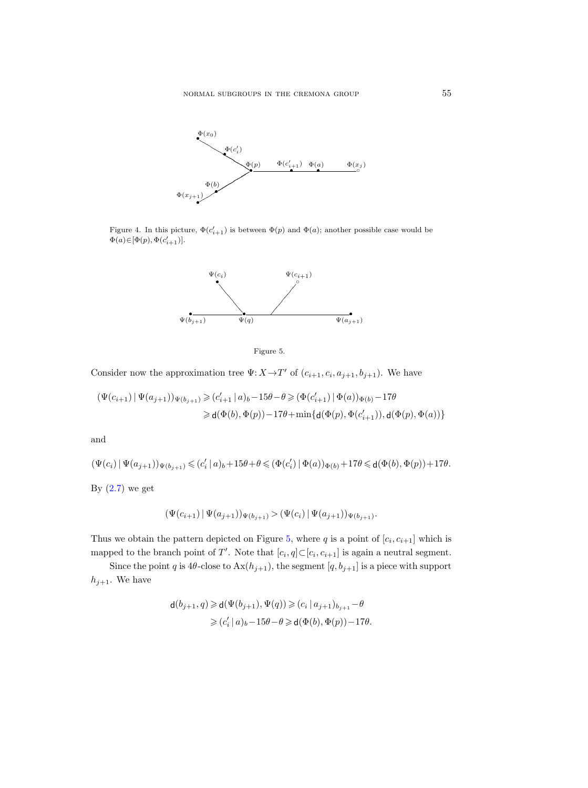

<span id="page-24-0"></span>Figure 4. In this picture,  $\Phi(c'_{i+1})$  is between  $\Phi(p)$  and  $\Phi(a)$ ; another possible case would be  $\Phi(a) \hspace{-0.3mm} \in \hspace{-0.3mm} [\Phi(p), \Phi(c_{i+1}')] .$ 



<span id="page-24-1"></span>

Consider now the approximation tree  $\Psi: X \to T'$  of  $(c_{i+1}, c_i, a_{j+1}, b_{j+1})$ . We have

$$
\begin{aligned} \left( \Psi(c_{i+1}) \,|\, \Psi(a_{j+1}) \right)_{\Psi(b_{j+1})} &\geqslant (c'_{i+1}\,|\, a)_b - 15\theta - \theta \geqslant (\Phi(c'_{i+1})\,|\, \Phi(a))_{\Phi(b)} - 17\theta \\ &\geqslant \mathsf{d}(\Phi(b),\Phi(p)) - 17\theta + \min\{\mathsf{d}(\Phi(p),\Phi(c'_{i+1})),\mathsf{d}(\Phi(p),\Phi(a))\} \end{aligned}
$$

and

$$
(\Psi(c_i)\ |\ \Psi(a_{j+1}))_{\Psi(b_{j+1})}\leqslant (c_i'\ |\ a)_b+15\theta+\theta\leqslant (\Phi(c_i')\ |\ \Phi(a))_{\Phi(b)}+17\theta\leqslant \mathsf d(\Phi(b),\Phi(p))+17\theta.
$$

By  $(2.7)$  we get

$$
(\Psi(c_{i+1}) | \Psi(a_{j+1}))_{\Psi(b_{j+1})} > (\Psi(c_i) | \Psi(a_{j+1}))_{\Psi(b_{j+1})}.
$$

Thus we obtain the pattern depicted on Figure [5,](#page-24-1) where q is a point of  $[c_i, c_{i+1}]$  which is mapped to the branch point of T'. Note that  $[c_i, q] \subset [c_i, c_{i+1}]$  is again a neutral segment.

Since the point q is  $4\theta$ -close to  $Ax(h_{j+1})$ , the segment  $[q, b_{j+1}]$  is a piece with support  $h_{j+1}$ . We have

$$
\begin{aligned} \mathsf{d}(b_{j+1},q) &\geqslant \mathsf{d}(\Psi(b_{j+1}),\Psi(q)) \geqslant (c_i\,|\,a_{j+1})_{b_{j+1}} - \theta \\ &\geqslant (c'_i\,|\,a)_b - 15\theta - \theta \geqslant \mathsf{d}(\Phi(b),\Phi(p)) - 17\theta. \end{aligned}
$$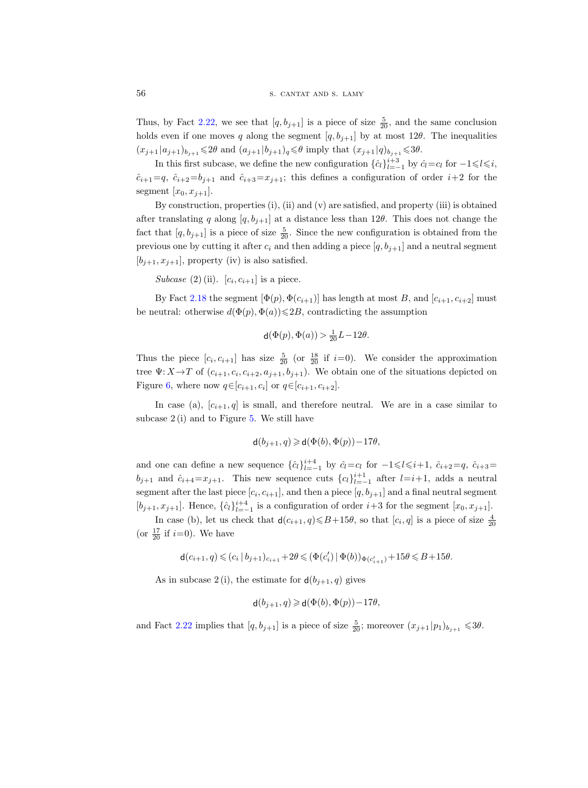Thus, by Fact [2.22,](#page-21-2) we see that  $[q, b_{j+1}]$  is a piece of size  $\frac{5}{20}$ , and the same conclusion holds even if one moves q along the segment  $[q, b_{j+1}]$  by at most 12 $\theta$ . The inequalities  $(x_{j+1} | a_{j+1})_{b_{j+1}} \leq 2\theta$  and  $(a_{j+1} | b_{j+1})_q \leq \theta$  imply that  $(x_{j+1} | q)_{b_{j+1}} \leq 3\theta$ .

In this first subcase, we define the new configuration  $\{\hat{c}_l\}_{l=-1}^{i+3}$  by  $\hat{c}_l = c_l$  for  $-1 \leq l \leq i$ ,  $\hat{c}_{i+1}=q$ ,  $\hat{c}_{i+2}=b_{j+1}$  and  $\hat{c}_{i+3}=x_{j+1}$ ; this defines a configuration of order  $i+2$  for the segment  $[x_0, x_{j+1}].$ 

By construction, properties (i), (ii) and (v) are satisfied, and property (iii) is obtained after translating q along  $[q, b_{i+1}]$  at a distance less than 12 $\theta$ . This does not change the fact that  $[q, b_{j+1}]$  is a piece of size  $\frac{5}{20}$ . Since the new configuration is obtained from the previous one by cutting it after  $c_i$  and then adding a piece  $[q, b_{j+1}]$  and a neutral segment  $[b_{i+1}, x_{i+1}]$ , property (iv) is also satisfied.

Subcase (2) (ii).  $[c_i, c_{i+1}]$  is a piece.

By Fact [2.18](#page-20-1) the segment  $[\Phi(p), \Phi(c_{i+1})]$  has length at most B, and  $[c_{i+1}, c_{i+2}]$  must be neutral: otherwise  $d(\Phi(p), \Phi(a)) \leq 2B$ , contradicting the assumption

$$
\mathsf{d}(\Phi(p), \Phi(a)) > \frac{1}{20}L - 12\theta.
$$

Thus the piece  $[c_i, c_{i+1}]$  has size  $\frac{5}{20}$  (or  $\frac{18}{20}$  if  $i=0$ ). We consider the approximation tree  $\Psi: X \to T$  of  $(c_{i+1}, c_i, c_{i+2}, a_{j+1}, b_{j+1})$ . We obtain one of the situations depicted on Figure [6,](#page-26-1) where now  $q \in [c_{i+1}, c_i]$  or  $q \in [c_{i+1}, c_{i+2}]$ .

In case (a),  $[c_{i+1}, q]$  is small, and therefore neutral. We are in a case similar to subcase 2 (i) and to Figure [5.](#page-24-1) We still have

$$
\mathsf{d}(b_{j+1},q) \geqslant \mathsf{d}(\Phi(b),\Phi(p)) - 17\theta,
$$

and one can define a new sequence  $\{\hat{c}_l\}_{l=-1}^{i+4}$  by  $\hat{c}_l=c_l$  for  $-1\leq l\leq i+1$ ,  $\hat{c}_{i+2}=q$ ,  $\hat{c}_{i+3}=$  $b_{j+1}$  and  $\hat{c}_{i+4} = x_{j+1}$ . This new sequence cuts  $\{c_l\}_{l=-1}^{i+1}$  after  $l=i+1$ , adds a neutral segment after the last piece  $[c_i, c_{i+1}]$ , and then a piece  $[q, b_{j+1}]$  and a final neutral segment  $[b_{j+1}, x_{j+1}]$ . Hence,  $\{\hat{c}_l\}_{l=-1}^{i+4}$  is a configuration of order  $i+3$  for the segment  $[x_0, x_{j+1}]$ .

In case (b), let us check that  $d(c_{i+1}, q) \leq B + 15\theta$ , so that  $[c_i, q]$  is a piece of size  $\frac{4}{20}$ (or  $\frac{17}{20}$  if  $i=0$ ). We have

 $\mathsf{d}(c_{i+1},q) \leqslant (c_i \,|\, b_{j+1})_{c_{i+1}} + 2\theta \leqslant (\Phi(c_i')\,|\, \Phi(b))_{\Phi(c_{i+1}')} + 15\theta \leqslant B + 15\theta.$ 

As in subcase 2 (i), the estimate for  $d(b_{i+1}, q)$  gives

$$
\mathsf{d}(b_{j+1},q) \geq \mathsf{d}(\Phi(b),\Phi(p)) - 17\theta,
$$

and Fact [2.22](#page-21-2) implies that  $[q, b_{j+1}]$  is a piece of size  $\frac{5}{20}$ ; moreover  $(x_{j+1}|p_1)_{b_{j+1}} \leq 3\theta$ .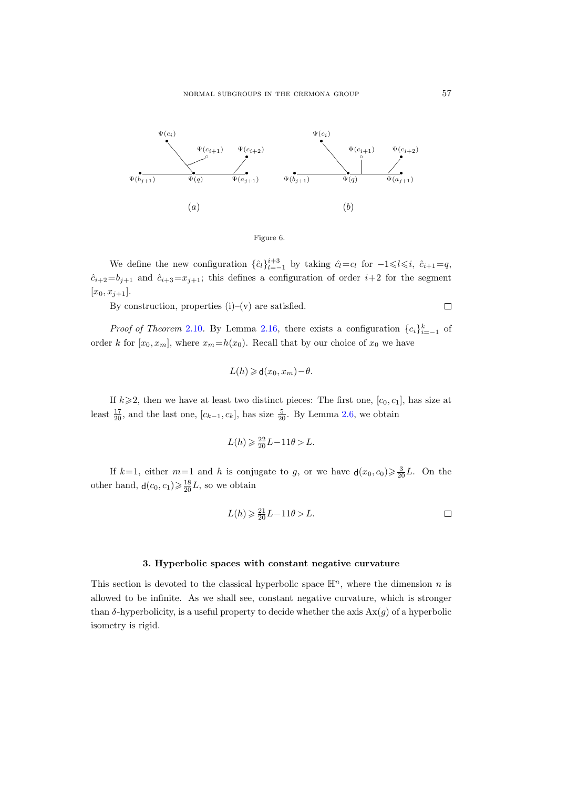

<span id="page-26-1"></span>

We define the new configuration  $\{\hat{c}_l\}_{l=-1}^{i+3}$  by taking  $\hat{c}_l=c_l$  for  $-1\leq l\leq i$ ,  $\hat{c}_{i+1}=q$ ,  $\hat{c}_{i+2}=b_{j+1}$  and  $\hat{c}_{i+3}=x_{j+1}$ ; this defines a configuration of order  $i+2$  for the segment  $[x_0, x_{j+1}].$ 

By construction, properties  $(i)$ – $(v)$  are satisfied.

*Proof of Theorem [2.10](#page-11-0).* By Lemma [2.16,](#page-19-0) there exists a configuration  $\{c_i\}_{i=-1}^k$  of order k for  $[x_0, x_m]$ , where  $x_m=h(x_0)$ . Recall that by our choice of  $x_0$  we have

$$
L(h) \geq \mathsf{d}(x_0, x_m) - \theta.
$$

If  $k \geq 2$ , then we have at least two distinct pieces: The first one,  $[c_0, c_1]$ , has size at least  $\frac{17}{20}$ , and the last one,  $[c_{k-1}, c_k]$ , has size  $\frac{5}{20}$ . By Lemma [2.6,](#page-9-0) we obtain

$$
L(h) \geqslant \frac{22}{20}L - 11\theta > L.
$$

If  $k=1$ , either  $m=1$  and h is conjugate to g, or we have  $d(x_0, c_0) \geq \frac{3}{20}L$ . On the other hand,  $\mathsf{d}(c_0, c_1) \geq \frac{18}{20}L$ , so we obtain

$$
L(h) \geqslant \frac{21}{20}L - 11\theta > L.
$$

#### 3. Hyperbolic spaces with constant negative curvature

<span id="page-26-0"></span>This section is devoted to the classical hyperbolic space  $\mathbb{H}^n$ , where the dimension n is allowed to be infinite. As we shall see, constant negative curvature, which is stronger than  $\delta$ -hyperbolicity, is a useful property to decide whether the axis  $\text{Ax}(g)$  of a hyperbolic isometry is rigid.

 $\Box$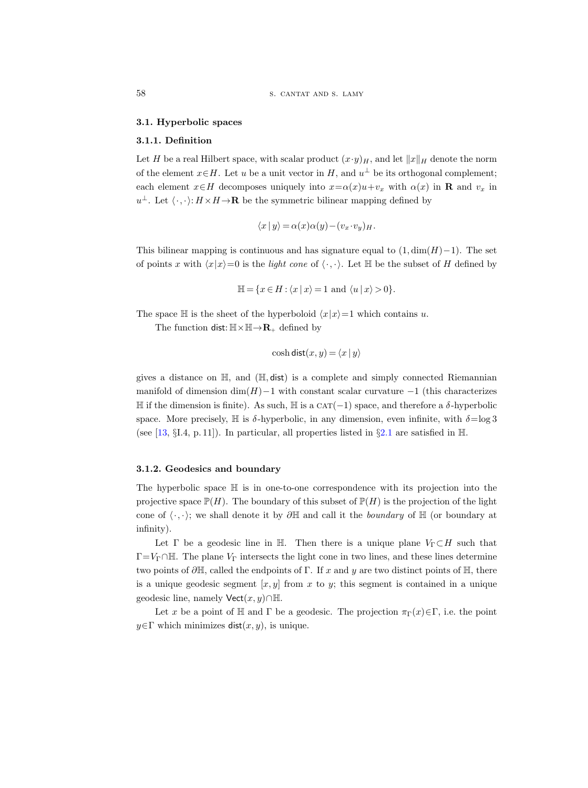#### <span id="page-27-0"></span>3.1. Hyperbolic spaces

#### 3.1.1. Definition

Let H be a real Hilbert space, with scalar product  $(x \cdot y)_H$ , and let  $||x||_H$  denote the norm of the element  $x \in H$ . Let u be a unit vector in H, and  $u^{\perp}$  be its orthogonal complement; each element  $x \in H$  decomposes uniquely into  $x = \alpha(x)u + v_x$  with  $\alpha(x)$  in **R** and  $v_x$  in  $u^{\perp}$ . Let  $\langle \cdot, \cdot \rangle: H \times H \rightarrow \mathbf{R}$  be the symmetric bilinear mapping defined by

$$
\langle x | y \rangle = \alpha(x)\alpha(y) - (v_x \cdot v_y)_H.
$$

This bilinear mapping is continuous and has signature equal to  $(1, \dim(H)-1)$ . The set of points x with  $\langle x|x\rangle=0$  is the *light cone* of  $\langle \cdot, \cdot \rangle$ . Let H be the subset of H defined by

$$
\mathbb{H} = \{ x \in H : \langle x | x \rangle = 1 \text{ and } \langle u | x \rangle > 0 \}.
$$

The space  $\mathbb H$  is the sheet of the hyperboloid  $\langle x|x\rangle=1$  which contains u.

The function dist:  $\mathbb{H} \times \mathbb{H} \to \mathbb{R}_+$  defined by

$$
\cosh \mathsf{dist}(x, y) = \langle x \mid y \rangle
$$

gives a distance on  $\mathbb{H}$ , and  $(\mathbb{H}, \text{dist})$  is a complete and simply connected Riemannian manifold of dimension  $\dim(H)-1$  with constant scalar curvature  $-1$  (this characterizes  $\mathbb H$  if the dimension is finite). As such,  $\mathbb H$  is a CAT(−1) space, and therefore a δ-hyperbolic space. More precisely,  $\mathbb H$  is  $\delta$ -hyperbolic, in any dimension, even infinite, with  $\delta = \log 3$ (see [\[13,](#page-61-5) §I.4, p. 11]). In particular, all properties listed in §[2.1](#page-6-1) are satisfied in  $H$ .

#### 3.1.2. Geodesics and boundary

The hyperbolic space H is in one-to-one correspondence with its projection into the projective space  $\mathbb{P}(H)$ . The boundary of this subset of  $\mathbb{P}(H)$  is the projection of the light cone of  $\langle \cdot, \cdot \rangle$ ; we shall denote it by ∂H and call it the *boundary* of H (or boundary at infinity).

Let  $\Gamma$  be a geodesic line in H. Then there is a unique plane  $V_{\Gamma} \subset H$  such that  $\Gamma = V_\Gamma \cap \mathbb{H}$ . The plane  $V_\Gamma$  intersects the light cone in two lines, and these lines determine two points of  $\partial \mathbb{H}$ , called the endpoints of Γ. If x and y are two distinct points of  $\mathbb{H}$ , there is a unique geodesic segment  $[x, y]$  from x to y; this segment is contained in a unique geodesic line, namely  $\mathsf{Vect}(x, y) \cap \mathbb{H}$ .

Let x be a point of H and Γ be a geodesic. The projection  $\pi_{\Gamma}(x) \in \Gamma$ , i.e. the point  $y \in \Gamma$  which minimizes dist $(x, y)$ , is unique.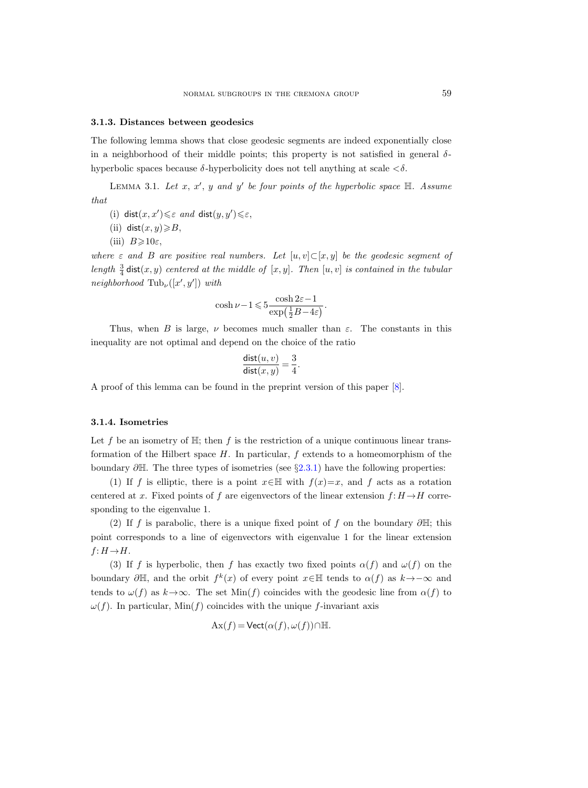#### 3.1.3. Distances between geodesics

The following lemma shows that close geodesic segments are indeed exponentially close in a neighborhood of their middle points; this property is not satisfied in general  $\delta$ hyperbolic spaces because  $\delta$ -hyperbolicity does not tell anything at scale  $\langle \delta \rangle$ .

<span id="page-28-0"></span>LEMMA 3.1. Let  $x, x', y$  and  $y'$  be four points of the hyperbolic space  $\mathbb{H}$ . Assume that

- (i) dist $(x, x') \leq \varepsilon$  and dist $(y, y') \leq \varepsilon$ ,
- (ii) dist $(x, y) \ge B$ ,
- (iii)  $B \geqslant 10\varepsilon$ ,

where  $\varepsilon$  and B are positive real numbers. Let  $[u, v] \subset [x, y]$  be the geodesic segment of length  $\frac{3}{4}$  dist $(x, y)$  centered at the middle of  $[x, y]$ . Then  $[u, v]$  is contained in the tubular neighborhood  $\text{Tub}_{\nu}([x', y'])$  with

$$
\cosh \nu -1 \leqslant 5 \frac{\cosh 2\varepsilon -1}{\exp \left( \frac{1}{2} B - 4 \varepsilon \right)}.
$$

Thus, when B is large,  $\nu$  becomes much smaller than  $\varepsilon$ . The constants in this inequality are not optimal and depend on the choice of the ratio

$$
\frac{\text{dist}(u, v)}{\text{dist}(x, y)} = \frac{3}{4}.
$$

A proof of this lemma can be found in the preprint version of this paper [\[8\]](#page-61-6).

#### <span id="page-28-1"></span>3.1.4. Isometries

Let f be an isometry of  $\mathbb{H}$ ; then f is the restriction of a unique continuous linear transformation of the Hilbert space  $H$ . In particular,  $f$  extends to a homeomorphism of the boundary  $\partial \mathbb{H}$ . The three types of isometries (see §[2.3.1\)](#page-9-1) have the following properties:

(1) If f is elliptic, there is a point  $x \in \mathbb{H}$  with  $f(x)=x$ , and f acts as a rotation centered at x. Fixed points of f are eigenvectors of the linear extension  $f: H \to H$  corresponding to the eigenvalue 1.

(2) If f is parabolic, there is a unique fixed point of f on the boundary  $\partial \mathbb{H}$ ; this point corresponds to a line of eigenvectors with eigenvalue 1 for the linear extension  $f: H \rightarrow H$ .

(3) If f is hyperbolic, then f has exactly two fixed points  $\alpha(f)$  and  $\omega(f)$  on the boundary  $\partial \mathbb{H}$ , and the orbit  $f^k(x)$  of every point  $x \in \mathbb{H}$  tends to  $\alpha(f)$  as  $k \to -\infty$  and tends to  $\omega(f)$  as  $k \rightarrow \infty$ . The set Min(f) coincides with the geodesic line from  $\alpha(f)$  to  $\omega(f)$ . In particular, Min(f) coincides with the unique f-invariant axis

$$
Ax(f) = Vect(\alpha(f), \omega(f)) \cap \mathbb{H}.
$$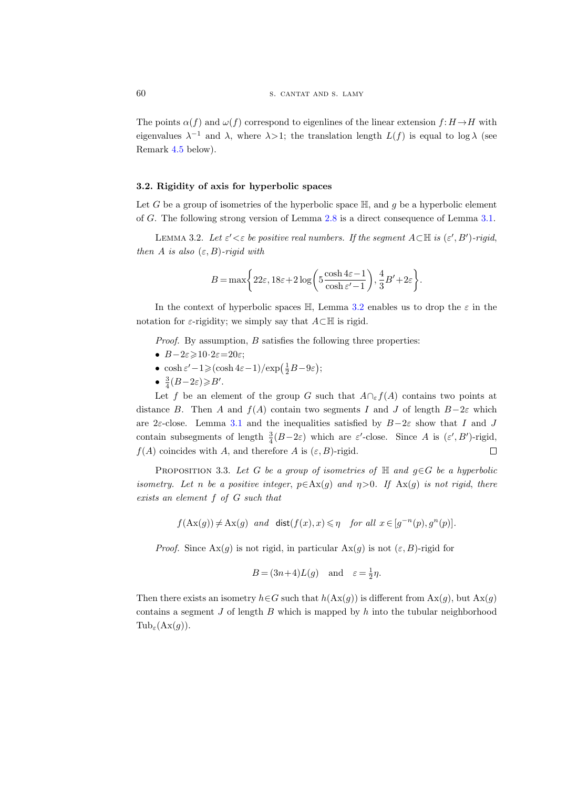The points  $\alpha(f)$  and  $\omega(f)$  correspond to eigenlines of the linear extension  $f: H \to H$  with eigenvalues  $\lambda^{-1}$  and  $\lambda$ , where  $\lambda > 1$ ; the translation length  $L(f)$  is equal to log  $\lambda$  (see Remark [4.5](#page-36-0) below).

#### 3.2. Rigidity of axis for hyperbolic spaces

Let G be a group of isometries of the hyperbolic space  $\mathbb{H}$ , and g be a hyperbolic element of G. The following strong version of Lemma [2.8](#page-10-0) is a direct consequence of Lemma [3.1.](#page-28-0)

<span id="page-29-0"></span>LEMMA 3.2. Let  $\varepsilon' < \varepsilon$  be positive real numbers. If the segment  $A \subset \mathbb{H}$  is  $(\varepsilon', B')$ -rigid, then A is also  $(\varepsilon, B)$ -rigid with

$$
B = \max\biggl\{22\varepsilon, 18\varepsilon + 2\log\biggl(5\frac{\cosh4\varepsilon - 1}{\cosh\varepsilon' - 1}\biggr), \frac{4}{3}B' + 2\varepsilon\biggr\}.
$$

In the context of hyperbolic spaces  $\mathbb{H}$ , Lemma [3.2](#page-29-0) enables us to drop the  $\varepsilon$  in the notation for  $\varepsilon$ -rigidity; we simply say that  $A\subset \mathbb{H}$  is rigid.

Proof. By assumption, B satisfies the following three properties:

- $B-2\varepsilon \geqslant 10 \cdot 2\varepsilon = 20\varepsilon$ ;
- $\cosh \varepsilon' 1 \geqslant (\cosh 4\varepsilon 1) / \exp \left( \frac{1}{2} B 9\varepsilon \right);$
- $\frac{3}{4}(B-2\varepsilon) \geqslant B'$ .

Let f be an element of the group G such that  $A \cap_{\varepsilon} f(A)$  contains two points at distance B. Then A and  $f(A)$  contain two segments I and J of length B-2 $\varepsilon$  which are 2ε-close. Lemma [3.1](#page-28-0) and the inequalities satisfied by  $B-2\varepsilon$  show that I and J contain subsegments of length  $\frac{3}{4}(B-2\varepsilon)$  which are  $\varepsilon'$ -close. Since A is  $(\varepsilon', B')$ -rigid,  $f(A)$  coincides with A, and therefore A is  $(\varepsilon, B)$ -rigid.  $\Box$ 

<span id="page-29-1"></span>PROPOSITION 3.3. Let G be a group of isometries of  $\mathbb H$  and  $g \in G$  be a hyperbolic isometry. Let n be a positive integer,  $p \in Ax(g)$  and  $\eta > 0$ . If  $Ax(g)$  is not rigid, there exists an element f of G such that

 $f(\text{Ax}(g)) \neq \text{Ax}(g)$  and  $\text{dist}(f(x), x) \leq \eta$  for all  $x \in [g^{-n}(p), g^{n}(p)]$ .

*Proof.* Since  $\text{Ax}(g)$  is not rigid, in particular  $\text{Ax}(g)$  is not  $(\varepsilon, B)$ -rigid for

$$
B = (3n+4)L(g) \quad \text{and} \quad \varepsilon = \frac{1}{2}\eta.
$$

Then there exists an isometry  $h \in G$  such that  $h(\text{Ax}(g))$  is different from  $\text{Ax}(g)$ , but  $\text{Ax}(g)$ contains a segment  $J$  of length  $B$  which is mapped by  $h$  into the tubular neighborhood  $\text{Tub}_{\varepsilon}(\text{Ax}(g)).$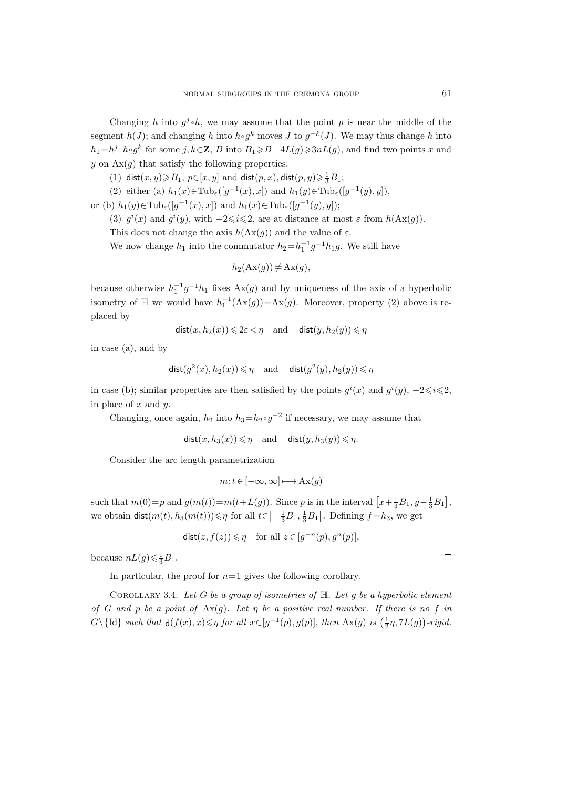Changing h into  $g^j \circ h$ , we may assume that the point p is near the middle of the segment  $h(J)$ ; and changing h into  $h \circ g^k$  moves J to  $g^{-k}(J)$ . We may thus change h into  $h_1=h^j\circ h\circ g^k$  for some  $j, k\in\mathbb{Z}$ , B into  $B_1\geq B-4L(g)\geq 3nL(g)$ , and find two points x and y on  $\text{Ax}(g)$  that satisfy the following properties:

(1) dist $(x, y) \ge B_1$ ,  $p \in [x, y]$  and dist $(p, x)$ , dist $(p, y) \ge \frac{1}{3}B_1$ ;

(2) either (a)  $h_1(x) \in \text{Tub}_{\varepsilon}([g^{-1}(x), x])$  and  $h_1(y) \in \text{Tub}_{\varepsilon}([g^{-1}(y), y]),$ 

or (b)  $h_1(y) \in \text{Tub}_{\varepsilon}([g^{-1}(x), x])$  and  $h_1(x) \in \text{Tub}_{\varepsilon}([g^{-1}(y), y])$ ;

(3)  $g^{i}(x)$  and  $g^{i}(y)$ , with  $-2 \leq i \leq 2$ , are at distance at most  $\varepsilon$  from  $h(\text{Ax}(g))$ .

This does not change the axis  $h(\text{Ax}(q))$  and the value of  $\varepsilon$ .

We now change  $h_1$  into the commutator  $h_2=h_1^{-1}g^{-1}h_1g$ . We still have

$$
h_2(\mathrm{Ax}(g)) \neq \mathrm{Ax}(g),
$$

because otherwise  $h_1^{-1}g^{-1}h_1$  fixes  $Ax(g)$  and by uniqueness of the axis of a hyperbolic isometry of  $\mathbb{H}$  we would have  $h_1^{-1}(\text{Ax}(g)) = \text{Ax}(g)$ . Moreover, property (2) above is replaced by

$$
\textsf{dist}(x, h_2(x)) \leqslant 2\varepsilon < \eta \quad \text{and} \quad \textsf{dist}(y, h_2(y)) \leqslant \eta
$$

in case (a), and by

$$
\text{dist}(g^2(x), h_2(x)) \leqslant \eta \quad \text{and} \quad \text{dist}(g^2(y), h_2(y)) \leqslant \eta
$$

in case (b); similar properties are then satisfied by the points  $g^{i}(x)$  and  $g^{i}(y)$ ,  $-2 \leq i \leq 2$ , in place of  $x$  and  $y$ .

Changing, once again,  $h_2$  into  $h_3=h_2 \circ g^{-2}$  if necessary, we may assume that

$$
\text{dist}(x, h_3(x)) \leqslant \eta \quad \text{and} \quad \text{dist}(y, h_3(y)) \leqslant \eta.
$$

Consider the arc length parametrization

$$
m: t \in [-\infty, \infty] \longmapsto \mathbf{Ax}(g)
$$

such that  $m(0)=p$  and  $g(m(t))=m(t+L(g))$ . Since p is in the interval  $\left[x+\frac{1}{3}B_1, y-\frac{1}{3}B_1\right]$ , we obtain  $\textsf{dist}(m(t), h_3(m(t))) \le \eta$  for all  $t \in \left[-\frac{1}{3}B_1, \frac{1}{3}B_1\right]$ . Defining  $f = h_3$ , we get

$$
dist(z, f(z)) \leqslant \eta \quad \text{for all } z \in [g^{-n}(p), g^{n}(p)],
$$

because  $nL(g) \leq \frac{1}{3}B_1$ .

In particular, the proof for  $n=1$  gives the following corollary.

<span id="page-30-0"></span>COROLLARY 3.4. Let G be a group of isometries of  $\mathbb H$ . Let g be a hyperbolic element of G and p be a point of  $\text{Ax}(q)$ . Let  $\eta$  be a positive real number. If there is no f in  $G\setminus\{\mathrm{Id}\}\text{ such that }d(f(x),x)\leqslant\eta\text{ for all }x\in[g^{-1}(p),g(p)],\text{ then }\mathrm{Ax}(g)\text{ is }(\frac{1}{2}\eta,7L(g))\text{-rigid}.$ 

 $\Box$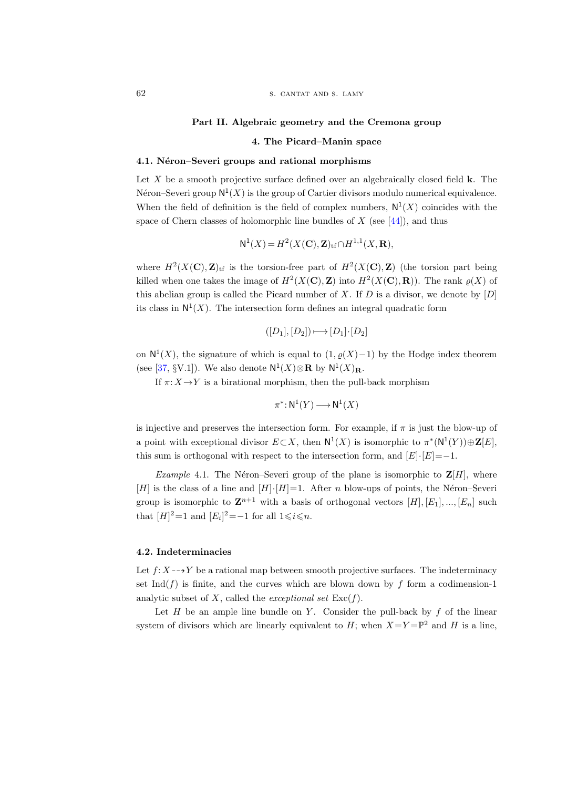#### Part II. Algebraic geometry and the Cremona group

#### 4. The Picard–Manin space

#### <span id="page-31-0"></span>4.1. Néron–Severi groups and rational morphisms

Let  $X$  be a smooth projective surface defined over an algebraically closed field  $k$ . The Néron–Severi group  $\mathsf{N}^1(X)$  is the group of Cartier divisors modulo numerical equivalence. When the field of definition is the field of complex numbers,  $N^1(X)$  coincides with the space of Chern classes of holomorphic line bundles of  $X$  (see [\[44\]](#page-63-8)), and thus

$$
\mathsf{N}^1(X) = H^2(X(\mathbf{C}), \mathbf{Z})_{\mathrm{tf}} \cap H^{1,1}(X, \mathbf{R}),
$$

where  $H^2(X(\mathbf{C}), \mathbf{Z})_{\text{tf}}$  is the torsion-free part of  $H^2(X(\mathbf{C}), \mathbf{Z})$  (the torsion part being killed when one takes the image of  $H^2(X(\mathbf{C}), \mathbf{Z})$  into  $H^2(X(\mathbf{C}), \mathbf{R})$ ). The rank  $\varrho(X)$  of this abelian group is called the Picard number of X. If  $D$  is a divisor, we denote by  $[D]$ its class in  $N^1(X)$ . The intersection form defines an integral quadratic form

$$
([D_1], [D_2]) \longmapsto [D_1] \cdot [D_2]
$$

on  $\mathsf{N}^1(X)$ , the signature of which is equal to  $(1, \varrho(X)-1)$  by the Hodge index theorem (see [\[37,](#page-62-8) §V.1]). We also denote  $\mathsf{N}^1(X)\otimes \mathbf{R}$  by  $\mathsf{N}^1(X)_{\mathbf{R}}$ .

If  $\pi: X \to Y$  is a birational morphism, then the pull-back morphism

$$
\pi^* \colon \mathsf{N}^1(Y) \longrightarrow \mathsf{N}^1(X)
$$

is injective and preserves the intersection form. For example, if  $\pi$  is just the blow-up of a point with exceptional divisor  $E \subset X$ , then  $N^1(X)$  is isomorphic to  $\pi^*(N^1(Y)) \oplus \mathbf{Z}[E]$ , this sum is orthogonal with respect to the intersection form, and  $[E]\cdot[E]=-1$ .

*Example* 4.1. The Néron–Severi group of the plane is isomorphic to  $\mathbf{Z}[H]$ , where [H] is the class of a line and  $[H] \cdot [H] = 1$ . After n blow-ups of points, the Néron–Severi group is isomorphic to  $\mathbf{Z}^{n+1}$  with a basis of orthogonal vectors  $[H], [E_1], ..., [E_n]$  such that  $[H]^2=1$  and  $[E_i]^2=-1$  for all  $1 \leq i \leq n$ .

#### 4.2. Indeterminacies

Let  $f: X \rightarrow Y$  be a rational map between smooth projective surfaces. The indeterminacy set Ind( $f$ ) is finite, and the curves which are blown down by  $f$  form a codimension-1 analytic subset of X, called the exceptional set  $\text{Exc}(f)$ .

Let  $H$  be an ample line bundle on  $Y$ . Consider the pull-back by  $f$  of the linear system of divisors which are linearly equivalent to  $H$ ; when  $X = Y = \mathbb{P}^2$  and H is a line,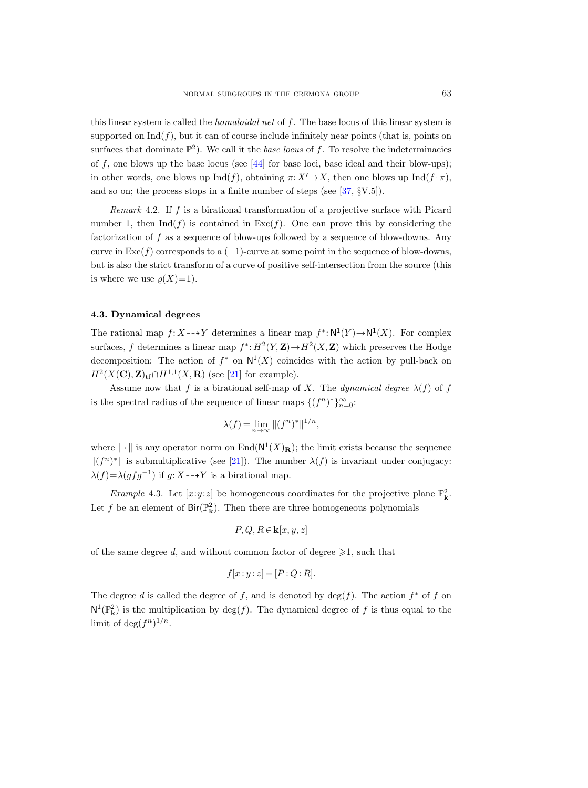this linear system is called the *homaloidal net* of  $f$ . The base locus of this linear system is supported on  $\text{Ind}(f)$ , but it can of course include infinitely near points (that is, points on surfaces that dominate  $\mathbb{P}^2$ ). We call it the *base locus* of f. To resolve the indeterminacies of f, one blows up the base locus (see  $[44]$  for base loci, base ideal and their blow-ups); in other words, one blows up  $\text{Ind}(f)$ , obtaining  $\pi: X' \to X$ , then one blows up  $\text{Ind}(f \circ \pi)$ , and so on; the process stops in a finite number of steps (see [\[37,](#page-62-8) §V.5]).

<span id="page-32-0"></span>Remark 4.2. If f is a birational transformation of a projective surface with Picard number 1, then  $\text{Ind}(f)$  is contained in  $\text{Exc}(f)$ . One can prove this by considering the factorization of  $f$  as a sequence of blow-ups followed by a sequence of blow-downs. Any curve in  $\text{Exc}(f)$  corresponds to a (-1)-curve at some point in the sequence of blow-downs, but is also the strict transform of a curve of positive self-intersection from the source (this is where we use  $\rho(X)=1$ .

#### 4.3. Dynamical degrees

The rational map  $f: X \dashrightarrow Y$  determines a linear map  $f^* : \mathsf{N}^1(Y) \to \mathsf{N}^1(X)$ . For complex surfaces, f determines a linear map  $f^*: H^2(Y, \mathbf{Z}) \to H^2(X, \mathbf{Z})$  which preserves the Hodge decomposition: The action of  $f^*$  on  $N^1(X)$  coincides with the action by pull-back on  $H^2(X(\mathbf{C}), \mathbf{Z})_{\mathrm{tf}} \cap H^{1,1}(X,\mathbf{R})$  (see [\[21\]](#page-62-9) for example).

Assume now that f is a birational self-map of X. The dynamical degree  $\lambda(f)$  of f is the spectral radius of the sequence of linear maps  $\{(f^n)^*\}_{n=0}^{\infty}$ .

$$
\lambda(f) = \lim_{n \to \infty} \|(f^n)^*\|^{1/n},
$$

where  $\|\cdot\|$  is any operator norm on End $(N^1(X)_R)$ ; the limit exists because the sequence  $\|(f^n)^*\|$  is submultiplicative (see [\[21\]](#page-62-9)). The number  $\lambda(f)$  is invariant under conjugacy:  $\lambda(f) = \lambda(gfg^{-1})$  if  $g: X \rightarrow Y$  is a birational map.

*Example* 4.3. Let  $[x:y:z]$  be homogeneous coordinates for the projective plane  $\mathbb{P}^2_{\mathbf{k}}$ . Let f be an element of  $\text{Bir}(\mathbb{P}^2_{\mathbf{k}})$ . Then there are three homogeneous polynomials

$$
P, Q, R \in \mathbf{k}[x, y, z]
$$

of the same degree d, and without common factor of degree  $\geq 1$ , such that

$$
f[x:y:z] = [P:Q:R].
$$

The degree d is called the degree of f, and is denoted by  $\deg(f)$ . The action  $f^*$  of f on  $N^1(\mathbb{P}^2_{\mathbf{k}})$  is the multiplication by  $\deg(f)$ . The dynamical degree of f is thus equal to the limit of  $\deg(f^n)^{1/n}$ .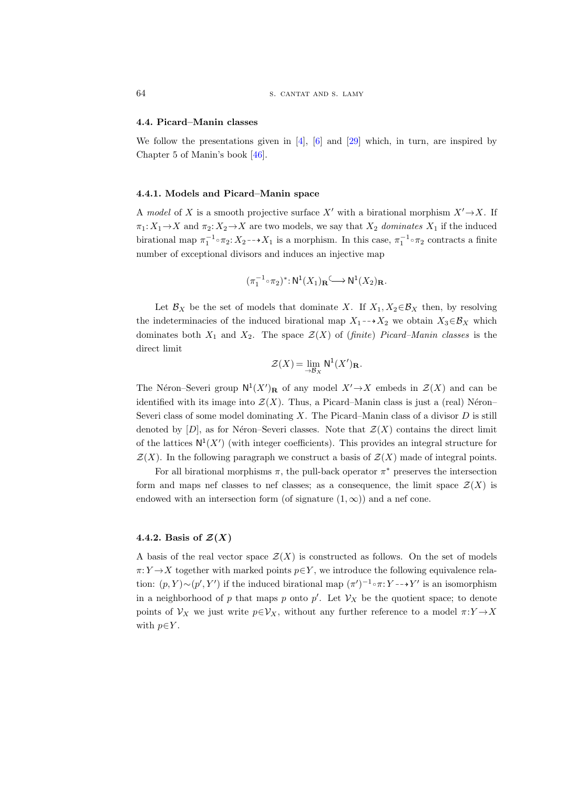#### 4.4. Picard–Manin classes

We follow the presentations given in  $\vert 4 \vert$ ,  $\vert 6 \vert$  and  $\vert 29 \vert$  which, in turn, are inspired by Chapter 5 of Manin's book [\[46\]](#page-63-9).

#### 4.4.1. Models and Picard–Manin space

A model of X is a smooth projective surface X' with a birational morphism  $X' \rightarrow X$ . If  $\pi_1: X_1 \to X$  and  $\pi_2: X_2 \to X$  are two models, we say that  $X_2$  dominates  $X_1$  if the induced birational map  $\pi_1^{-1} \circ \pi_2$ :  $X_2 \to X_1$  is a morphism. In this case,  $\pi_1^{-1} \circ \pi_2$  contracts a finite number of exceptional divisors and induces an injective map

$$
(\pi_1^{-1}\mathop{\raisebox{+.3ex}{\hbox{$\scriptstyle\circ$}}} \pi_2)^*\colon {\rm N}^1(X_1)_{\mathbf R}\mathop{\raisebox{+.3ex}{\hbox{$\scriptstyle\circ$}}} \mathbf N^1(X_2)_{\mathbf R}.
$$

Let  $\mathcal{B}_X$  be the set of models that dominate X. If  $X_1, X_2 \in \mathcal{B}_X$  then, by resolving the indeterminacies of the induced birational map  $X_1 \rightarrow X_2$  we obtain  $X_3 \in \mathcal{B}_X$  which dominates both  $X_1$  and  $X_2$ . The space  $\mathcal{Z}(X)$  of (finite) Picard–Manin classes is the direct limit

$$
\mathcal{Z}(X) = \lim_{\to \mathcal{B}_X} \mathsf{N}^1(X')_{\mathbf{R}}.
$$

The Néron–Severi group  $N^1(X')$ **R** of any model  $X' \to X$  embeds in  $\mathcal{Z}(X)$  and can be identified with its image into  $\mathcal{Z}(X)$ . Thus, a Picard–Manin class is just a (real) Néron– Severi class of some model dominating  $X$ . The Picard–Manin class of a divisor  $D$  is still denoted by  $[D]$ , as for Néron–Severi classes. Note that  $\mathcal{Z}(X)$  contains the direct limit of the lattices  $N^1(X')$  (with integer coefficients). This provides an integral structure for  $\mathcal{Z}(X)$ . In the following paragraph we construct a basis of  $\mathcal{Z}(X)$  made of integral points.

For all birational morphisms  $\pi$ , the pull-back operator  $\pi^*$  preserves the intersection form and maps nef classes to nef classes; as a consequence, the limit space  $\mathcal{Z}(X)$  is endowed with an intersection form (of signature  $(1, \infty)$ ) and a nef cone.

#### 4.4.2. Basis of  $\mathcal{Z}(X)$

A basis of the real vector space  $\mathcal{Z}(X)$  is constructed as follows. On the set of models  $\pi: Y \to X$  together with marked points  $p \in Y$ , we introduce the following equivalence relation:  $(p, Y) \sim (p', Y')$  if the induced birational map  $(\pi')^{-1} \circ \pi : Y \dashrightarrow Y'$  is an isomorphism in a neighborhood of p that maps p onto p'. Let  $\mathcal{V}_X$  be the quotient space; to denote points of  $\mathcal{V}_X$  we just write  $p \in \mathcal{V}_X$ , without any further reference to a model  $\pi: Y \to X$ with  $p\!\in\!Y.$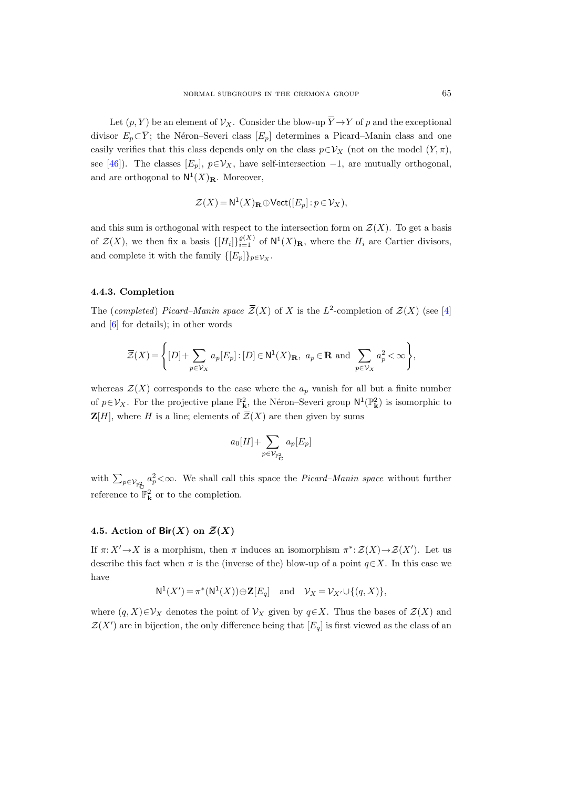Let  $(p, Y)$  be an element of  $\mathcal{V}_X$ . Consider the blow-up  $\overline{Y} \to Y$  of p and the exceptional divisor  $E_p \subset \overline{Y}$ ; the Néron–Severi class  $[E_p]$  determines a Picard–Manin class and one easily verifies that this class depends only on the class  $p \in \mathcal{V}_X$  (not on the model  $(Y, \pi)$ , see [\[46\]](#page-63-9)). The classes  $[E_p]$ ,  $p \in V_X$ , have self-intersection  $-1$ , are mutually orthogonal, and are orthogonal to  $\mathsf{N}^1(X)_\mathbf{R}$ . Moreover,

$$
\mathcal{Z}(X) = \mathsf{N}^1(X)_{\mathbf{R}} \oplus \mathsf{Vect}([E_p] : p \in \mathcal{V}_X),
$$

and this sum is orthogonal with respect to the intersection form on  $\mathcal{Z}(X)$ . To get a basis of  $\mathcal{Z}(X)$ , we then fix a basis  $\{[H_i]\}_{i=1}^{\varrho(X)}$  of  $\mathsf{N}^1(X)_{\mathbf{R}}$ , where the  $H_i$  are Cartier divisors, and complete it with the family  $\{[E_p]\}_{p\in \mathcal{V}_X}$ .

#### 4.4.3. Completion

The (completed) Picard–Manin space  $\overline{\mathcal{Z}}(X)$  of X is the L<sup>2</sup>-completion of  $\mathcal{Z}(X)$  (see [\[4\]](#page-61-10) and [\[6\]](#page-61-11) for details); in other words

$$
\overline{\mathcal{Z}}(X) = \left\{ [D] + \sum_{p \in \mathcal{V}_X} a_p [E_p] : [D] \in \mathsf{N}^1(X)_{\mathbf{R}}, a_p \in \mathbf{R} \text{ and } \sum_{p \in \mathcal{V}_X} a_p^2 < \infty \right\},\
$$

whereas  $\mathcal{Z}(X)$  corresponds to the case where the  $a_p$  vanish for all but a finite number of  $p \in V_X$ . For the projective plane  $\mathbb{P}^2_{\mathbf{k}}$ , the Néron–Severi group  $\mathsf{N}^1(\mathbb{P}^2_{\mathbf{k}})$  is isomorphic to  $\mathbf{Z}[H]$ , where H is a line; elements of  $\overline{\mathcal{Z}}(X)$  are then given by sums

$$
a_0[H] + \sum_{p \in \mathcal{V}_{\mathbb{P}^2_{\mathbf{C}}}} a_p[E_p]
$$

with  $\sum_{p \in \mathcal{V}_{\mathbb{P}^2_{\mathbf{C}}} a_p^2 < \infty$ . We shall call this space the *Picard–Manin space* without further reference to  $\mathbb{P}^2_{\mathbf{k}}$  or to the completion.  $\mathbf{Z}[H]$ , where  $H$  is a line; element<br>with  $\sum_{p \in \mathcal{V}_{\mathbb{P}^2_{\mathbf{C}}} a_p^2 < \infty$ . We shall<br>reference to  $\mathbb{P}^2_{\mathbf{k}}$  or to the compl<br>4.5. Action of Bir(X) on  $\overline{\mathcal{Z}}$ 

### <span id="page-34-0"></span>4.5. Action of Bir(X) on  $\overline{Z}(X)$

If  $\pi: X' \to X$  is a morphism, then  $\pi$  induces an isomorphism  $\pi^*: \mathcal{Z}(X) \to \mathcal{Z}(X')$ . Let us describe this fact when  $\pi$  is the (inverse of the) blow-up of a point  $q \in X$ . In this case we have

$$
\mathsf{N}^1(X') = \pi^*(\mathsf{N}^1(X)) \oplus \mathbf{Z}[E_q] \quad \text{and} \quad \mathcal{V}_X = \mathcal{V}_{X'} \cup \{(q, X)\},
$$

where  $(q, X) \in V_X$  denotes the point of  $V_X$  given by  $q \in X$ . Thus the bases of  $\mathcal{Z}(X)$  and  $\mathcal{Z}(X')$  are in bijection, the only difference being that  $[E_q]$  is first viewed as the class of an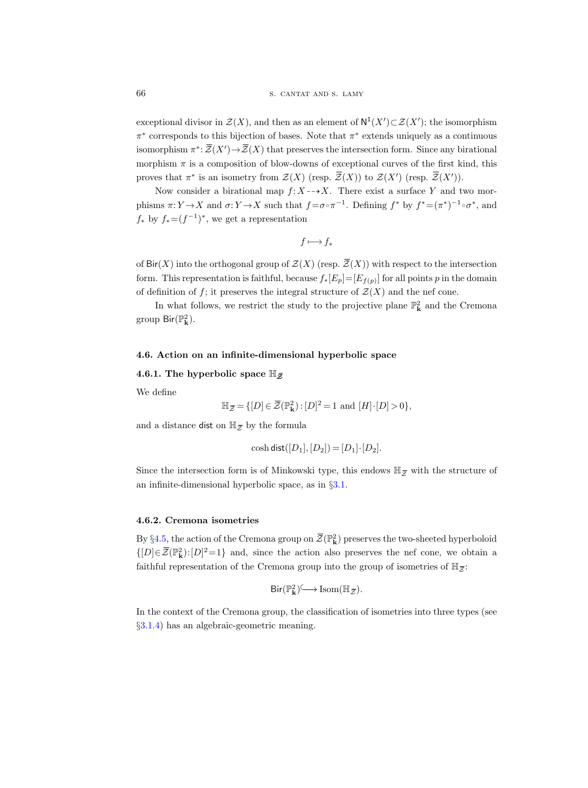exceptional divisor in  $\mathcal{Z}(X)$ , and then as an element of  $N^1(X')\subset \mathcal{Z}(X')$ ; the isomorphism  $\pi^*$  corresponds to this bijection of bases. Note that  $\pi^*$  extends uniquely as a continuous isomorphism  $\pi^* \colon \overline{\mathcal{Z}}(X') \to \overline{\mathcal{Z}}(X)$  that preserves the intersection form. Since any birational morphism  $\pi$  is a composition of blow-downs of exceptional curves of the first kind, this proves that  $\pi^*$  is an isometry from  $\mathcal{Z}(X)$  (resp.  $\overline{\mathcal{Z}}(X)$ ) to  $\mathcal{Z}(X')$  (resp.  $\overline{\mathcal{Z}}(X')$ ).

Now consider a birational map  $f: X \dashrightarrow X$ . There exist a surface Y and two morphisms  $\pi: Y \to X$  and  $\sigma: Y \to X$  such that  $f = \sigma \circ \pi^{-1}$ . Defining  $f^*$  by  $f^* = (\pi^*)^{-1} \circ \sigma^*$ , and  $f_*$  by  $f_*=(f^{-1})^*$ , we get a representation

$$
f\longmapsto f_*
$$

of  $\textsf{Bir}(X)$  into the orthogonal group of  $\mathcal{Z}(X)$  (resp.  $\overline{\mathcal{Z}}(X)$ ) with respect to the intersection form. This representation is faithful, because  $f_*[E_p]=[E_{f(p)}]$  for all points p in the domain of definition of f; it preserves the integral structure of  $\mathcal{Z}(X)$  and the nef cone.

In what follows, we restrict the study to the projective plane  $\mathbb{P}^2_{\mathbf{k}}$  and the Cremona group  $\mathsf{Bir}(\mathbb{P}^2_{\mathbf{k}})$ .

# 4.6. Action on an infinite-dimensional hyperbolic space 4.6. Action on an infinite-dimen<br>4.6.1. The hyperbolic space  $\mathbb{H}_{\bar{Z}}$

We define

infinite-dimensional hyperbolic space  
olic space 
$$
\mathbb{H}_{\bar{Z}}
$$
  

$$
\mathbb{H}_{\bar{Z}} = \{ [D] \in \bar{Z}(\mathbb{P}_{\mathbf{k}}^2) : [D]^2 = 1 \text{ and } [H] \cdot [D] > 0 \},
$$

4.6. Action on an imite<br>4.6.1. The hyperbolic s<br>We define  $\mathbb{H}_{\bar{Z}} =$ <br>and a distance dist on  $\mathbb{H}_{\bar{Z}}$ and a distance dist on  $\mathbb{H}_{\overline{z}}$  by the formula

$$
\cosh \mathsf{dist}([D_1],[D_2]) = [D_1] \cdot [D_2].
$$

 $\mathbb{H}_{\overline{\mathcal{Z}}} = \{ [D] \in \overline{\mathcal{Z}}(\mathbb{P}_{\mathbf{k}}^2) : [D]^2 = 1 \text{ and } [H] \cdot [D] > 0 \},$ <br>and a distance dist on  $\mathbb{H}_{\overline{\mathcal{Z}}}$  by the formula<br>cosh dist $([D_1], [D_2]) = [D_1] \cdot [D_2].$ <br>Since the intersection form is of Minkowski type, this an infinite-dimensional hyperbolic space, as in §[3.1.](#page-27-0)

#### <span id="page-35-0"></span>4.6.2. Cremona isometries

By §[4.5,](#page-34-0) the action of the Cremona group on  $\overline{\mathcal{Z}}(\mathbb{P}^2_{\mathbf{k}})$  preserves the two-sheeted hyperboloid  ${[D] \in \bar{Z}(\mathbb{P}_{\mathbf{k}}^2): [D]^2=1}$  and, since the action also preserves the nef cone, we obtain a **4.6.2. Cremona isometries**<br>By §4.5, the action of the Cremona group on  $\overline{Z}(\mathbb{P}_{\mathbf{k}}^2)$  preserves the two-sheeted hype  $\{[D] \in \overline{Z}(\mathbb{P}_{\mathbf{k}}^2): [D]^2 = 1\}$  and, since the action also preserves the nef cone, we c<br> faithful representation of the Cremona group into the group of isometries of  $\mathbb{H}_{\bar{Z}}$ .  $\overline{\mathcal{Z}}(\mathbb{P}_{\mathbf{k}}^2)$  pre<br>n also pre<br>p into the<br>· Isom( $\mathbb{H}_{\overline{\mathcal{Z}}}$ 

Bir(P 2 k ) ).

In the context of the Cremona group, the classification of isometries into three types (see §[3.1.4\)](#page-28-1) has an algebraic-geometric meaning.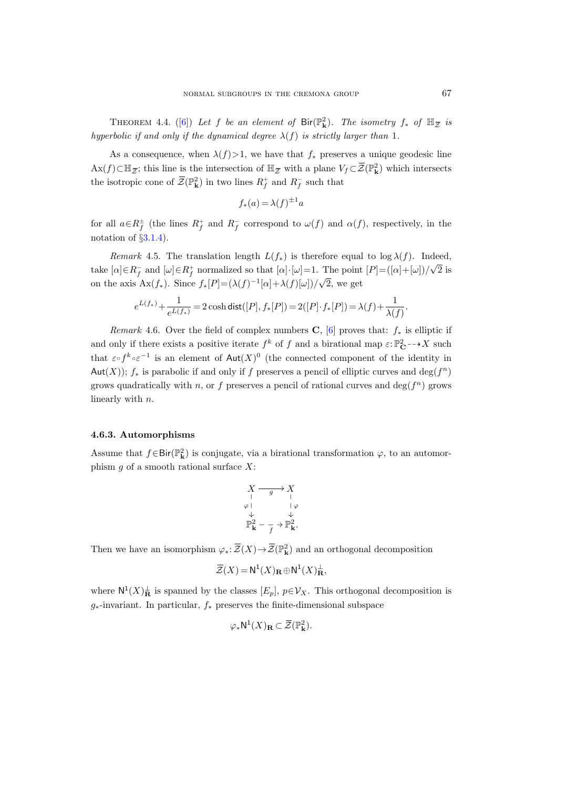NORMALSUBGROUPS IN THE CREMONA GROUP  $67$ <br>THEOREM 4.4. ([\[6\]](#page-61-11)) Let f be an element of  $\text{Bir}(\mathbb{P}^2_{\mathbf{k}})$ . The isometry  $f_*$  of  $\mathbb{H}_{\overline{Z}}$  is hyperbolic if and only if the dynamical degree  $\lambda(f)$  is strictly larger than 1.

As a consequence, when  $\lambda(f) > 1$ , we have that  $f_*$  preserves a unique geodesic line THEOREM 4.4. ([6]) Let  $f$  be an element of  $\text{Bir}(\mathbb{P}_{\mathbf{k}}^2)$ . The isometry  $f_*$  of  $\mathbb{H}_{\overline{Z}}$  is hyperbolic if and only if the dynamical degree  $\lambda(f)$  is strictly larger than 1.<br>As a consequence, when  $\lambda(f) > 1$ , EEM 4.4. ([6]) Let f be an element<br>f and only if the dynamical degree .<br>onsequence, when  $\lambda(f) > 1$ , we have<br>; this line is the intersection of  $\mathbb{H}_{\mathbb{Z}}$ the isotropic cone of  $\overline{\mathcal{Z}}(\mathbb{P}_{\mathbf{k}}^2)$  in two lines  $R_f^+$  and  $R_f^-$  such that

$$
f_*(a) = \lambda(f)^{\pm 1}a
$$

for all  $a \in R_f^{\pm}$  (the lines  $R_f^+$  and  $R_f^-$  correspond to  $\omega(f)$  and  $\alpha(f)$ , respectively, in the notation of  $\S 3.1.4$ .

<span id="page-36-0"></span>Remark 4.5. The translation length  $L(f_*)$  is therefore equal to log  $\lambda(f)$ . Indeed, take  $[\alpha] \in R_f^+$  and  $[\omega] \in R_f^+$  normalized so that  $[\alpha] \cdot [\omega] = 1$ . The point  $[P] = ([\alpha] + [\omega])/$ √ 2 is on the axis  $\text{Ax}(f_*)$ . Since  $f_*[P] = (\lambda(f)^{-1}[\alpha] + \lambda(f)[\omega])/$ √ 2, we get

$$
e^{L(f_*)} + \frac{1}{e^{L(f_*)}} = 2 \cosh \text{dist}([P], f_*[P]) = 2([P] \cdot f_*[P]) = \lambda(f) + \frac{1}{\lambda(f)}.
$$

Remark 4.6. Over the field of complex numbers C, [\[6\]](#page-61-11) proves that:  $f_*$  is elliptic if and only if there exists a positive iterate  $f^k$  of f and a birational map  $\varepsilon: \mathbb{P}^2_{\mathbf{C}} \dashrightarrow X$  such that  $\varepsilon \circ f^k \circ \varepsilon^{-1}$  is an element of  $\text{Aut}(X)^0$  (the connected component of the identity in Aut(X));  $f_*$  is parabolic if and only if f preserves a pencil of elliptic curves and  $\deg(f^n)$ grows quadratically with n, or f preserves a pencil of rational curves and  $\deg(f^n)$  grows linearly with n.

#### <span id="page-36-1"></span>4.6.3. Automorphisms

Assume that  $f \in Bir(\mathbb{P}^2_{\mathbf{k}})$  is conjugate, via a birational transformation  $\varphi$ , to an automorphism  $g$  of a smooth rational surface  $X$ :

$$
\begin{array}{ccc}\nX & \xrightarrow{\text{}} & X \\
\downarrow^{\text{}} & & \downarrow^{\text{}} \\
\varphi & & \downarrow^{\text{}} \\
\mathbb{P}_{\mathbf{k}}^{2} & \xrightarrow{\text{}} & \mathbb{P}_{\mathbf{k}}^{2}.\n\end{array}
$$

Then we have an isomorphism  $\varphi_* \colon \overline{\mathcal{Z}}(X) \to \overline{\mathcal{Z}}(\mathbb{P}^2_{\mathbf{k}})$  and an orthogonal decomposition

$$
\overline{\mathcal{Z}}(X) = \mathsf{N}^1(X)_{\mathbf{R}} \oplus \mathsf{N}^1(X)_{\mathbf{R}}^{\perp},
$$

where  $\mathsf{N}^1(X)^{\perp}_{\mathbf{R}}$  is spanned by the classes  $[E_p]$ ,  $p \in \mathcal{V}_X$ . This orthogonal decomposition is  $g_*$ -invariant. In particular,  $f_*$  preserves the finite-dimensional subspace

$$
\varphi_* \mathsf{N}^1(X)_{\mathbf{R}} \subset \overline{\mathcal{Z}}(\mathbb{P}_{\mathbf{k}}^2).
$$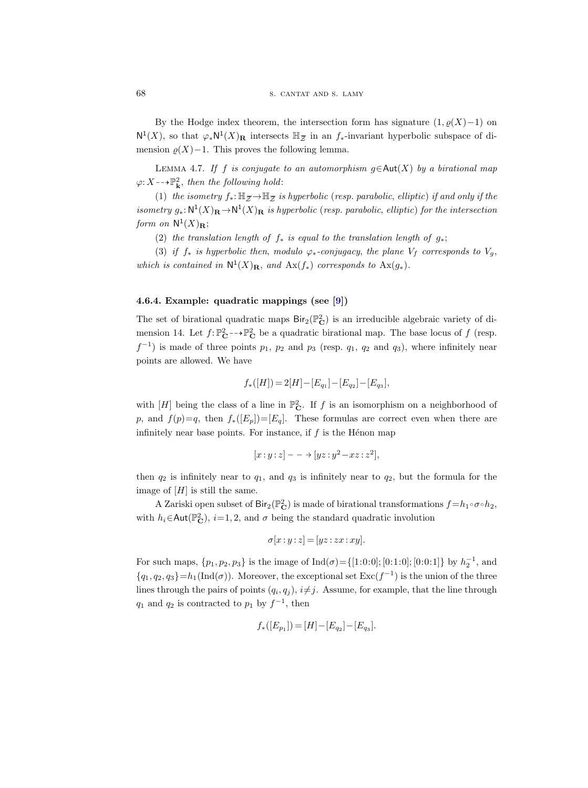By the Hodge index theorem, the intersection form has signature  $(1, \varrho(X)-1)$  on 68 S S S CANTAT AND S. LAMY<br>
By the Hodge index theorem, the intersection form has signature  $(1, \varrho(X)-1)$  on<br>
N<sup>1</sup>(X), so that  $\varphi_* N^1(X)_R$  intersects  $\mathbb{H}_{\overline{Z}}$  in an f<sub>∗</sub>-invariant hyperbolic subspace of di-<br>
mens mension  $\rho(X)-1$ . This proves the following lemma.

<span id="page-37-0"></span>LEMMA 4.7. If f is conjugate to an automorphism  $g \in \text{Aut}(X)$  by a birational map  $\varphi: X \dashrightarrow \mathbb{P}^2_{\mathbf{k}}, \text{ then the following hold:}$ 

(1) the isometry  $f_*: \mathbb{H}_{\overline{z}} \to \mathbb{H}_{\overline{z}}$  is hyperbolic (resp. parabolic, elliptic) if and only if the isometry  $g_*: \mathbb{N}^1(X)_{\mathbf{R}} \to \mathbb{N}^1(X)_{\mathbf{R}}$  is hyperbolic (resp. parabolic, elliptic) for the intersection form on  $\mathsf{N}^1(X)_\mathbf{R}$ ;

(2) the translation length of  $f_*$  is equal to the translation length of  $g_*$ ;

(3) if  $f_*$  is hyperbolic then, modulo  $\varphi_*$ -conjugacy, the plane  $V_f$  corresponds to  $V_g$ , which is contained in  $\mathsf{N}^1(X)_\mathbf{R}$ , and  $\mathrm{Ax}(f_*)$  corresponds to  $\mathrm{Ax}(g_*)$ .

#### 4.6.4. Example: quadratic mappings (see [\[9\]](#page-61-3))

The set of birational quadratic maps  $\text{Bir}_2(\mathbb{P}_\mathbf{C}^2)$  is an irreducible algebraic variety of dimension 14. Let  $f: \mathbb{P}_{\mathbf{C}}^2 \to \mathbb{P}_{\mathbf{C}}^2$  be a quadratic birational map. The base locus of f (resp.  $f^{-1}$ ) is made of three points  $p_1$ ,  $p_2$  and  $p_3$  (resp.  $q_1$ ,  $q_2$  and  $q_3$ ), where infinitely near points are allowed. We have

$$
f_*([H])=2[H]-[E_{q_1}]-[E_{q_2}]-[E_{q_3}],\\
$$

with  $[H]$  being the class of a line in  $\mathbb{P}^2_{\mathbf{C}}$ . If f is an isomorphism on a neighborhood of p, and  $f(p)=q$ , then  $f_*(E_p)=[E_q]$ . These formulas are correct even when there are infinitely near base points. For instance, if  $f$  is the Hénon map

$$
[x:y:z] - \rightarrow [yz:y^2-xz:z^2],
$$

then  $q_2$  is infinitely near to  $q_1$ , and  $q_3$  is infinitely near to  $q_2$ , but the formula for the image of  $[H]$  is still the same.

A Zariski open subset of  $\text{Bir}_2(\mathbb{P}_{\mathbf{C}}^2)$  is made of birational transformations  $f = h_1 \circ \sigma \circ h_2$ , with  $h_i \in \text{Aut}(\mathbb{P}_{\mathbf{C}}^2)$ ,  $i=1,2$ , and  $\sigma$  being the standard quadratic involution

$$
\sigma[x:y:z] = [yz:zx:xy].
$$

For such maps,  $\{p_1, p_2, p_3\}$  is the image of  $\text{Ind}(\sigma) = \{[1:0:0]; [0:1:0]; [0:0:1]\}$  by  $h_2^{-1}$ , and  ${q_1, q_2, q_3} = h_1(\text{Ind}(\sigma))$ . Moreover, the exceptional set  $\text{Exc}(f^{-1})$  is the union of the three lines through the pairs of points  $(q_i, q_j)$ ,  $i \neq j$ . Assume, for example, that the line through  $q_1$  and  $q_2$  is contracted to  $p_1$  by  $f^{-1}$ , then

$$
f_*([E_{p_1}]) = [H] - [E_{q_2}] - [E_{q_3}].
$$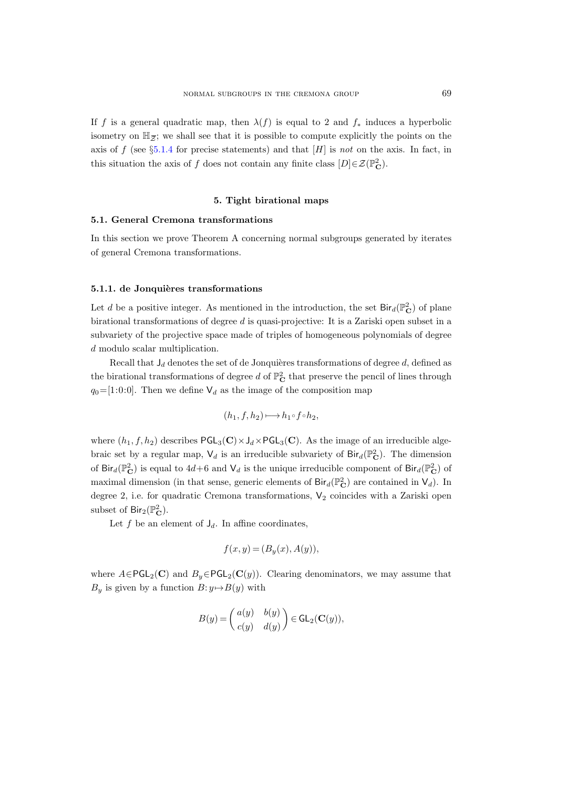If f is a general quadratic map, then  $\lambda(f)$  is equal to 2 and  $f_*$  induces a hyperbolic If  $f$  is a genera<br>isometry on  $\mathbb{H}_{\overline{Z}}$ isometry on  $\mathbb{H}_{\overline{z}}$ ; we shall see that it is possible to compute explicitly the points on the axis of f (see  $\S 5.1.4$  $\S 5.1.4$  for precise statements) and that  $[H]$  is not on the axis. In fact, in this situation the axis of f does not contain any finite class  $[D] \in \mathcal{Z}(\mathbb{P}_{\mathbf{C}}^2)$ .

### 5. Tight birational maps

#### <span id="page-38-1"></span><span id="page-38-0"></span>5.1. General Cremona transformations

In this section we prove Theorem A concerning normal subgroups generated by iterates of general Cremona transformations.

#### 5.1.1. de Jonquières transformations

Let d be a positive integer. As mentioned in the introduction, the set  $\text{Bir}_d(\mathbb{P}_{\mathbf{C}}^2)$  of plane birational transformations of degree d is quasi-projective: It is a Zariski open subset in a subvariety of the projective space made of triples of homogeneous polynomials of degree d modulo scalar multiplication.

Recall that  $J_d$  denotes the set of de Jonquières transformations of degree d, defined as the birational transformations of degree d of  $\mathbb{P}_{\mathbf{C}}^2$  that preserve the pencil of lines through  $q_0=[1:0:0]$ . Then we define  $\mathsf{V}_d$  as the image of the composition map

$$
(h_1, f, h_2) \longmapsto h_1 \circ f \circ h_2,
$$

where  $(h_1, f, h_2)$  describes  $PGL_3(\mathbf{C}) \times J_d \times PGL_3(\mathbf{C})$ . As the image of an irreducible algebraic set by a regular map,  $V_d$  is an irreducible subvariety of  $\text{Bir}_d(\mathbb{P}_{\mathbf{C}}^2)$ . The dimension of Bir $_d(\mathbb{P}_{\mathbf{C}}^2)$  is equal to  $4d+6$  and  $\mathsf{V}_d$  is the unique irreducible component of Bir $_d(\mathbb{P}_{\mathbf{C}}^2)$  of maximal dimension (in that sense, generic elements of  $\text{Bir}_d(\mathbb{P}_\mathbf{C}^2)$  are contained in  $\mathsf{V}_d$ ). In degree 2, i.e. for quadratic Cremona transformations,  $V_2$  coincides with a Zariski open subset of  $\text{Bir}_2(\mathbb{P}_{\mathbf{C}}^2)$ .

Let f be an element of  $J_d$ . In affine coordinates,

$$
f(x, y) = (B_y(x), A(y)),
$$

where  $A \in \text{PGL}_2(\mathbf{C})$  and  $B_y \in \text{PGL}_2(\mathbf{C}(y))$ . Clearing denominators, we may assume that  $B_y$  is given by a function  $B: y \mapsto B(y)$  with

$$
B(y) = \begin{pmatrix} a(y) & b(y) \\ c(y) & d(y) \end{pmatrix} \in \mathsf{GL}_2(\mathbf{C}(y)),
$$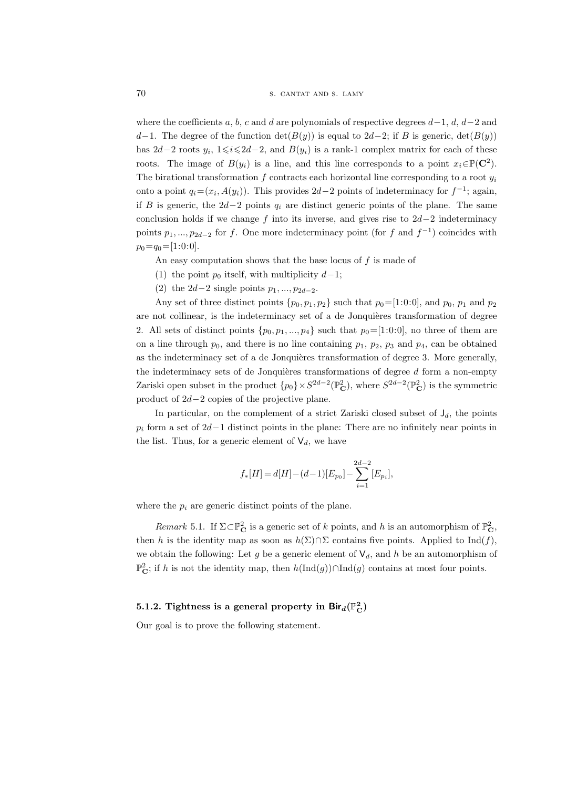where the coefficients a, b, c and d are polynomials of respective degrees  $d-1$ ,  $d, d-2$  and d−1. The degree of the function det( $B(y)$ ) is equal to 2d−2; if B is generic, det( $B(y)$ ) has  $2d-2$  roots  $y_i$ ,  $1 \leq i \leq 2d-2$ , and  $B(y_i)$  is a rank-1 complex matrix for each of these roots. The image of  $B(y_i)$  is a line, and this line corresponds to a point  $x_i \in \mathbb{P}(\mathbb{C}^2)$ . The birational transformation  $f$  contracts each horizontal line corresponding to a root  $y_i$ onto a point  $q_i = (x_i, A(y_i))$ . This provides 2d-2 points of indeterminacy for  $f^{-1}$ ; again, if B is generic, the  $2d-2$  points  $q_i$  are distinct generic points of the plane. The same conclusion holds if we change f into its inverse, and gives rise to  $2d-2$  indeterminacy points  $p_1, ..., p_{2d-2}$  for f. One more indeterminacy point (for f and  $f^{-1}$ ) coincides with  $p_0=q_0=[1:0:0]$ .

An easy computation shows that the base locus of  $f$  is made of

- (1) the point  $p_0$  itself, with multiplicity  $d-1$ ;
- (2) the  $2d-2$  single points  $p_1, ..., p_{2d-2}$ .

Any set of three distinct points  $\{p_0, p_1, p_2\}$  such that  $p_0=[1:0:0]$ , and  $p_0$ ,  $p_1$  and  $p_2$ are not collinear, is the indeterminacy set of a de Jonquières transformation of degree 2. All sets of distinct points  $\{p_0, p_1, ..., p_4\}$  such that  $p_0=[1:0:0]$ , no three of them are on a line through  $p_0$ , and there is no line containing  $p_1$ ,  $p_2$ ,  $p_3$  and  $p_4$ , can be obtained as the indeterminacy set of a de Jonquières transformation of degree 3. More generally, the indeterminacy sets of de Jonquières transformations of degree  $d$  form a non-empty Zariski open subset in the product  $\{p_0\} \times S^{2d-2}(\mathbb{P}_{\mathbf{C}}^2)$ , where  $S^{2d-2}(\mathbb{P}_{\mathbf{C}}^2)$  is the symmetric product of 2d−2 copies of the projective plane.

In particular, on the complement of a strict Zariski closed subset of  $J_d$ , the points  $p_i$  form a set of 2d−1 distinct points in the plane: There are no infinitely near points in the list. Thus, for a generic element of  $V_d$ , we have

$$
f_*[H]=d[H] - (d-1)[E_{p_0}] - \sum_{i=1}^{2d-2} [E_{p_i}],
$$

where the  $p_i$  are generic distinct points of the plane.

<span id="page-39-1"></span>Remark 5.1. If  $\Sigma \subset \mathbb{P}_{\mathbf{C}}^2$  is a generic set of k points, and h is an automorphism of  $\mathbb{P}_{\mathbf{C}}^2$ , then h is the identity map as soon as  $h(\Sigma) \cap \Sigma$  contains five points. Applied to  $\text{Ind}(f)$ , we obtain the following: Let g be a generic element of  $V_d$ , and h be an automorphism of  $\mathbb{P}^2_{\mathbf{C}}$ ; if h is not the identity map, then  $h(\text{Ind}(g)) \cap \text{Ind}(g)$  contains at most four points.

## 5.1.2. Tightness is a general property in  ${\sf Bir}_d(\mathbb{P}^2_{\bf C})$

<span id="page-39-0"></span>Our goal is to prove the following statement.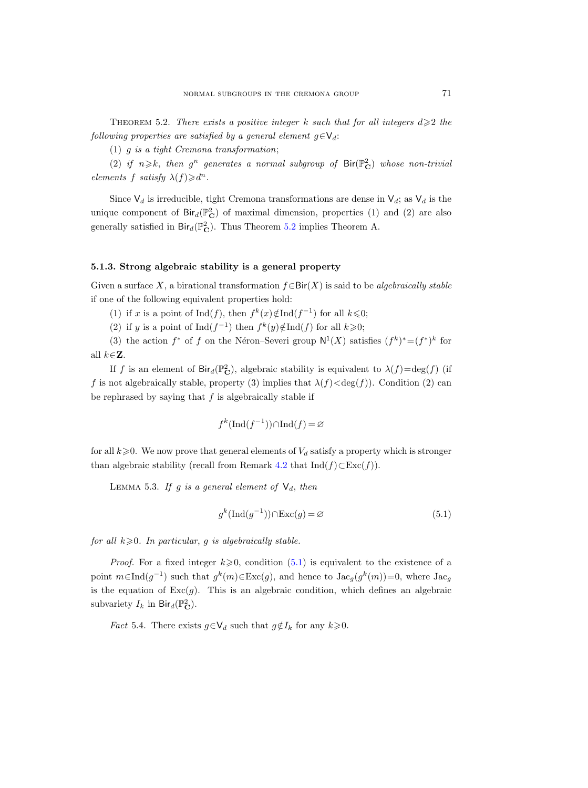THEOREM 5.2. There exists a positive integer k such that for all integers  $d \geqslant 2$  the following properties are satisfied by a general element  $g \in V_d$ :

(1) g is a tight Cremona transformation;

(2) if  $n \geq k$ , then  $g^n$  generates a normal subgroup of  $\text{Bir}(\mathbb{P}_\mathbf{C}^2)$  whose non-trivial elements f satisfy  $\lambda(f) \geq d^n$ .

Since  $\mathsf{V}_d$  is irreducible, tight Cremona transformations are dense in  $\mathsf{V}_d$ ; as  $\mathsf{V}_d$  is the unique component of  $\text{Bir}_d(\mathbb{P}_\mathbf{C}^2)$  of maximal dimension, properties (1) and (2) are also generally satisfied in  $\text{Bir}_d(\mathbb{P}_\mathbf{C}^2)$ . Thus Theorem [5.2](#page-39-0) implies Theorem A.

#### 5.1.3. Strong algebraic stability is a general property

Given a surface X, a birational transformation  $f \in Bir(X)$  is said to be *algebraically stable* if one of the following equivalent properties hold:

- (1) if x is a point of  $\text{Ind}(f)$ , then  $f^k(x) \notin \text{Ind}(f^{-1})$  for all  $k \leq 0$ ;
- (2) if y is a point of  $\text{Ind}(f^{-1})$  then  $f^k(y) \notin \text{Ind}(f)$  for all  $k \geqslant 0$ ;

(3) the action  $f^*$  of f on the Néron–Severi group  $N^1(X)$  satisfies  $(f^k)^*=(f^*)^k$  for all  $k \in \mathbb{Z}$ .

If f is an element of  $\text{Bir}_d(\mathbb{P}_{\mathbf{C}}^2)$ , algebraic stability is equivalent to  $\lambda(f) = \deg(f)$  (if f is not algebraically stable, property (3) implies that  $\lambda(f) < deg(f)$ ). Condition (2) can be rephrased by saying that  $f$  is algebraically stable if

$$
f^k(\text{Ind}(f^{-1})) \cap \text{Ind}(f) = \varnothing
$$

for all  $k\geqslant 0$ . We now prove that general elements of  $V_d$  satisfy a property which is stronger than algebraic stability (recall from Remark [4.2](#page-32-0) that  $Ind(f) \subset Exc(f)$ ).

<span id="page-40-2"></span>LEMMA 5.3. If g is a general element of  $\mathsf{V}_d$ , then

<span id="page-40-0"></span>
$$
g^k(\text{Ind}(g^{-1})) \cap \text{Exc}(g) = \varnothing \tag{5.1}
$$

for all  $k \geqslant 0$ . In particular, g is algebraically stable.

*Proof.* For a fixed integer  $k \geqslant 0$ , condition [\(5.1\)](#page-40-0) is equivalent to the existence of a point  $m \in \text{Ind}(g^{-1})$  such that  $g^k(m) \in \text{Exc}(g)$ , and hence to  $\text{Jac}_g(g^k(m))=0$ , where  $\text{Jac}_g$ is the equation of  $Exc(g)$ . This is an algebraic condition, which defines an algebraic subvariety  $I_k$  in  $\text{Bir}_d(\mathbb{P}_\mathbf{C}^2)$ .

<span id="page-40-1"></span>*Fact* 5.4. There exists  $g \in V_d$  such that  $g \notin I_k$  for any  $k \geq 0$ .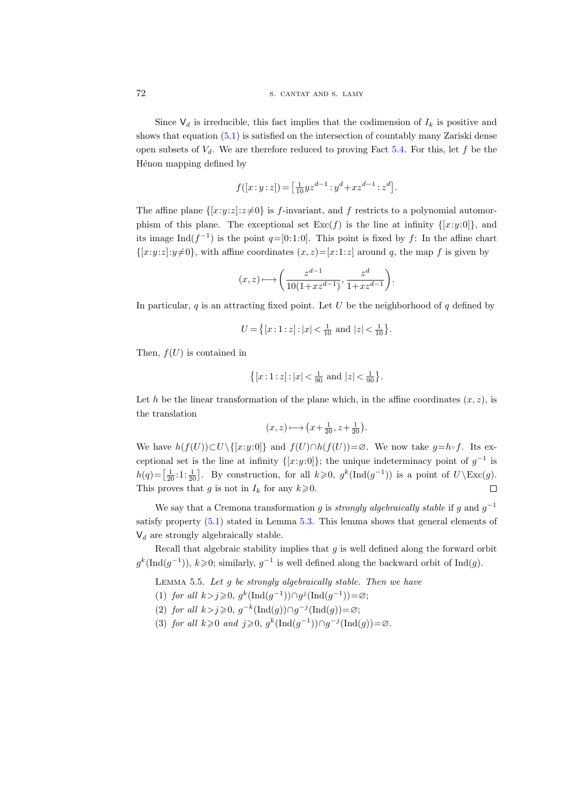Since  $\mathsf{V}_d$  is irreducible, this fact implies that the codimension of  $I_k$  is positive and shows that equation [\(5.1\)](#page-40-0) is satisfied on the intersection of countably many Zariski dense open subsets of  $V_d$ . We are therefore reduced to proving Fact [5.4.](#page-40-1) For this, let f be the Hénon mapping defined by

$$
f([x:y:z]) = \left[\frac{1}{10}yz^{d-1} : y^d + xz^{d-1} : z^d\right].
$$

The affine plane  $\{[x:y:z]:z\neq 0\}$  is f-invariant, and f restricts to a polynomial automorphism of this plane. The exceptional set  $\text{Exc}(f)$  is the line at infinity  $\{[x:y:0]\}$ , and its image  $\text{Ind}(f^{-1})$  is the point  $q=[0:1:0]$ . This point is fixed by f: In the affine chart  $\{[x:y:z]:y\neq 0\}$ , with affine coordinates  $(x, z)=[x:1:z]$  around q, the map f is given by

$$
(x,z)\longmapsto \bigg(\frac{z^{d-1}}{10(1+xz^{d-1})},\frac{z^d}{1+xz^{d-1}}\bigg).
$$

In particular,  $q$  is an attracting fixed point. Let U be the neighborhood of  $q$  defined by

$$
U = \left\{ [x:1:z] : |x| < \frac{1}{10} \text{ and } |z| < \frac{1}{10} \right\}.
$$

Then,  $f(U)$  is contained in

$$
\big\{[x\mathbin{:}1\mathbin{:}z]\mathbin{:}|x|<\tfrac{1}{90} \text{ and } |z|<\tfrac{1}{90}\big\}.
$$

Let h be the linear transformation of the plane which, in the affine coordinates  $(x, z)$ , is the translation

$$
(x, z) \longmapsto \left(x + \frac{1}{20}, z + \frac{1}{20}\right).
$$

We have  $h(f(U))\subset U\setminus\{[x:y:0]\}$  and  $f(U)\cap h(f(U))=\varnothing$ . We now take  $g=h\circ f$ . Its exceptional set is the line at infinity  $\{[x:y:0]\}$ ; the unique indeterminacy point of  $g^{-1}$  is  $h(q) = \left[\frac{1}{20} \cdot 1 \cdot \frac{1}{20}\right]$ . By construction, for all  $k \geqslant 0$ ,  $g^k(\text{Ind}(g^{-1}))$  is a point of  $U\setminus \text{Exc}(g)$ . This proves that g is not in  $I_k$  for any  $k \ge 0$ .  $\Box$ 

We say that a Cremona transformation g is *strongly algebraically stable* if g and  $g^{-1}$ satisfy property [\(5.1\)](#page-40-0) stated in Lemma [5.3.](#page-40-2) This lemma shows that general elements of  $V_d$  are strongly algebraically stable.

Recall that algebraic stability implies that  $g$  is well defined along the forward orbit  $g^k(\text{Ind}(g^{-1})), k \geqslant 0;$  similarly,  $g^{-1}$  is well defined along the backward orbit of  $\text{Ind}(g)$ .

<span id="page-41-0"></span>LEMMA 5.5. Let  $g$  be strongly algebraically stable. Then we have

- (1) for all  $k > j \geq 0$ ,  $g^k(\text{Ind}(g^{-1})) \cap g^j(\text{Ind}(g^{-1})) = \varnothing$ ;
- (2) for all  $k > j \geqslant 0$ ,  $g^{-k}(\text{Ind}(g)) \cap g^{-j}(\text{Ind}(g)) = \varnothing$ ;
- (3) for all  $k \geqslant 0$  and  $j \geqslant 0$ ,  $g^k(\text{Ind}(g^{-1})) \cap g^{-j}(\text{Ind}(g)) = \varnothing$ .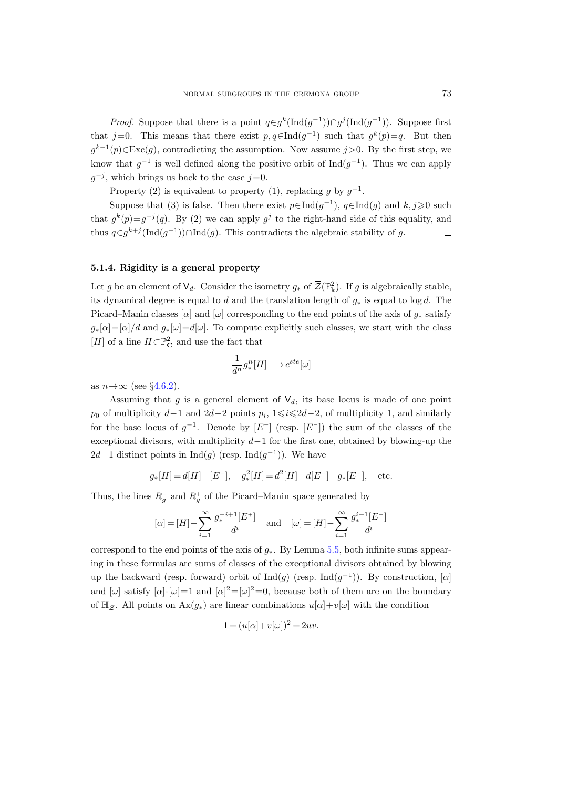*Proof.* Suppose that there is a point  $q \in g^k(\text{Ind}(g^{-1})) \cap g^j(\text{Ind}(g^{-1}))$ . Suppose first that j=0. This means that there exist  $p, q \in Ind(g^{-1})$  such that  $g^k(p)=q$ . But then  $g^{k-1}(p) \in \text{Exc}(g)$ , contradicting the assumption. Now assume  $j > 0$ . By the first step, we know that  $g^{-1}$  is well defined along the positive orbit of  $\text{Ind}(g^{-1})$ . Thus we can apply  $g^{-j}$ , which brings us back to the case  $j=0$ .

Property (2) is equivalent to property (1), replacing g by  $g^{-1}$ .

Suppose that (3) is false. Then there exist  $p \in Ind(g^{-1})$ ,  $q \in Ind(g)$  and  $k, j \geq 0$  such that  $g^k(p) = g^{-j}(q)$ . By (2) we can apply  $g^j$  to the right-hand side of this equality, and thus  $q \in g^{k+j}(\text{Ind}(g^{-1})) \cap \text{Ind}(g)$ . This contradicts the algebraic stability of g.  $\Box$ 

#### <span id="page-42-0"></span>5.1.4. Rigidity is a general property

Let g be an element of  $\mathsf{V}_d$ . Consider the isometry  $g_*$  of  $\overline{\mathcal{Z}}(\mathbb{P}^2)$ . If g is algebraically stable, its dynamical degree is equal to d and the translation length of  $g_*$  is equal to log d. The Picard–Manin classes [ $\alpha$ ] and [ $\omega$ ] corresponding to the end points of the axis of  $g_*$  satisfy  $g_*[\alpha] = [\alpha]/d$  and  $g_*[\omega] = d[\omega]$ . To compute explicitly such classes, we start with the class  $[H]$  of a line  $H\!\subset\!\mathbb P_{\mathbf C}^2$  and use the fact that

$$
\frac{1}{d^n} g^n_*[H] \longrightarrow c^{ste}[\omega]
$$

as  $n \rightarrow \infty$  (see §[4.6.2\)](#page-35-0).

Assuming that g is a general element of  $\mathsf{V}_d$ , its base locus is made of one point  $p_0$  of multiplicity  $d-1$  and  $2d-2$  points  $p_i$ ,  $1 \leq i \leq 2d-2$ , of multiplicity 1, and similarly for the base locus of  $g^{-1}$ . Denote by  $[E^+]$  (resp.  $[E^-]$ ) the sum of the classes of the exceptional divisors, with multiplicity  $d-1$  for the first one, obtained by blowing-up the  $2d-1$  distinct points in  $\text{Ind}(g)$  (resp.  $\text{Ind}(g^{-1})$ ). We have

$$
g_*[H] = d[H] - [E^-],
$$
  $g_*^2[H] = d^2[H] - d[E^-] - g_*[E^-],$  etc.

Thus, the lines  $R_g^-$  and  $R_g^+$  of the Picard–Manin space generated by

$$
[\alpha] = [H] - \sum_{i=1}^{\infty} \frac{g_i^{-i+1}[E^+]}{d^i}
$$
 and  $[\omega] = [H] - \sum_{i=1}^{\infty} \frac{g_i^{i-1}[E^-]}{d^i}$ 

correspond to the end points of the axis of  $g_*$ . By Lemma [5.5,](#page-41-0) both infinite sums appearing in these formulas are sums of classes of the exceptional divisors obtained by blowing up the backward (resp. forward) orbit of  $\text{Ind}(g)$  (resp.  $\text{Ind}(g^{-1})$ ). By construction, [ $\alpha$ ] and  $[\omega]$  satisfy  $[\alpha] \cdot [\omega] = 1$  and  $[\alpha]^2 = [\omega]^2 = 0$ , because both of them are on the boundary corress<br>ing in<br>up the<br>and  $[\mu$ <br>of  $\mathbb{H}_{\bar{z}}$ of  $\mathbb{H}_{\overline{z}}$ . All points on  $\text{Ax}(g_*)$  are linear combinations  $u[\alpha]+v[\omega]$  with the condition

$$
1 = (u[\alpha] + v[\omega])^2 = 2uv.
$$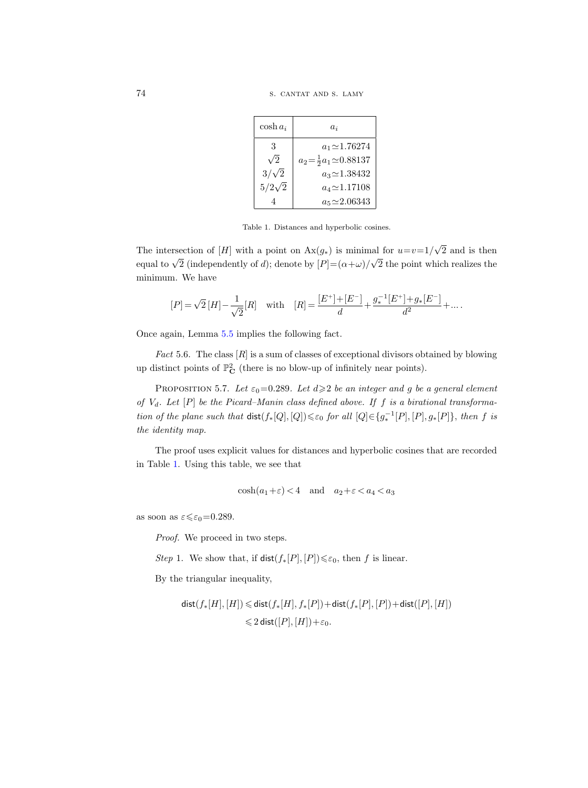| $\cosh a_i$   | $a_i$                                   |
|---------------|-----------------------------------------|
| 3             | $a_1 \approx 1.76274$                   |
| $\sqrt{2}$    | $a_2 = \frac{1}{2} a_1 \approx 0.88137$ |
| $3/\sqrt{2}$  | $a_3 \approx 1.38432$                   |
| $5/2\sqrt{2}$ | $a_4 \approx 1.17108$                   |
|               | $a_5 \approx 2.06343$                   |

Table 1. Distances and hyperbolic cosines.

The intersection of [H] with a point on  $Ax(g_*)$  is minimal for  $u=v=1/$ √ 2 and is then equal to  $\sqrt{2}$  (independently of d); denote by  $[P] = (\alpha + \omega)$ / √ 2 the point which realizes the minimum. We have

$$
[P] = \sqrt{2} [H] - \frac{1}{\sqrt{2}} [R] \quad \text{with} \quad [R] = \frac{[E^+] + [E^-]}{d} + \frac{g_*^{-1} [E^+] + g_* [E^-]}{d^2} + \ldots .
$$

Once again, Lemma [5.5](#page-41-0) implies the following fact.

<span id="page-43-0"></span>*Fact* 5.6. The class  $[R]$  is a sum of classes of exceptional divisors obtained by blowing up distinct points of  $\mathbb{P}^2_{\mathbf{C}}$  (there is no blow-up of infinitely near points).

<span id="page-43-1"></span>PROPOSITION 5.7. Let  $\varepsilon_0$ =0.289. Let  $d \geq 2$  be an integer and g be a general element of  $V_d$ . Let  $[P]$  be the Picard–Manin class defined above. If f is a birational transformation of the plane such that  $dist(f_*[Q],[Q]) \leq \varepsilon_0$  for all  $[Q] \in \{g_*^{-1}[P], [P], g_*[P] \}$ , then f is the identity map.

The proof uses explicit values for distances and hyperbolic cosines that are recorded in Table [1.](#page-15-0) Using this table, we see that

$$
\cosh(a_1 + \varepsilon) < 4 \quad \text{and} \quad a_2 + \varepsilon < a_4 < a_3
$$

as soon as  $\varepsilon \leq \varepsilon_0 = 0.289$ .

Proof. We proceed in two steps.

Step 1. We show that, if  $dist(f_*[P], [P]) \leq \varepsilon_0$ , then f is linear.

By the triangular inequality,

$$
\begin{aligned} \mathsf{dist}(f_*[H],[H])&\leqslant \mathsf{dist}(f_*[H],f_*[P]) + \mathsf{dist}(f_*[P],[P]) + \mathsf{dist}([P],[H])\\ &\leqslant 2\mathsf{\,dist}([P],[H]) + \varepsilon_0. \end{aligned}
$$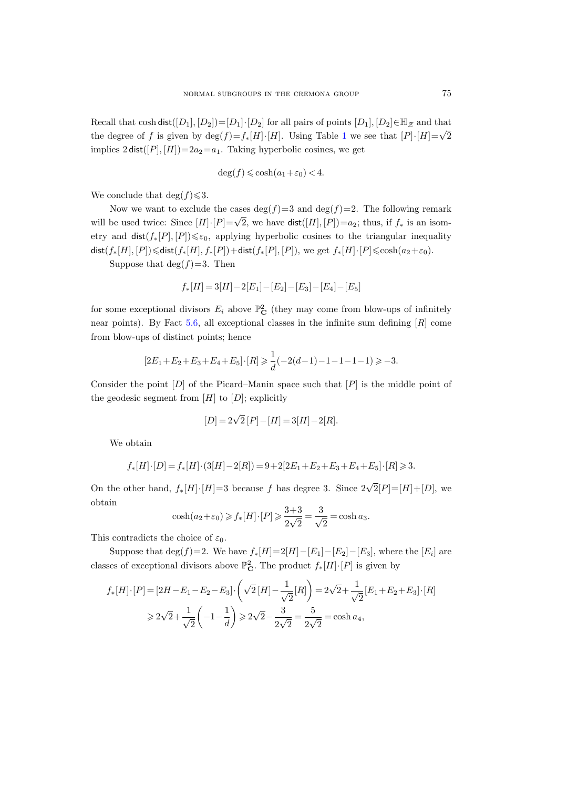NORMAL SUBGROUPS IN THE CREMONA GROUP  $75$  Recall that  $\cosh \mathsf{dist}([D_1], [D_2]) \!=\! [D_1] \!\cdot\! [D_2]$  for all pairs of points  $[D_1], [D_2] \!\in\! \mathbb{H}_{\widetilde{\mathcal{Z}}}$  and that the degree of f is given by  $\deg(f) = f_*(H) \cdot [H]$ . Using Table [1](#page-15-0) we see that  $[P] \cdot [H] = \sqrt{2}$ implies  $2 \text{ dist}([P], [H]) = 2a_2 = a_1$ . Taking hyperbolic cosines, we get

$$
\deg(f) \leqslant \cosh(a_1 + \varepsilon_0) < 4.
$$

We conclude that  $\deg(f) \leq 3$ .

Now we want to exclude the cases  $\deg(f)=3$  and  $\deg(f)=2$ . The following remark will be used twice: Since  $[H] \cdot [P] = \sqrt{2}$ , we have  $dist([H], [P]) = a_2$ ; thus, if  $f_*$  is an isometry and  $dist(f_*[P], [P]) \leq \varepsilon_0$ , applying hyperbolic cosines to the triangular inequality dist( $f_*[H], [P]$ ) $\leq$ dist( $f_*[H], f_*[P]$ )+dist( $f_*[P], [P]$ ), we get  $f_*[H] \cdot [P] \leq \cosh(a_2+\varepsilon_0)$ .

Suppose that  $deg(f)=3$ . Then

$$
f_*[H] = 3[H] - 2[E_1] - [E_2] - [E_3] - [E_4] - [E_5]
$$

for some exceptional divisors  $E_i$  above  $\mathbb{P}^2_{\mathbf{C}}$  (they may come from blow-ups of infinitely near points). By Fact [5.6,](#page-43-0) all exceptional classes in the infinite sum defining  $[R]$  come from blow-ups of distinct points; hence

$$
[2E_1+E_2+E_3+E_4+E_5]\cdot[R] \geq \frac{1}{d}(-2(d-1)-1-1-1-1) \geq -3.
$$

Consider the point  $[D]$  of the Picard–Manin space such that  $[P]$  is the middle point of the geodesic segment from  $[H]$  to  $[D]$ ; explicitly

$$
[D] = 2\sqrt{2}[P] - [H] = 3[H] - 2[R].
$$

We obtain

$$
f_*[H] \cdot [D] = f_*[H] \cdot (3[H] - 2[R]) = 9 + 2[2E_1 + E_2 + E_3 + E_4 + E_5] \cdot [R] \ge 3.
$$

On the other hand,  $f_*[H] \cdot [H] = 3$  because f has degree 3. Since  $2\sqrt{2}[P] = [H] + [D]$ , we obtain

$$
\cosh(a_2 + \varepsilon_0) \ge f_*[H] \cdot [P] \ge \frac{3+3}{2\sqrt{2}} = \frac{3}{\sqrt{2}} = \cosh a_3.
$$

This contradicts the choice of  $\varepsilon_0$ .

Suppose that  $\deg(f)=2$ . We have  $f_*[H]=2[H]-[E_1]-[E_2]-[E_3]$ , where the  $[E_i]$  are classes of exceptional divisors above  $\mathbb{P}^2_{\mathbf{C}}$ . The product  $f_*[H] \cdot [P]$  is given by

$$
f_*[H] \cdot [P] = [2H - E_1 - E_2 - E_3] \cdot \left(\sqrt{2}[H] - \frac{1}{\sqrt{2}}[R]\right) = 2\sqrt{2} + \frac{1}{\sqrt{2}}[E_1 + E_2 + E_3] \cdot [R]
$$
  
\n
$$
\ge 2\sqrt{2} + \frac{1}{\sqrt{2}}\left(-1 - \frac{1}{d}\right) \ge 2\sqrt{2} - \frac{3}{2\sqrt{2}} = \frac{5}{2\sqrt{2}} = \cosh a_4,
$$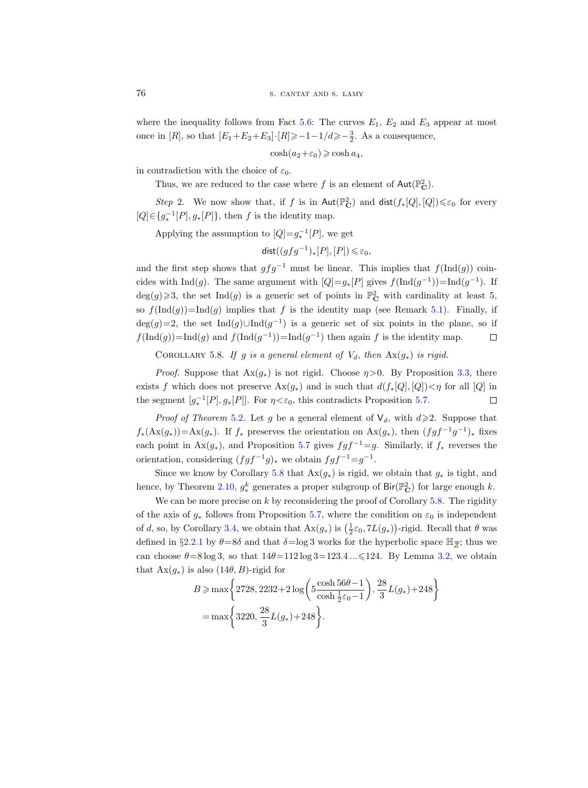where the inequality follows from Fact [5.6:](#page-43-0) The curves  $E_1$ ,  $E_2$  and  $E_3$  appear at most once in [R], so that  $[E_1+E_2+E_3]\cdot [R] \ge -1-1/d \ge -\frac{3}{2}$ . As a consequence,

 $\cosh(a_2+\varepsilon_0) \geqslant \cosh a_4,$ 

in contradiction with the choice of  $\varepsilon_0$ .

Thus, we are reduced to the case where f is an element of  $\text{Aut}(\mathbb{P}_{\mathbf{C}}^2)$ .

Step 2. We now show that, if f is in  $Aut(\mathbb{P}^2_{\mathbf{C}})$  and  $dist(f_*[Q],[Q]) \leq \varepsilon_0$  for every  $[Q] \in \{g_*^{-1}[P], g_*[P]\},\$  then f is the identity map.

Applying the assumption to  $[Q] = g_*^{-1}[P]$ , we get

$$
\mathsf{dist}((gfg^{-1})_*[P],[P]) \leq \varepsilon_0,
$$

and the first step shows that  $gfg^{-1}$  must be linear. This implies that  $f(\text{Ind}(g))$  coincides with  $\text{Ind}(g)$ . The same argument with  $[Q] = g_*[P]$  gives  $f(\text{Ind}(g^{-1})) = \text{Ind}(g^{-1})$ . If  $deg(g) \geqslant 3$ , the set  $Ind(g)$  is a generic set of points in  $\mathbb{P}^2_{\mathbf{C}}$  with cardinality at least 5, so  $f(\text{Ind}(g))=\text{Ind}(g)$  implies that f is the identity map (see Remark [5.1\)](#page-39-1). Finally, if  $deg(g)=2$ , the set Ind $(g) \cup Ind(g^{-1})$  is a generic set of six points in the plane, so if  $f(\text{Ind}(g)) = \text{Ind}(g)$  and  $f(\text{Ind}(g^{-1})) = \text{Ind}(g^{-1})$  then again f is the identity map.  $\Box$ 

<span id="page-45-0"></span>COROLLARY 5.8. If g is a general element of  $V_d$ , then  $Ax(g_*)$  is rigid.

*Proof.* Suppose that  $Ax(g_*)$  is not rigid. Choose  $\eta > 0$ . By Proposition [3.3,](#page-29-1) there exists f which does not preserve  $\text{Ax}(g_*)$  and is such that  $d(f_*[Q],[Q])<\eta$  for all  $[Q]$  in the segment  $[g_*^{-1}[P], g_*[P]]$ . For  $\eta < \varepsilon_0$ , this contradicts Proposition [5.7.](#page-43-1)  $\Box$ 

*Proof of Theorem* [5.2](#page-39-0). Let g be a general element of  $\mathsf{V}_d$ , with  $d \geq 2$ . Suppose that  $f_*(\text{Ax}(g_*)) = \text{Ax}(g_*)$ . If  $f_*$  preserves the orientation on  $\text{Ax}(g_*)$ , then  $(fgf^{-1}g^{-1})_*$  fixes each point in  $Ax(g_*)$ , and Proposition [5.7](#page-43-1) gives  $fgf^{-1}=g$ . Similarly, if  $f_*$  reverses the orientation, considering  $(fgf^{-1}g)_*$  we obtain  $fgf^{-1}=g^{-1}$ .

Since we know by Corollary [5.8](#page-45-0) that  $Ax(g_*)$  is rigid, we obtain that  $g_*$  is tight, and hence, by Theorem [2.10,](#page-11-0)  $g^k_*$  generates a proper subgroup of  $\text{Bir}(\mathbb{P}_\mathbf{C}^2)$  for large enough k.

We can be more precise on  $k$  by reconsidering the proof of Corollary [5.8.](#page-45-0) The rigidity of the axis of  $g_*$  follows from Proposition [5.7,](#page-43-1) where the condition on  $\varepsilon_0$  is independent of d, so, by Corollary [3.4,](#page-30-0) we obtain that  $\text{Ax}(g_*)$  is  $\left(\frac{1}{2}\varepsilon_0, 7L(g_*)\right)$ -rigid. Recall that  $\theta$  was Since we know by Corollary 5.8 that  $Ax(g_*)$  is rigid, we obtain that  $g_*$  is thence, by Theorem 2.10,  $g_*^k$  generates a proper subgroup of  $\text{Bir}(\mathbb{P}_C^2)$  for large e We can be more precise on k by reconsidering the pr defined in §2.2.1 by  $\theta = 8\delta$  and that  $\delta = \log 3$  works for the hyperbolic space  $\mathbb{H}_{\overline{z}}$ ; thus we can choose  $\theta = 8 \log 3$ , so that  $14\theta = 112 \log 3 = 123.4$ ...  $\leq 124$ . By Lemma [3.2,](#page-29-0) we obtain that  $Ax(g_*)$  is also  $(14\theta, B)$ -rigid for

$$
B \ge \max\left\{2728, 2232 + 2\log\left(5\frac{\cosh 56\theta - 1}{\cosh\frac{1}{2}\varepsilon_0 - 1}\right), \frac{28}{3}L(g_*) + 248\right\}
$$

$$
= \max\left\{3220, \frac{28}{3}L(g_*) + 248\right\}.
$$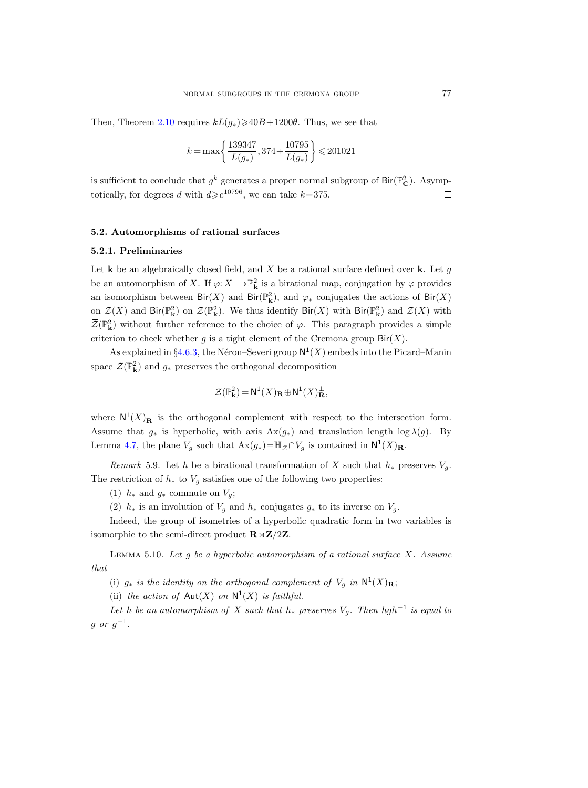Then, Theorem [2.10](#page-11-0) requires  $kL(g_*) \ge 40B+1200\theta$ . Thus, we see that

$$
k = \max\left\{\frac{139347}{L(g_*)}, 374 + \frac{10795}{L(g_*)}\right\} \leq 201021
$$

is sufficient to conclude that  $g^k$  generates a proper normal subgroup of  $\text{Bir}(\mathbb{P}_{\mathbf{C}}^2)$ . Asymptotically, for degrees d with  $d\geq e^{10796}$ , we can take  $k=375$ .  $\Box$ 

#### <span id="page-46-0"></span>5.2. Automorphisms of rational surfaces

#### 5.2.1. Preliminaries

Let **k** be an algebraically closed field, and  $X$  be a rational surface defined over **k**. Let  $g$ be an automorphism of X. If  $\varphi: X \dashrightarrow \mathbb{P}^2_{\mathbf{k}}$  is a birational map, conjugation by  $\varphi$  provides an isomorphism between  $\text{Bir}(X)$  and  $\text{Bir}(\mathbb{P}^2_{\mathbf{k}})$ , and  $\varphi_*$  conjugates the actions of  $\text{Bir}(X)$ on  $\overline{\mathcal{Z}}(X)$  and Bir( $\mathbb{P}^2$ ) on  $\overline{\mathcal{Z}}(\mathbb{P}^2)$ . We thus identify Bir(X) with Bir( $\mathbb{P}^2$ ) and  $\overline{\mathcal{Z}}(X)$  with  $\overline{\mathcal{Z}}(\mathbb{P}_{\mathbf{k}}^2)$  without further reference to the choice of  $\varphi$ . This paragraph provides a simple criterion to check whether g is a tight element of the Cremona group  $\text{Bir}(X)$ .

As explained in §[4.6.3,](#page-36-1) the Néron–Severi group  $N^1(X)$  embeds into the Picard–Manin space  $\overline{\mathcal{Z}}(\mathbb{P}_{\mathbf{k}}^2)$  and  $g_*$  preserves the orthogonal decomposition

$$
\overline{\mathcal{Z}}(\mathbb{P}_{\mathbf{k}}^2) = \mathsf{N}^1(X)_{\mathbf{R}} \oplus \mathsf{N}^1(X)_{\mathbf{R}}^{\perp},
$$

where  $\mathsf{N}^1(X)_{\mathbf{R}}^{\perp}$  is the orthogonal complement with respect to the intersection form. Assume that  $g_*$  is hyperbolic, with axis  $Ax(g_*)$  and translation length  $\log \lambda(g)$ . By  $\overline{\mathcal{Z}}(\mathbb{P}_{\mathbf{k}}^2) = \mathsf{N}^1(X)_{\mathbf{R}} \oplus \mathsf{N}^1(X)_{\mathbf{R}}^{\perp}$ ,<br>where  $\mathsf{N}^1(X)_{\mathbf{R}}^{\perp}$  is the orthogonal complement with respect to the intersed<br>Assume that  $g_*$  is hyperbolic, with axis  $\text{Ax}(g_*)$  and trans

<span id="page-46-1"></span>Remark 5.9. Let h be a birational transformation of X such that  $h_*$  preserves  $V_g$ . The restriction of  $h_*$  to  $V_q$  satisfies one of the following two properties:

(1)  $h_*$  and  $g_*$  commute on  $V_g$ ;

(2)  $h_*$  is an involution of  $V_q$  and  $h_*$  conjugates  $g_*$  to its inverse on  $V_q$ .

Indeed, the group of isometries of a hyperbolic quadratic form in two variables is isomorphic to the semi-direct product  $\mathbf{R} \rtimes \mathbf{Z}/2\mathbf{Z}$ .

<span id="page-46-2"></span>LEMMA 5.10. Let g be a hyperbolic automorphism of a rational surface  $X$ . Assume that

(i)  $g_*$  is the identity on the orthogonal complement of  $V_g$  in  $\mathsf{N}^1(X)_{\mathbf{R}}$ ;

(ii) the action of  $\text{Aut}(X)$  on  $\mathbb{N}^1(X)$  is faithful.

Let h be an automorphism of X such that  $h_*$  preserves  $V_g$ . Then hgh<sup>-1</sup> is equal to  $g$  or  $g^{-1}$ .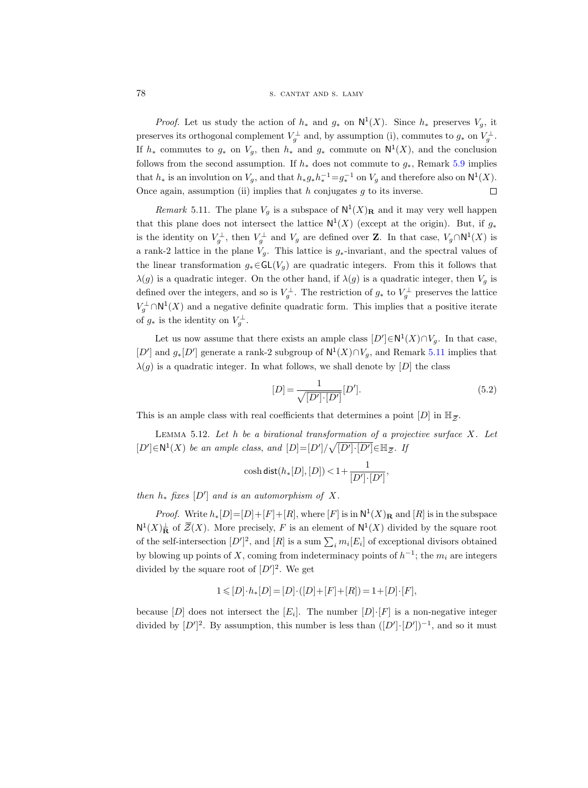#### 78 S. CANTAT AND S. LAMY

*Proof.* Let us study the action of  $h_*$  and  $g_*$  on  $\mathsf{N}^1(X)$ . Since  $h_*$  preserves  $V_g$ , it preserves its orthogonal complement  $V_g^{\perp}$  and, by assumption (i), commutes to  $g_*$  on  $V_g^{\perp}$ . If  $h_*$  commutes to  $g_*$  on  $V_g$ , then  $h_*$  and  $g_*$  commute on  $\mathsf{N}^1(X)$ , and the conclusion follows from the second assumption. If  $h_*$  does not commute to  $g_*$ , Remark [5.9](#page-46-1) implies that  $h_*$  is an involution on  $V_g$ , and that  $h_*g_*h_*^{-1}=g_*^{-1}$  on  $V_g$  and therefore also on  $\mathsf{N}^1(X)$ . Once again, assumption (ii) implies that  $h$  conjugates  $g$  to its inverse.  $\Box$ 

<span id="page-47-0"></span>*Remark* 5.11. The plane  $V_g$  is a subspace of  $N^1(X)_R$  and it may very well happen that this plane does not intersect the lattice  $N^1(X)$  (except at the origin). But, if  $g_*$ is the identity on  $V_g^{\perp}$ , then  $V_g^{\perp}$  and  $V_g$  are defined over **Z**. In that case,  $V_g \cap N^1(X)$  is a rank-2 lattice in the plane  $V_g$ . This lattice is  $g_*$ -invariant, and the spectral values of the linear transformation  $g_* \in GL(V_q)$  are quadratic integers. From this it follows that  $\lambda(g)$  is a quadratic integer. On the other hand, if  $\lambda(g)$  is a quadratic integer, then  $V_g$  is defined over the integers, and so is  $V_g^{\perp}$ . The restriction of  $g_*$  to  $V_g^{\perp}$  preserves the lattice  $V_g^{\perp} \cap N^1(X)$  and a negative definite quadratic form. This implies that a positive iterate of  $g_*$  is the identity on  $V_g^{\perp}$ .

Let us now assume that there exists an ample class  $[D'] \in N^1(X) \cap V_g$ . In that case,  $[D']$  and  $g_*[D']$  generate a rank-2 subgroup of  $\mathsf{N}^1(X) \cap V_g$ , and Remark [5.11](#page-47-0) implies that  $\lambda(g)$  is a quadratic integer. In what follows, we shall denote by  $[D]$  the class  $[D] = \frac{1}{\sqrt{[D']\cdot [D']}} [D']$ . (5.2)<br>This is an a  $\lambda(g)$  is a quadratic integer. In what follows, we shall denote by [D] the class

<span id="page-47-1"></span>
$$
[D] = \frac{1}{\sqrt{[D'] \cdot [D']}} [D'].
$$
\n(5.2)  
\ncoefficients that determines a point  $[D]$  in  $\mathbb{H}_{\overline{Z}}$ .  
\n*rational transformation of a projective surface X. Let*  
\n
$$
[D] = [D'] / \sqrt{[D'] \cdot [D']} \in \mathbb{H}_{\overline{Z}}.
$$
 If

This is an ample class with real coefficients that determines a point  $[D]$  in  $\mathbb{H}_{\bar{z}}$ .

<span id="page-47-2"></span>LEMMA 5.12. Let  $h$  be a birational transformation of a projective surface  $X$ . Let  $[D'] \in N^1(X)$  be an ample class, and  $[D] = [D'] / \sqrt{[D'] \cdot [D']} \in \mathbb{H}_{\bar{Z}}$ . If

$$
\cosh\mathsf{dist}(h_*[D],[D]) < 1+\frac{1}{[D']\cdot[D']},
$$

then  $h_*$  fixes  $[D']$  and is an automorphism of X.

*Proof.* Write  $h_*[D] = [D] + [F] + [R]$ , where  $[F]$  is in  $N^1(X)_R$  and  $[R]$  is in the subspace  $N^1(X)^1_{\mathbf{R}}$  of  $\overline{\mathcal{Z}}(X)$ . More precisely, F is an element of  $N^1(X)$  divided by the square root of the self-intersection  $[D']^2$ , and  $[R]$  is a sum  $\sum_i m_i [E_i]$  of exceptional divisors obtained by blowing up points of X, coming from indeterminacy points of  $h^{-1}$ ; the  $m_i$  are integers divided by the square root of  $[D']^2$ . We get

$$
1\leqslant [D]\cdot h_*[D]=[D]\cdot ([D]+[F]+[R])=1+[D]\cdot [F],
$$

because  $[D]$  does not intersect the  $[E_i]$ . The number  $[D] \cdot [F]$  is a non-negative integer divided by  $[D']^2$ . By assumption, this number is less than  $([D']\cdot [D'])^{-1}$ , and so it must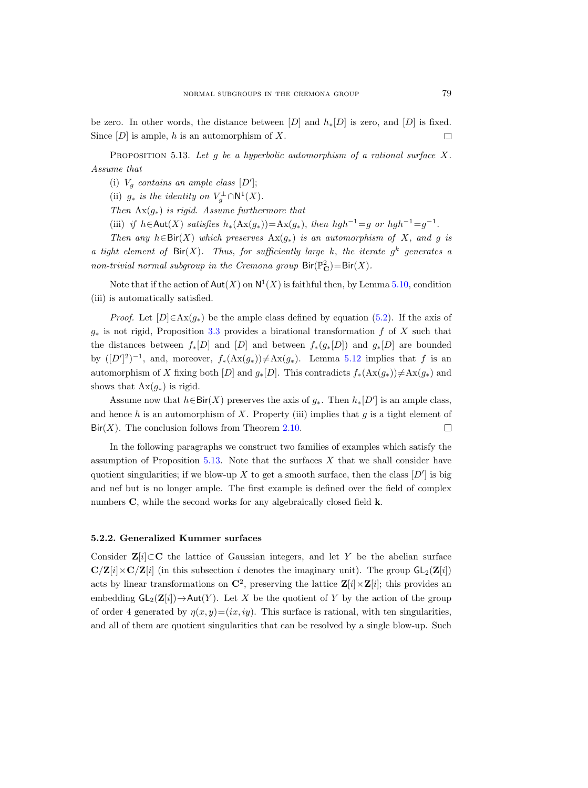be zero. In other words, the distance between  $[D]$  and  $h_*[D]$  is zero, and  $[D]$  is fixed. Since  $[D]$  is ample, h is an automorphism of X.  $\Box$ 

<span id="page-48-0"></span>PROPOSITION 5.13. Let  $g$  be a hyperbolic automorphism of a rational surface X. Assume that

(i)  $V_g$  contains an ample class [D'];

(ii)  $g_*$  is the identity on  $V_g^{\perp} \cap \mathsf{N}^1(X)$ .

Then  $\text{Ax}(g_*)$  is rigid. Assume furthermore that

(iii) if  $h \in \text{Aut}(X)$  satisfies  $h_*(\text{Ax}(g_*)) = \text{Ax}(g_*),$  then  $hgh^{-1} = g$  or  $hgh^{-1} = g^{-1}$ .

Then any  $h \in Bir(X)$  which preserves  $Ax(g_*)$  is an automorphism of X, and g is a tight element of  $\text{Bir}(X)$ . Thus, for sufficiently large k, the iterate  $g^k$  generates a non-trivial normal subgroup in the Cremona group  $\text{Bir}(\mathbb{P}_{\mathbf{C}}^2) = \text{Bir}(X)$ .

Note that if the action of  $\mathsf{Aut}(X)$  on  $\mathsf{N}^1(X)$  is faithful then, by Lemma [5.10,](#page-46-2) condition (iii) is automatically satisfied.

*Proof.* Let  $[D] \in Ax(g_*)$  be the ample class defined by equation [\(5.2\)](#page-47-1). If the axis of  $g_*$  is not rigid, Proposition [3.3](#page-29-1) provides a birational transformation f of X such that the distances between  $f_*[D]$  and  $[D]$  and between  $f_*(g_*[D])$  and  $g_*[D]$  are bounded by  $([D']^2)^{-1}$ , and, moreover,  $f_*(\text{Ax}(g_*)) \neq \text{Ax}(g_*)$ . Lemma [5.12](#page-47-2) implies that f is an automorphism of X fixing both [D] and  $g_*[D]$ . This contradicts  $f_*(\text{Ax}(g_*))\neq \text{Ax}(g_*)$  and shows that  $\text{Ax}(g_*)$  is rigid.

Assume now that  $h \in Bir(X)$  preserves the axis of  $g_*$ . Then  $h_*[D']$  is an ample class, and hence h is an automorphism of X. Property (iii) implies that  $g$  is a tight element of  $\text{Bir}(X)$ . The conclusion follows from Theorem [2.10.](#page-11-0)  $\Box$ 

In the following paragraphs we construct two families of examples which satisfy the assumption of Proposition [5.13.](#page-48-0) Note that the surfaces  $X$  that we shall consider have quotient singularities; if we blow-up X to get a smooth surface, then the class  $[D']$  is big and nef but is no longer ample. The first example is defined over the field of complex numbers C, while the second works for any algebraically closed field **k**.

#### 5.2.2. Generalized Kummer surfaces

Consider  $\mathbf{Z}[i] \subset \mathbf{C}$  the lattice of Gaussian integers, and let Y be the abelian surface  $\mathbf{C}/\mathbf{Z}[i] \times \mathbf{C}/\mathbf{Z}[i]$  (in this subsection i denotes the imaginary unit). The group  $\mathsf{GL}_2(\mathbf{Z}[i])$ acts by linear transformations on  $\mathbb{C}^2$ , preserving the lattice  $\mathbb{Z}[i] \times \mathbb{Z}[i]$ ; this provides an embedding  $GL_2(\mathbf{Z}[i]) \rightarrow Aut(Y)$ . Let X be the quotient of Y by the action of the group of order 4 generated by  $\eta(x, y)=(ix, iy)$ . This surface is rational, with ten singularities, and all of them are quotient singularities that can be resolved by a single blow-up. Such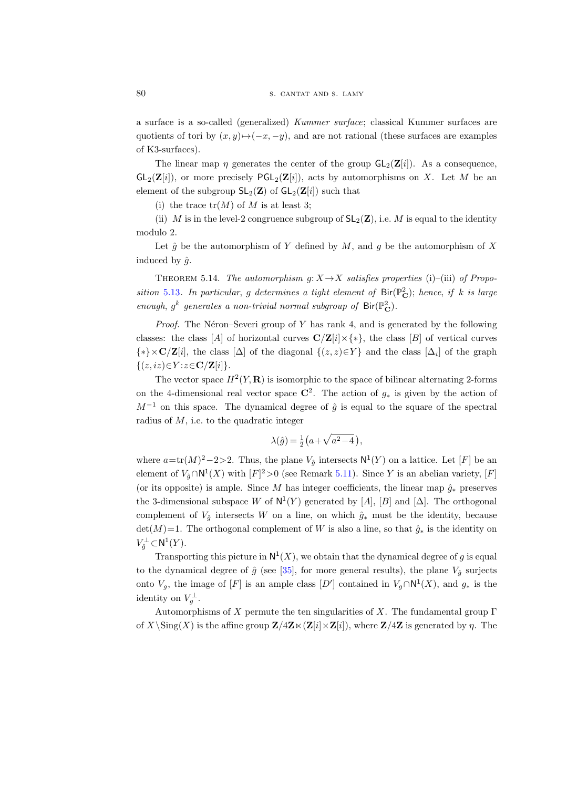a surface is a so-called (generalized) Kummer surface; classical Kummer surfaces are quotients of tori by  $(x, y) \mapsto (-x, -y)$ , and are not rational (these surfaces are examples of K3-surfaces).

The linear map  $\eta$  generates the center of the group  $GL_2(\mathbf{Z}[i])$ . As a consequence,  $GL_2(\mathbf{Z}[i])$ , or more precisely  $PGL_2(\mathbf{Z}[i])$ , acts by automorphisms on X. Let M be an element of the subgroup  $SL_2(\mathbf{Z})$  of  $GL_2(\mathbf{Z}[i])$  such that

(i) the trace  $tr(M)$  of M is at least 3;

(ii) M is in the level-2 congruence subgroup of  $SL_2(\mathbb{Z})$ , i.e. M is equal to the identity modulo 2.

Let  $\hat{q}$  be the automorphism of Y defined by M, and q be the automorphism of X induced by  $\hat{g}$ .

<span id="page-49-0"></span>THEOREM 5.14. The automorphism  $q: X \rightarrow X$  satisfies properties (i)–(iii) of Propo-sition [5.13](#page-48-0). In particular, g determines a tight element of  $\text{Bir}(\mathbb{P}_{\mathbf{C}}^2)$ ; hence, if k is large enough,  $g^k$  generates a non-trivial normal subgroup of  $\text{Bir}(\mathbb{P}_\mathbf{C}^2)$ .

*Proof.* The Néron–Severi group of Y has rank 4, and is generated by the following classes: the class [A] of horizontal curves  $\mathbb{C}/\mathbb{Z}[i] \times \{*\}$ , the class [B] of vertical curves  $\{*\}\times\mathbf{C}/\mathbf{Z}[i]$ , the class  $[\Delta]$  of the diagonal  $\{(z, z)\in Y\}$  and the class  $[\Delta_i]$  of the graph  $\{(z, iz) \in Y : z \in \mathbf{C} / \mathbf{Z}[i]\}.$ 

The vector space  $H^2(Y, \mathbf{R})$  is isomorphic to the space of bilinear alternating 2-forms on the 4-dimensional real vector space  $\mathbb{C}^2$ . The action of  $g_*$  is given by the action of  $M^{-1}$  on this space. The dynamical degree of  $\hat{g}$  is equal to the square of the spectral radius of  $M$ , i.e. to the quadratic integer

$$
\lambda(\hat{g}) = \frac{1}{2} \left( a + \sqrt{a^2 - 4} \right),
$$

where  $a = \text{tr}(M)^2 - 2 > 2$ . Thus, the plane  $V_{\hat{g}}$  intersects  $\mathsf{N}^1(Y)$  on a lattice. Let [F] be an element of  $V_{\hat{g}} \cap N^1(X)$  with  $[F]^2 > 0$  (see Remark [5.11\)](#page-47-0). Since Y is an abelian variety,  $[F]$ (or its opposite) is ample. Since M has integer coefficients, the linear map  $\hat{q}_*$  preserves the 3-dimensional subspace W of  $N^1(Y)$  generated by [A], [B] and [ $\Delta$ ]. The orthogonal complement of  $V_{\hat{q}}$  intersects W on a line, on which  $\hat{g}_*$  must be the identity, because  $det(M)=1$ . The orthogonal complement of W is also a line, so that  $\hat{g}_*$  is the identity on  $V_j^{\perp} \subset {\sf N}^1(Y).$ 

Transporting this picture in  $N^1(X)$ , we obtain that the dynamical degree of g is equal to the dynamical degree of  $\hat{g}$  (see [\[35\]](#page-62-11), for more general results), the plane  $V_{\hat{g}}$  surjects onto  $V_g$ , the image of [F] is an ample class [D'] contained in  $V_g \cap N^1(X)$ , and  $g_*$  is the identity on  $V_g^{\perp}$ .

Automorphisms of X permute the ten singularities of X. The fundamental group  $\Gamma$ of  $X\operatorname{\backslash}(\operatorname{Sing}(X))$  is the affine group  $\mathbf{Z}/4\mathbf{Z}\ltimes(\mathbf{Z}[i]\times\mathbf{Z}[i])$ , where  $\mathbf{Z}/4\mathbf{Z}$  is generated by  $\eta$ . The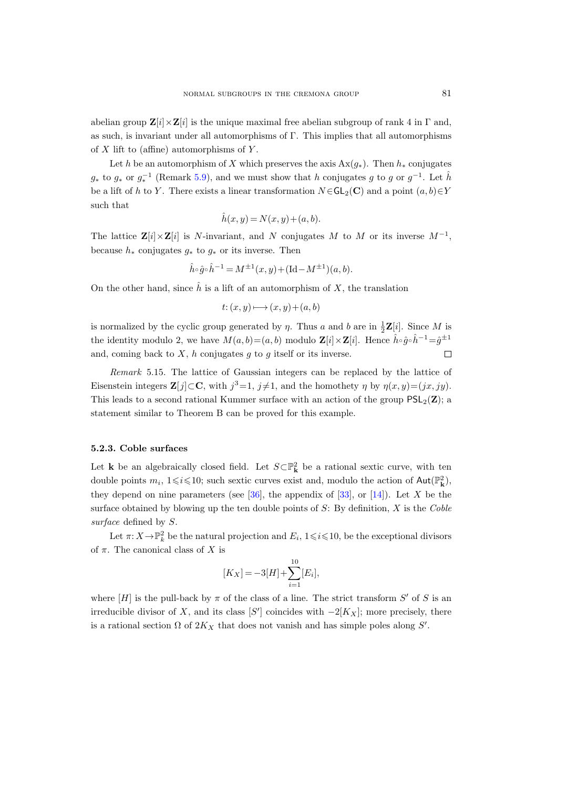abelian group  $\mathbf{Z}[i] \times \mathbf{Z}[i]$  is the unique maximal free abelian subgroup of rank 4 in  $\Gamma$  and, as such, is invariant under all automorphisms of Γ. This implies that all automorphisms of  $X$  lift to (affine) automorphisms of  $Y$ .

Let h be an automorphism of X which preserves the axis  $Ax(g_*)$ . Then  $h_*$  conjugates  $g_*$  to  $g_*$  or  $g_*^{-1}$  (Remark [5.9\)](#page-46-1), and we must show that h conjugates g to g or  $g^{-1}$ . Let  $\hat{h}$ be a lift of h to Y. There exists a linear transformation  $N \in GL_2(\mathbb{C})$  and a point  $(a, b) \in Y$ such that

$$
\hat{h}(x, y) = N(x, y) + (a, b).
$$

The lattice  $\mathbf{Z}[i] \times \mathbf{Z}[i]$  is N-invariant, and N conjugates M to M or its inverse  $M^{-1}$ , because  $h_*$  conjugates  $g_*$  to  $g_*$  or its inverse. Then

$$
\hat{h} \circ \hat{g} \circ \hat{h}^{-1} = M^{\pm 1}(x, y) + (\text{Id} - M^{\pm 1})(a, b).
$$

On the other hand, since  $\hat{h}$  is a lift of an automorphism of X, the translation

$$
t: (x, y) \longmapsto (x, y) + (a, b)
$$

is normalized by the cyclic group generated by  $\eta$ . Thus a and b are in  $\frac{1}{2}\mathbf{Z}[i]$ . Since M is the identity modulo 2, we have  $M(a, b) = (a, b)$  modulo  $\mathbf{Z}[i] \times \mathbf{Z}[i]$ . Hence  $\hat{h} \circ \hat{g} \circ \hat{h}^{-1} = \hat{g}^{\pm 1}$ and, coming back to  $X$ ,  $h$  conjugates  $g$  to  $g$  itself or its inverse.  $\Box$ 

Remark 5.15. The lattice of Gaussian integers can be replaced by the lattice of Eisenstein integers  $\mathbf{Z}[j] \subset \mathbf{C}$ , with  $j^3=1$ ,  $j\neq 1$ , and the homothety  $\eta$  by  $\eta(x, y)=(jx, jy)$ . This leads to a second rational Kummer surface with an action of the group  $PSL_2(\mathbf{Z})$ ; a statement similar to Theorem B can be proved for this example.

#### <span id="page-50-0"></span>5.2.3. Coble surfaces

Let **k** be an algebraically closed field. Let  $S \subset \mathbb{P}^2$  be a rational sextic curve, with ten double points  $m_i$ ,  $1 \leq i \leq 10$ ; such sextic curves exist and, modulo the action of  $\text{Aut}(\mathbb{P}^2_{\mathbf{k}})$ , they depend on nine parameters (see  $[36]$ , the appendix of  $[33]$ , or  $[14]$ ). Let X be the surface obtained by blowing up the ten double points of  $S$ : By definition,  $X$  is the Coble surface defined by  $S$ .

Let  $\pi: X \to \mathbb{P}^2_k$  be the natural projection and  $E_i$ ,  $1 \leq i \leq 10$ , be the exceptional divisors of  $\pi$ . The canonical class of X is

$$
[K_X] = -3[H] + \sum_{i=1}^{10} [E_i],
$$

where  $[H]$  is the pull-back by  $\pi$  of the class of a line. The strict transform  $S'$  of S is an irreducible divisor of X, and its class [S'] coincides with  $-2[K_X]$ ; more precisely, there is a rational section  $\Omega$  of  $2K_X$  that does not vanish and has simple poles along S'.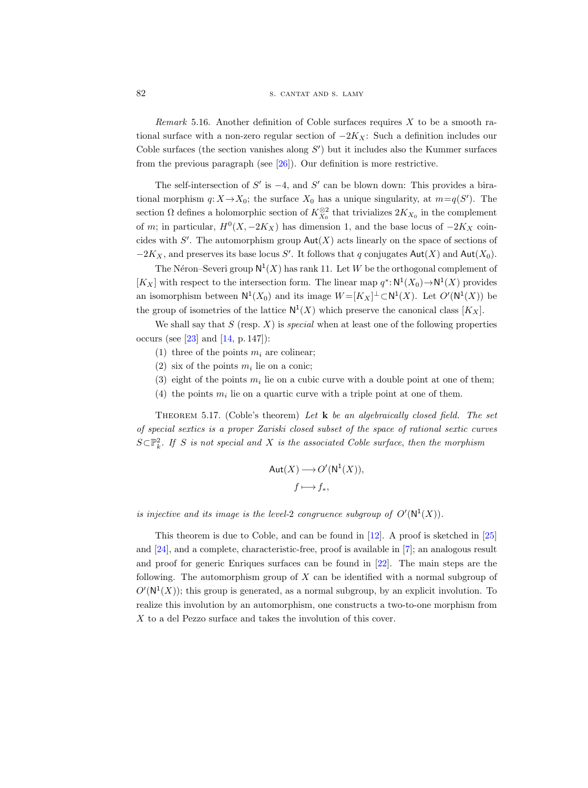#### 82 S. CANTAT AND S. LAMY

Remark 5.16. Another definition of Coble surfaces requires X to be a smooth rational surface with a non-zero regular section of  $-2K_X$ : Such a definition includes our Coble surfaces (the section vanishes along  $S'$ ) but it includes also the Kummer surfaces from the previous paragraph (see [\[26\]](#page-62-14)). Our definition is more restrictive.

The self-intersection of  $S'$  is  $-4$ , and  $S'$  can be blown down: This provides a birational morphism  $q: X \to X_0$ ; the surface  $X_0$  has a unique singularity, at  $m=q(S')$ . The section  $\Omega$  defines a holomorphic section of  $K_{X_0}^{\otimes 2}$  that trivializes  $2K_{X_0}$  in the complement of m; in particular,  $H^0(X, -2K_X)$  has dimension 1, and the base locus of  $-2K_X$  coincides with  $S'$ . The automorphism group  $Aut(X)$  acts linearly on the space of sections of  $-2K_X$ , and preserves its base locus S'. It follows that q conjugates  $\text{Aut}(X)$  and  $\text{Aut}(X_0)$ .

The Néron–Severi group  $N^1(X)$  has rank 11. Let W be the orthogonal complement of  $[K_X]$  with respect to the intersection form. The linear map  $q^*: \mathsf{N}^1(X_0) \to \mathsf{N}^1(X)$  provides an isomorphism between  $N^1(X_0)$  and its image  $W = [K_X]^\perp \subset N^1(X)$ . Let  $O'(N^1(X))$  be the group of isometries of the lattice  $N^1(X)$  which preserve the canonical class  $[K_X]$ .

We shall say that  $S$  (resp.  $X$ ) is *special* when at least one of the following properties occurs (see [\[23\]](#page-62-15) and [\[14,](#page-61-12) p. 147]):

- (1) three of the points  $m_i$  are colinear;
- (2) six of the points  $m_i$  lie on a conic;
- (3) eight of the points  $m_i$  lie on a cubic curve with a double point at one of them;
- (4) the points  $m_i$  lie on a quartic curve with a triple point at one of them.

<span id="page-51-0"></span>THEOREM 5.17. (Coble's theorem) Let  $\bf{k}$  be an algebraically closed field. The set of special sextics is a proper Zariski closed subset of the space of rational sextic curves  $S \subset \mathbb{P}^2_k$ . If S is not special and X is the associated Coble surface, then the morphism

$$
Aut(X) \longrightarrow O'(N^1(X)),
$$
  
 $f \longmapsto f_*,$ 

is injective and its image is the level-2 congruence subgroup of  $O'(N^1(X))$ .

<span id="page-51-1"></span>This theorem is due to Coble, and can be found in [\[12\]](#page-61-13). A proof is sketched in [\[25\]](#page-62-16) and [\[24\]](#page-62-17), and a complete, characteristic-free, proof is available in [\[7\]](#page-61-14); an analogous result and proof for generic Enriques surfaces can be found in [\[22\]](#page-62-18). The main steps are the following. The automorphism group of X can be identified with a normal subgroup of  $O(N^1(X))$ ; this group is generated, as a normal subgroup, by an explicit involution. To realize this involution by an automorphism, one constructs a two-to-one morphism from X to a del Pezzo surface and takes the involution of this cover.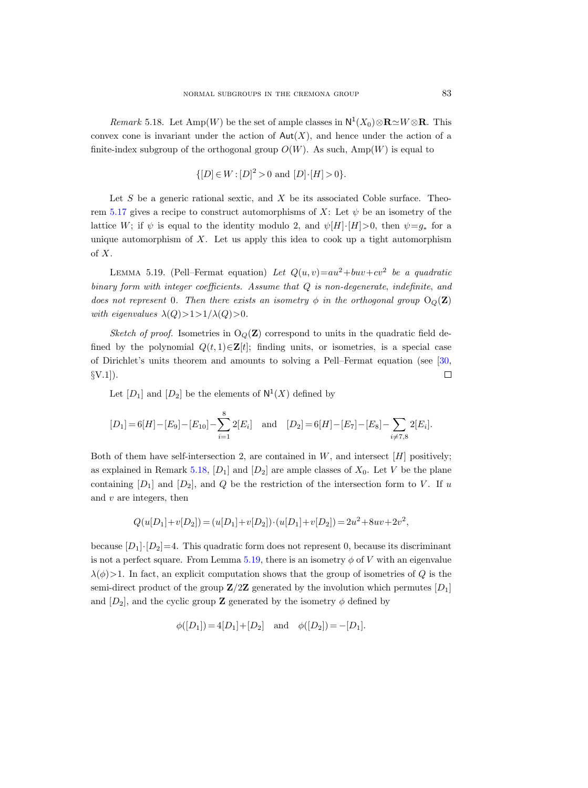*Remark* 5.18. Let  $\text{Amp}(W)$  be the set of ample classes in  $N^1(X_0) \otimes \mathbf{R} \simeq W \otimes \mathbf{R}$ . This convex cone is invariant under the action of  $Aut(X)$ , and hence under the action of a finite-index subgroup of the orthogonal group  $O(W)$ . As such,  $Amp(W)$  is equal to

$$
\{[D] \in W : [D]^2 > 0 \text{ and } [D] \cdot [H] > 0\}.
$$

Let  $S$  be a generic rational sextic, and  $X$  be its associated Coble surface. Theo-rem [5.17](#page-51-0) gives a recipe to construct automorphisms of X: Let  $\psi$  be an isometry of the lattice W; if  $\psi$  is equal to the identity modulo 2, and  $\psi[H]\cdot[H]>0$ , then  $\psi=g_*$  for a unique automorphism of  $X$ . Let us apply this idea to cook up a tight automorphism of X.

<span id="page-52-0"></span>LEMMA 5.19. (Pell–Fermat equation) Let  $Q(u, v) = au^2 + buv + cv^2$  be a quadratic binary form with integer coefficients. Assume that Q is non-degenerate, indefinite, and does not represent 0. Then there exists an isometry  $\phi$  in the orthogonal group  $O_{\mathcal{O}}(\mathbf{Z})$ with eigenvalues  $\lambda(Q) > 1 > 1/\lambda(Q) > 0$ .

Sketch of proof. Isometries in  $O<sub>O</sub>(\mathbf{Z})$  correspond to units in the quadratic field defined by the polynomial  $Q(t, 1) \in \mathbf{Z}[t]$ ; finding units, or isometries, is a special case of Dirichlet's units theorem and amounts to solving a Pell–Fermat equation (see [\[30,](#page-62-19)  $\S V.1$ ).  $\Box$ 

Let  $[D_1]$  and  $[D_2]$  be the elements of  $\mathsf{N}^1(X)$  defined by

$$
[D_1] = 6[H] - [E_9] - [E_{10}] - \sum_{i=1}^{8} 2[E_i] \text{ and } [D_2] = 6[H] - [E_7] - [E_8] - \sum_{i \neq 7,8} 2[E_i].
$$

Both of them have self-intersection 2, are contained in  $W$ , and intersect  $[H]$  positively; as explained in Remark [5.18,](#page-51-1)  $[D_1]$  and  $[D_2]$  are ample classes of  $X_0$ . Let V be the plane containing  $[D_1]$  and  $[D_2]$ , and  $Q$  be the restriction of the intersection form to V. If u and  $v$  are integers, then

$$
Q(u[D_1]+v[D_2]) = (u[D_1]+v[D_2])\cdot(u[D_1]+v[D_2]) = 2u^2 + 8uv + 2v^2,
$$

because  $[D_1]\cdot [D_2]=4$ . This quadratic form does not represent 0, because its discriminant is not a perfect square. From Lemma [5.19,](#page-52-0) there is an isometry  $\phi$  of V with an eigenvalue  $\lambda(\phi)$  1. In fact, an explicit computation shows that the group of isometries of Q is the semi-direct product of the group  $\mathbf{Z}/2\mathbf{Z}$  generated by the involution which permutes  $[D_1]$ and  $[D_2]$ , and the cyclic group **Z** generated by the isometry  $\phi$  defined by

$$
\phi([D_1]) = 4[D_1] + [D_2]
$$
 and  $\phi([D_2]) = -[D_1]$ .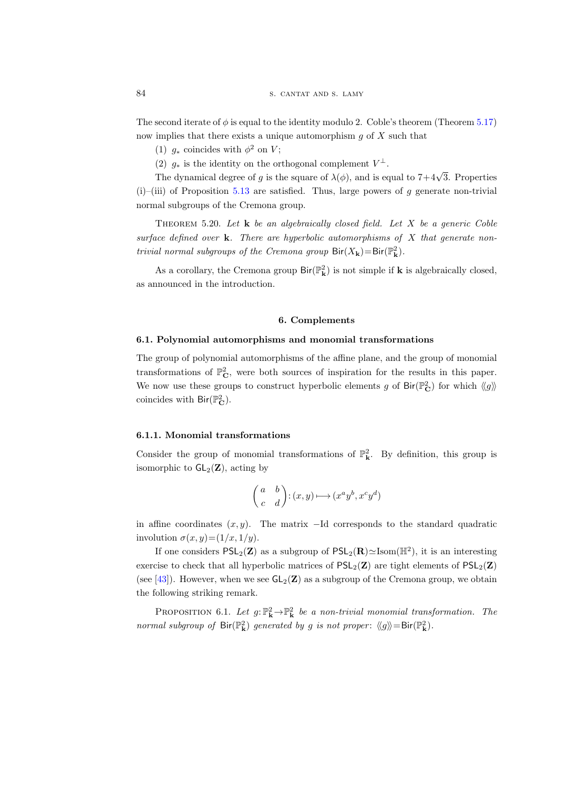The second iterate of  $\phi$  is equal to the identity modulo 2. Coble's theorem (Theorem [5.17\)](#page-51-0) now implies that there exists a unique automorphism  $g$  of  $X$  such that

(1)  $g_*$  coincides with  $\phi^2$  on V;

(2)  $g_*$  is the identity on the orthogonal complement  $V^{\perp}$ .

The dynamical degree of g is the square of  $\lambda(\phi)$ , and is equal to  $7+4\sqrt{3}$ . Properties  $(i)$ –(iii) of Proposition [5.13](#page-48-0) are satisfied. Thus, large powers of q generate non-trivial normal subgroups of the Cremona group.

<span id="page-53-1"></span>THEOREM 5.20. Let  $\bf{k}$  be an algebraically closed field. Let X be a generic Coble surface defined over  $k$ . There are hyperbolic automorphisms of  $X$  that generate nontrivial normal subgroups of the Cremona group  $\text{Bir}(X_{\mathbf{k}})=\text{Bir}(\mathbb{P}_{\mathbf{k}}^2)$ .

As a corollary, the Cremona group  $\text{Bir}(\mathbb{P}^2_{\mathbf{k}})$  is not simple if  $\mathbf k$  is algebraically closed, as announced in the introduction.

#### 6. Complements

#### <span id="page-53-0"></span>6.1. Polynomial automorphisms and monomial transformations

The group of polynomial automorphisms of the affine plane, and the group of monomial transformations of  $\mathbb{P}_{\mathbf{C}}^2$ , were both sources of inspiration for the results in this paper. We now use these groups to construct hyperbolic elements g of  $\text{Bir}(\mathbb{P}_{\mathbf{C}}^2)$  for which  $\langle g \rangle$ coincides with  $\textsf{Bir}({\mathbb P}^2_{\mathbf C}).$ 

#### 6.1.1. Monomial transformations

Consider the group of monomial transformations of  $\mathbb{P}^2_{\mathbf{k}}$ . By definition, this group is isomorphic to  $GL_2(\mathbf{Z})$ , acting by

$$
\begin{pmatrix} a & b \\ c & d \end{pmatrix} : (x,y) \longmapsto (x^a y^b, x^c y^d)
$$

in affine coordinates  $(x, y)$ . The matrix  $-Id$  corresponds to the standard quadratic involution  $\sigma(x, y) = (1/x, 1/y)$ .

If one considers  $PSL_2(\mathbf{Z})$  as a subgroup of  $PSL_2(\mathbf{R}) \simeq \text{Isom}(\mathbb{H}^2)$ , it is an interesting exercise to check that all hyperbolic matrices of  $PSL_2(\mathbf{Z})$  are tight elements of  $PSL_2(\mathbf{Z})$ (see [\[43\]](#page-63-6)). However, when we see  $GL_2(\mathbf{Z})$  as a subgroup of the Cremona group, we obtain the following striking remark.

PROPOSITION 6.1. Let  $g: \mathbb{P}^2_{\mathbf{k}} \to \mathbb{P}^2_{\mathbf{k}}$  be a non-trivial monomial transformation. The normal subgroup of  $\text{Bir}(\mathbb{P}^2_{\mathbf{k}})$  generated by g is not proper:  $\langle g \rangle = \text{Bir}(\mathbb{P}^2_{\mathbf{k}})$ .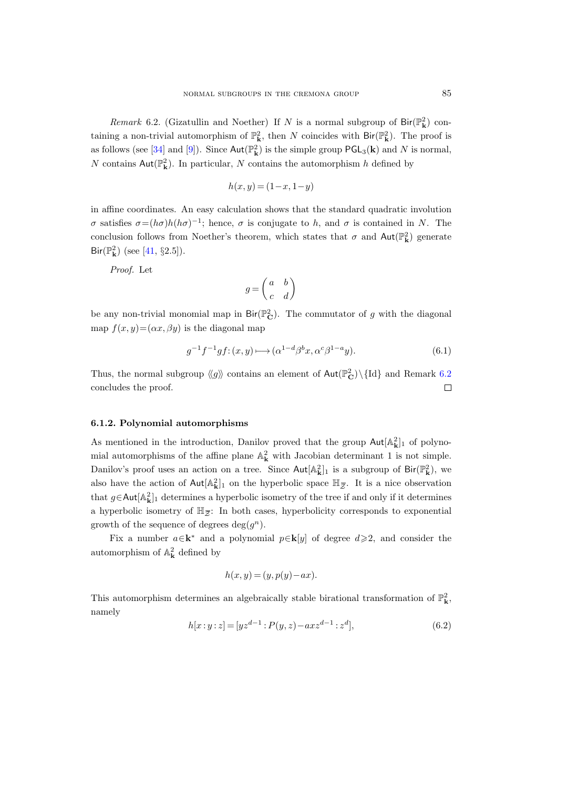<span id="page-54-1"></span>Remark 6.2. (Gizatullin and Noether) If N is a normal subgroup of  $\text{Bir}(\mathbb{P}^2_{\mathbf{k}})$  containing a non-trivial automorphism of  $\mathbb{P}^2_{\mathbf{k}}$ , then N coincides with  $\text{Bir}(\mathbb{P}^2_{\mathbf{k}})$ . The proof is as follows (see [\[34\]](#page-62-5) and [\[9\]](#page-61-3)). Since  $\text{Aut}(\mathbb{P}_{\mathbf{k}}^2)$  is the simple group  $\text{PGL}_3(\mathbf{k})$  and N is normal,  $N$  contains  ${\sf Aut}({\mathbb P}^2_{\bf k}).$  In particular,  $N$  contains the automorphism  $h$  defined by

$$
h(x,y) = (1-x, 1-y)
$$

in affine coordinates. An easy calculation shows that the standard quadratic involution σ satisfies  $\sigma = (h\sigma)h(h\sigma)^{-1}$ ; hence, σ is conjugate to h, and σ is contained in N. The conclusion follows from Noether's theorem, which states that  $\sigma$  and  $\text{Aut}(\mathbb{P}^2_{\mathbf{k}})$  generate  $\text{Bir}(\mathbb{P}_{\mathbf{k}}^{2})$  (see [\[41,](#page-62-20) §2.5]).

Proof. Let

$$
g = \begin{pmatrix} a & b \\ c & d \end{pmatrix}
$$

be any non-trivial monomial map in  $\text{Bir}(\mathbb{P}_{\mathbf{C}}^2)$ . The commutator of g with the diagonal map  $f(x, y) = (\alpha x, \beta y)$  is the diagonal map

$$
g^{-1}f^{-1}gf: (x,y)\longmapsto (\alpha^{1-d}\beta^b x, \alpha^c\beta^{1-a}y). \tag{6.1}
$$

Thus, the normal subgroup  $\langle g \rangle$  contains an element of  $Aut(\mathbb{P}_\mathbf{C}^2)\setminus \{Id\}$  and Remark [6.2](#page-54-1) concludes the proof.  $\Box$ 

#### <span id="page-54-0"></span>6.1.2. Polynomial automorphisms

As mentioned in the introduction, Danilov proved that the group  $\text{Aut}[\mathbb{A}_{\mathbf{k}}^2]_1$  of polynomial automorphisms of the affine plane  $\mathbb{A}_{\mathbf{k}}^2$  with Jacobian determinant 1 is not simple. Danilov's proof uses an action on a tree. Since  $Aut[A_k^2]_1$  is a subgroup of  $Dir(\mathbb{P}_k^2)$ , we also have the action of  $Aut[A_k^2]_1$  on the hyperbolic space  $\mathbb{H}_{\overline{Z}}$ . It is a nice observation **phisms**<br>
ion, Danilov proved that the g<br>
ne plane  $\mathbb{A}_{\mathbf{k}}^2$  with Jacobian det<br>
on a tree. Since  $\text{Aut}[\mathbb{A}_{\mathbf{k}}^2]_1$  is a<br>  $]_1$  on the hyperbolic space  $\mathbb{H}_{\overline{Z}}$ that  $g \in \text{Aut}[\mathbb{A}_{\mathbf{k}}^2]_1$  determines a hyperbolic isometry of the tree if and only if it determines As mentioned in the introdu<br>mial automorphisms of the a<br>Danilov's proof uses an actic<br>also have the action of Aut[A<br>that  $g \in \text{Aut}[\mathbb{A}_{\mathbf{k}}^2]_1$  determines a<br>a hyperbolic isometry of  $\mathbb{H}_{\mathcal{Z}}$ a hyperbolic isometry of  $\mathbb{H}_{\overline{z}}$ : In both cases, hyperbolicity corresponds to exponential growth of the sequence of degrees  $deg(g^n)$ .

Fix a number  $a \in \mathbf{k}^*$  and a polynomial  $p \in \mathbf{k}[y]$  of degree  $d \geqslant 2$ , and consider the automorphism of  $\mathbb{A}^{2}_{\mathbf{k}}$  defined by

$$
h(x, y) = (y, p(y) - ax).
$$

This automorphism determines an algebraically stable birational transformation of  $\mathbb{P}^2_{\mathbf{k}}$ , namely

<span id="page-54-2"></span>
$$
h[x:y:z] = [yz^{d-1}:P(y,z) - axz^{d-1}:z^d],
$$
\n(6.2)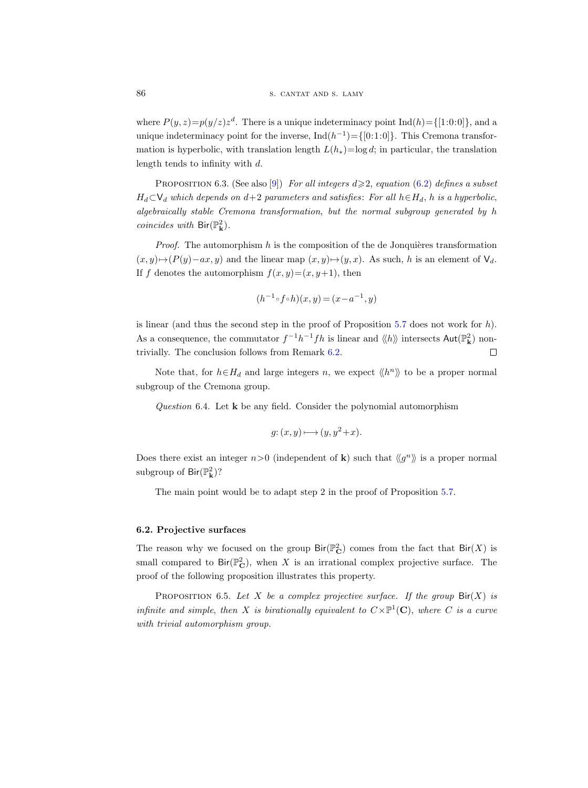where  $P(y, z)=p(y/z)z^d$ . There is a unique indeterminacy point  $\text{Ind}(h) = \{[1:0:0]\},$  and a unique indeterminacy point for the inverse,  $\text{Ind}(h^{-1}) = \{ [0:1:0] \}$ . This Cremona transformation is hyperbolic, with translation length  $L(h_*)=$ log d; in particular, the translation length tends to infinity with d.

PROPOSITION 6.3. (See also [\[9\]](#page-61-3)) For all integers  $d \geqslant 2$ , equation [\(6.2\)](#page-54-2) defines a subset  $H_d\subset\mathsf{V}_d$  which depends on  $d+2$  parameters and satisfies: For all  $h\in H_d$ , h is a hyperbolic, algebraically stable Cremona transformation, but the normal subgroup generated by h  $coincides \ with \ Bir({\mathbb P}^2_{\bf k}).$ 

*Proof.* The automorphism  $h$  is the composition of the de Jonquières transformation  $(x, y) \rightarrow (P(y)-ax, y)$  and the linear map  $(x, y) \rightarrow (y, x)$ . As such, h is an element of  $V<sub>d</sub>$ . If f denotes the automorphism  $f(x, y)=(x, y+1)$ , then

$$
(h^{-1} \circ f \circ h)(x, y) = (x - a^{-1}, y)
$$

is linear (and thus the second step in the proof of Proposition  $5.7$  does not work for h). As a consequence, the commutator  $f^{-1}h^{-1}fh$  is linear and  $\langle\langle h \rangle\rangle$  intersects  $\text{Aut}(\mathbb{P}^2_{\mathbf{k}})$  nontrivially. The conclusion follows from Remark [6.2.](#page-54-1)  $\Box$ 

Note that, for  $h \in H_d$  and large integers n, we expect  $\langle h^n \rangle$  to be a proper normal subgroup of the Cremona group.

Question 6.4. Let  $k$  be any field. Consider the polynomial automorphism

$$
g: (x, y) \longmapsto (y, y^2 + x).
$$

Does there exist an integer  $n>0$  (independent of **k**) such that  $\langle g^n \rangle$  is a proper normal subgroup of  $\textsf{Bir}(\mathbb{P}^2_{\mathbf{k}})$ ?

The main point would be to adapt step 2 in the proof of Proposition [5.7.](#page-43-1)

#### 6.2. Projective surfaces

The reason why we focused on the group  $\text{Bir}(\mathbb{P}^2_{\mathbf{C}})$  comes from the fact that  $\text{Bir}(X)$  is small compared to  $\text{Bir}(\mathbb{P}_{\mathbf{C}}^2)$ , when X is an irrational complex projective surface. The proof of the following proposition illustrates this property.

PROPOSITION 6.5. Let X be a complex projective surface. If the group  $\text{Bir}(X)$  is infinite and simple, then X is birationally equivalent to  $C\times\mathbb{P}^1(\mathbb{C})$ , where C is a curve with trivial automorphism group.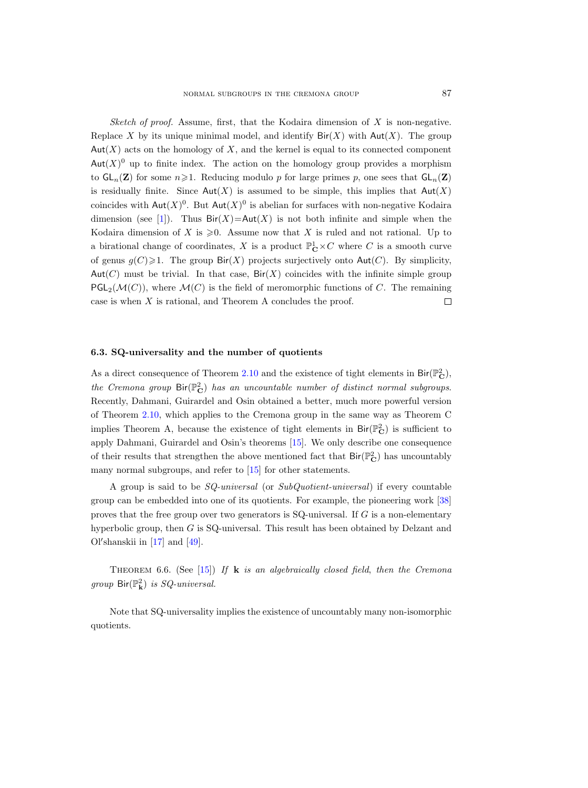Sketch of proof. Assume, first, that the Kodaira dimension of  $X$  is non-negative. Replace X by its unique minimal model, and identify  $\text{Bir}(X)$  with  $\text{Aut}(X)$ . The group  $Aut(X)$  acts on the homology of X, and the kernel is equal to its connected component  $Aut(X)^0$  up to finite index. The action on the homology group provides a morphism to  $GL_n(\mathbf{Z})$  for some  $n\geqslant 1$ . Reducing modulo p for large primes p, one sees that  $GL_n(\mathbf{Z})$ is residually finite. Since  $Aut(X)$  is assumed to be simple, this implies that  $Aut(X)$ coincides with  $\text{Aut}(X)^0$ . But  $\text{Aut}(X)^0$  is abelian for surfaces with non-negative Kodaira dimension (see [\[1\]](#page-61-15)). Thus  $\text{Bir}(X) = \text{Aut}(X)$  is not both infinite and simple when the Kodaira dimension of X is  $\geqslant 0$ . Assume now that X is ruled and not rational. Up to a birational change of coordinates, X is a product  $\mathbb{P}^1_{\mathbf{C}} \times C$  where C is a smooth curve of genus  $g(C) \geq 1$ . The group  $\text{Bir}(X)$  projects surjectively onto  $\text{Aut}(C)$ . By simplicity, Aut(C) must be trivial. In that case,  $\text{Bir}(X)$  coincides with the infinite simple group  $PGL_2(\mathcal{M}(C))$ , where  $\mathcal{M}(C)$  is the field of meromorphic functions of C. The remaining case is when X is rational, and Theorem A concludes the proof.  $\Box$ 

#### <span id="page-56-0"></span>6.3. SQ-universality and the number of quotients

As a direct consequence of Theorem [2.10](#page-11-0) and the existence of tight elements in  $\text{Bir}(\mathbb{P}_{\mathbf{C}}^2)$ , the Cremona group  $\text{Bir}(\mathbb{P}_{\mathbf{C}}^2)$  has an uncountable number of distinct normal subgroups. Recently, Dahmani, Guirardel and Osin obtained a better, much more powerful version of Theorem [2.10,](#page-11-0) which applies to the Cremona group in the same way as Theorem C implies Theorem A, because the existence of tight elements in  $\text{Bir}(\mathbb{P}^2_{\mathbf{C}})$  is sufficient to apply Dahmani, Guirardel and Osin's theorems [\[15\]](#page-61-9). We only describe one consequence of their results that strengthen the above mentioned fact that  $\text{Bir}(\mathbb{P}_\mathbf{C}^2)$  has uncountably many normal subgroups, and refer to [\[15\]](#page-61-9) for other statements.

A group is said to be SQ-universal (or SubQuotient-universal) if every countable group can be embedded into one of its quotients. For example, the pioneering work [\[38\]](#page-62-21) proves that the free group over two generators is SQ-universal. If G is a non-elementary hyperbolic group, then G is SQ-universal. This result has been obtained by Delzant and Ol'shanskii in  $[17]$  and  $[49]$ .

THEOREM 6.6. (See [\[15\]](#page-61-9)) If **k** is an algebraically closed field, then the Cremona group  $\mathsf{Bir}({\mathbb P}^2_{\mathbf k})$  is  $SQ$ -universal.

Note that SQ-universality implies the existence of uncountably many non-isomorphic quotients.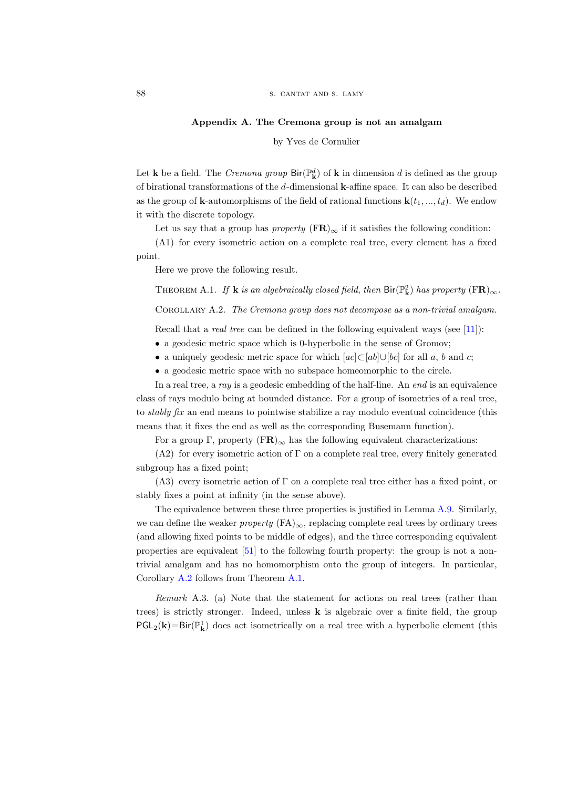#### Appendix A. The Cremona group is not an amalgam

by Yves de Cornulier

<span id="page-57-0"></span>Let **k** be a field. The *Cremona group*  $\text{Bir}(\mathbb{P}_{\mathbf{k}}^d)$  of **k** in dimension d is defined as the group of birational transformations of the d-dimensional k-affine space. It can also be described as the group of **k**-automorphisms of the field of rational functions  $\mathbf{k}(t_1, ..., t_d)$ . We endow it with the discrete topology.

Let us say that a group has *property*  $(\mathbf{FR})_{\infty}$  if it satisfies the following condition:

(A1) for every isometric action on a complete real tree, every element has a fixed point.

Here we prove the following result.

<span id="page-57-2"></span>THEOREM A.1. If **k** is an algebraically closed field, then  $\text{Bir}(\mathbb{P}_{\mathbf{k}}^2)$  has property  $(\text{FR})_{\infty}$ .

<span id="page-57-1"></span>Corollary A.2. The Cremona group does not decompose as a non-trivial amalgam.

Recall that a *real tree* can be defined in the following equivalent ways (see [\[11\]](#page-61-16)):

- a geodesic metric space which is 0-hyperbolic in the sense of Gromov;
- a uniquely geodesic metric space for which  $[ac] \subseteq [ab] \cup [bc]$  for all a, b and c;
- a geodesic metric space with no subspace homeomorphic to the circle.

In a real tree, a ray is a geodesic embedding of the half-line. An end is an equivalence class of rays modulo being at bounded distance. For a group of isometries of a real tree, to stably fix an end means to pointwise stabilize a ray modulo eventual coincidence (this means that it fixes the end as well as the corresponding Busemann function).

For a group Γ, property  $(FR)_{\infty}$  has the following equivalent characterizations:

 $(A2)$  for every isometric action of  $\Gamma$  on a complete real tree, every finitely generated subgroup has a fixed point;

(A3) every isometric action of Γ on a complete real tree either has a fixed point, or stably fixes a point at infinity (in the sense above).

The equivalence between these three properties is justified in Lemma [A.9.](#page-60-0) Similarly, we can define the weaker *property*  $(FA)_{\infty}$ , replacing complete real trees by ordinary trees (and allowing fixed points to be middle of edges), and the three corresponding equivalent properties are equivalent [\[51\]](#page-63-10) to the following fourth property: the group is not a nontrivial amalgam and has no homomorphism onto the group of integers. In particular, Corollary [A.2](#page-57-1) follows from Theorem [A.1.](#page-57-2)

Remark A.3. (a) Note that the statement for actions on real trees (rather than trees) is strictly stronger. Indeed, unless  $\bf{k}$  is algebraic over a finite field, the group  $\mathsf{PGL}_2(\mathbf{k})=\mathsf{Bir}(\mathbb{P}^1_{\mathbf{k}})$  does act isometrically on a real tree with a hyperbolic element (this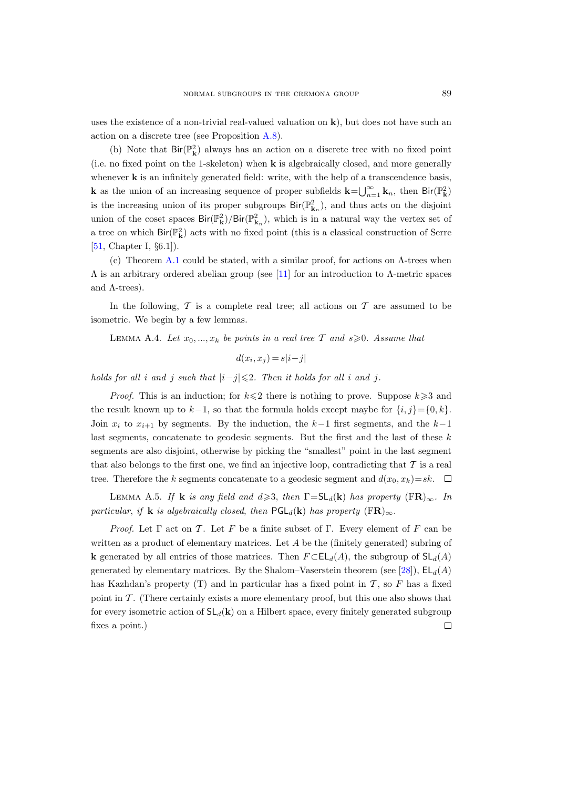uses the existence of a non-trivial real-valued valuation on  $\bf{k}$ ), but does not have such an action on a discrete tree (see Proposition [A.8\)](#page-60-1).

(b) Note that  $\text{Bir}(\mathbb{P}_{\mathbf{k}}^2)$  always has an action on a discrete tree with no fixed point (i.e. no fixed point on the 1-skeleton) when k is algebraically closed, and more generally whenever **k** is an infinitely generated field: write, with the help of a transcendence basis, **k** as the union of an increasing sequence of proper subfields  $\mathbf{k} = \bigcup_{n=1}^{\infty} \mathbf{k}_n$ , then  $\text{Bir}(\mathbb{P}_{\mathbf{k}}^2)$ is the increasing union of its proper subgroups  $\text{Bir}(\mathbb{P}^2_{\mathbf{k}_n})$ , and thus acts on the disjoint union of the coset spaces  $\text{Bir}(\mathbb{P}_{\mathbf{k}}^2)/\text{Bir}(\mathbb{P}_{\mathbf{k}_n}^2)$ , which is in a natural way the vertex set of a tree on which  $\text{Bir}(\mathbb{P}^2_{\mathbf{k}})$  acts with no fixed point (this is a classical construction of Serre [\[51,](#page-63-10) Chapter I, §6.1]).

(c) Theorem [A.1](#page-57-2) could be stated, with a similar proof, for actions on  $\Lambda$ -trees when  $Λ$  is an arbitrary ordered abelian group (see [\[11\]](#page-61-16) for an introduction to  $Λ$ -metric spaces and  $\Lambda$ -trees).

In the following,  $\mathcal T$  is a complete real tree; all actions on  $\mathcal T$  are assumed to be isometric. We begin by a few lemmas.

<span id="page-58-1"></span>LEMMA A.4. Let  $x_0, ..., x_k$  be points in a real tree T and  $s \geq 0$ . Assume that

$$
d(x_i, x_j) = s|i - j|
$$

holds for all i and j such that  $|i-j| \leq 2$ . Then it holds for all i and j.

*Proof.* This is an induction; for  $k \leq 2$  there is nothing to prove. Suppose  $k \geq 3$  and the result known up to  $k-1$ , so that the formula holds except maybe for  $\{i, j\}=\{0, k\}.$ Join  $x_i$  to  $x_{i+1}$  by segments. By the induction, the  $k-1$  first segments, and the  $k-1$ last segments, concatenate to geodesic segments. But the first and the last of these k segments are also disjoint, otherwise by picking the "smallest" point in the last segment that also belongs to the first one, we find an injective loop, contradicting that  $\mathcal T$  is a real tree. Therefore the k segments concatenate to a geodesic segment and  $d(x_0, x_k)=sk$ .  $\Box$ 

<span id="page-58-0"></span>LEMMA A.5. If **k** is any field and  $d \geq 3$ , then  $\Gamma = SL_d(\mathbf{k})$  has property  $(\mathbf{FR})_{\infty}$ . In particular, if **k** is algebraically closed, then  $\text{PGL}_d(\mathbf{k})$  has property  $(\text{FR})_{\infty}$ .

*Proof.* Let  $\Gamma$  act on T. Let F be a finite subset of  $\Gamma$ . Every element of F can be written as a product of elementary matrices. Let  $A$  be the (finitely generated) subring of **k** generated by all entries of those matrices. Then  $F \subset EL_d(A)$ , the subgroup of  $SL_d(A)$ generated by elementary matrices. By the Shalom–Vaserstein theorem (see [\[28\]](#page-62-22)),  $EL_d(A)$ has Kazhdan's property  $(T)$  and in particular has a fixed point in  $T$ , so F has a fixed point in  $\mathcal T$ . (There certainly exists a more elementary proof, but this one also shows that for every isometric action of  $SL_d(k)$  on a Hilbert space, every finitely generated subgroup  $\Box$ fixes a point.)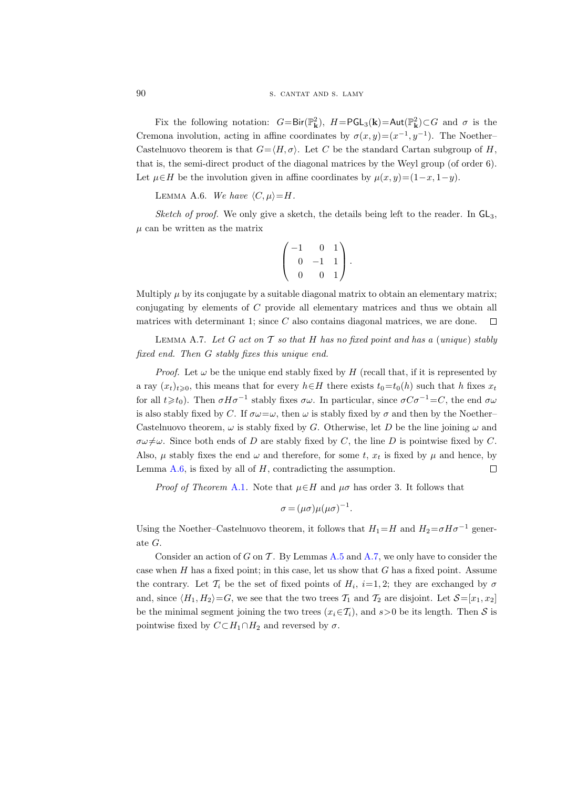Fix the following notation:  $G = Bir(\mathbb{P}_{\mathbf{k}}^2)$ ,  $H = PGL_3(\mathbf{k}) = Aut(\mathbb{P}_{\mathbf{k}}^2) \subset G$  and  $\sigma$  is the Cremona involution, acting in affine coordinates by  $\sigma(x,y)=(x^{-1},y^{-1})$ . The Noether– Castelnuovo theorem is that  $G=\langle H, \sigma \rangle$ . Let C be the standard Cartan subgroup of H, that is, the semi-direct product of the diagonal matrices by the Weyl group (of order 6). Let  $\mu \in H$  be the involution given in affine coordinates by  $\mu(x, y)=(1-x, 1-y)$ .

<span id="page-59-0"></span>LEMMA A.6. We have  $\langle C, \mu \rangle = H$ .

*Sketch of proof.* We only give a sketch, the details being left to the reader. In  $GL_3$ ,  $\mu$  can be written as the matrix

$$
\left(\begin{array}{rrr} -1 & 0 & 1 \\ 0 & -1 & 1 \\ 0 & 0 & 1 \end{array}\right).
$$

Multiply  $\mu$  by its conjugate by a suitable diagonal matrix to obtain an elementary matrix; conjugating by elements of C provide all elementary matrices and thus we obtain all matrices with determinant 1; since  $C$  also contains diagonal matrices, we are done.  $\Box$ 

<span id="page-59-1"></span>LEMMA A.7. Let G act on T so that H has no fixed point and has a (unique) stably fixed end. Then G stably fixes this unique end.

*Proof.* Let  $\omega$  be the unique end stably fixed by H (recall that, if it is represented by a ray  $(x_t)_{t\geqslant0}$ , this means that for every  $h\in H$  there exists  $t_0=t_0(h)$  such that h fixes  $x_t$ for all  $t \geq t_0$ ). Then  $\sigma H \sigma^{-1}$  stably fixes  $\sigma \omega$ . In particular, since  $\sigma C \sigma^{-1} = C$ , the end  $\sigma \omega$ is also stably fixed by C. If  $\sigma\omega=\omega$ , then  $\omega$  is stably fixed by  $\sigma$  and then by the Noether– Castelnuovo theorem,  $\omega$  is stably fixed by G. Otherwise, let D be the line joining  $\omega$  and  $\sigma\omega\neq\omega$ . Since both ends of D are stably fixed by C, the line D is pointwise fixed by C. Also,  $\mu$  stably fixes the end  $\omega$  and therefore, for some t,  $x_t$  is fixed by  $\mu$  and hence, by  $\Box$ Lemma  $A.6$ , is fixed by all of  $H$ , contradicting the assumption.

*Proof of Theorem [A.1](#page-57-2).* Note that  $\mu \in H$  and  $\mu \sigma$  has order 3. It follows that

$$
\sigma = (\mu \sigma) \mu (\mu \sigma)^{-1}.
$$

Using the Noether–Castelnuovo theorem, it follows that  $H_1=H$  and  $H_2=\sigma H\sigma^{-1}$  generate G.

Consider an action of G on T. By Lemmas  $A.5$  and  $A.7$ , we only have to consider the case when  $H$  has a fixed point; in this case, let us show that  $G$  has a fixed point. Assume the contrary. Let  $\mathcal{T}_i$  be the set of fixed points of  $H_i$ ,  $i=1,2$ ; they are exchanged by  $\sigma$ and, since  $\langle H_1, H_2 \rangle = G$ , we see that the two trees  $\mathcal{T}_1$  and  $\mathcal{T}_2$  are disjoint. Let  $\mathcal{S}=[x_1, x_2]$ be the minimal segment joining the two trees  $(x_i \in \mathcal{T}_i)$ , and  $s > 0$  be its length. Then S is pointwise fixed by  $C \subset H_1 \cap H_2$  and reversed by  $\sigma$ .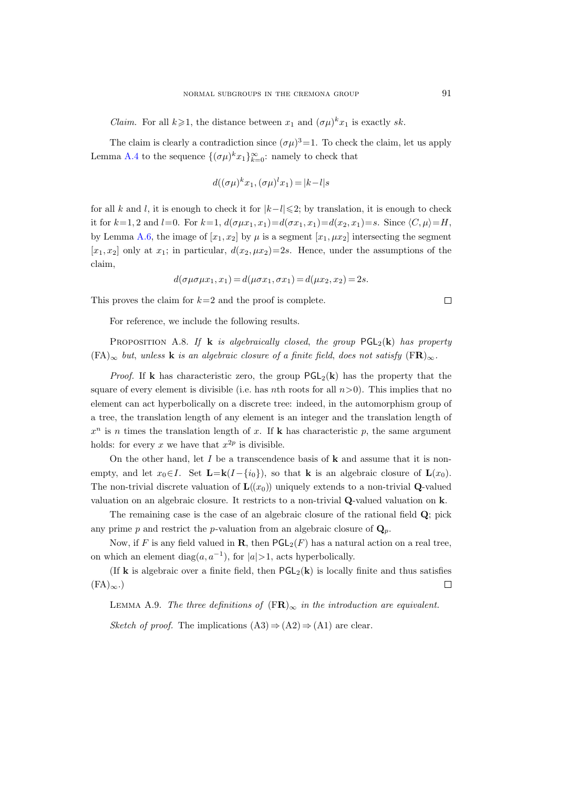*Claim.* For all  $k \ge 1$ , the distance between  $x_1$  and  $(\sigma \mu)^k x_1$  is exactly sk.

The claim is clearly a contradiction since  $(\sigma \mu)^3 = 1$ . To check the claim, let us apply Lemma [A.4](#page-58-1) to the sequence  $\{(\sigma\mu)^k x_1\}_{k=0}^{\infty}$ : namely to check that

$$
d((\sigma\mu)^k x_1, (\sigma\mu)^l x_1) = |k - l|s
$$

for all k and l, it is enough to check it for  $|k-l|\leq 2$ ; by translation, it is enough to check it for  $k=1, 2$  and  $l=0$ . For  $k=1$ ,  $d(\sigma \mu x_1, x_1) = d(\sigma x_1, x_1) = d(x_2, x_1) = s$ . Since  $\langle C, \mu \rangle = H$ , by Lemma [A.6,](#page-59-0) the image of  $[x_1, x_2]$  by  $\mu$  is a segment  $[x_1, \mu x_2]$  intersecting the segment  $[x_1, x_2]$  only at  $x_1$ ; in particular,  $d(x_2, \mu x_2)=2s$ . Hence, under the assumptions of the claim,

$$
d(\sigma \mu \sigma \mu x_1, x_1) = d(\mu \sigma x_1, \sigma x_1) = d(\mu x_2, x_2) = 2s.
$$

This proves the claim for  $k=2$  and the proof is complete.

For reference, we include the following results.

<span id="page-60-1"></span>PROPOSITION A.8. If **k** is algebraically closed, the group  $PGL_2(k)$  has property  $(FA)_{\infty}$  but, unless **k** is an algebraic closure of a finite field, does not satisfy  $(FR)_{\infty}$ .

*Proof.* If k has characteristic zero, the group  $PGL_2(k)$  has the property that the square of every element is divisible (i.e. has nth roots for all  $n>0$ ). This implies that no element can act hyperbolically on a discrete tree: indeed, in the automorphism group of a tree, the translation length of any element is an integer and the translation length of  $x^n$  is n times the translation length of x. If **k** has characteristic p, the same argument holds: for every x we have that  $x^{2p}$  is divisible.

On the other hand, let  $I$  be a transcendence basis of  $k$  and assume that it is nonempty, and let  $x_0 \in I$ . Set  $\mathbf{L}=\mathbf{k}(I-\{i_0\})$ , so that **k** is an algebraic closure of  $\mathbf{L}(x_0)$ . The non-trivial discrete valuation of  $\mathbf{L}((x_0))$  uniquely extends to a non-trivial **Q**-valued valuation on an algebraic closure. It restricts to a non-trivial Q-valued valuation on k.

The remaining case is the case of an algebraic closure of the rational field Q; pick any prime p and restrict the p-valuation from an algebraic closure of  $\mathbf{Q}_p$ .

Now, if F is any field valued in **R**, then  $PGL_2(F)$  has a natural action on a real tree, on which an element diag $(a, a^{-1})$ , for  $|a| > 1$ , acts hyperbolically.

(If **k** is algebraic over a finite field, then  $PGL_2(k)$  is locally finite and thus satisfies  $(FA)_{\infty}$ .)  $\Box$ 

<span id="page-60-0"></span>LEMMA A.9. The three definitions of  $(FR)_{\infty}$  in the introduction are equivalent.

Sketch of proof. The implications  $(A3) \Rightarrow (A2) \Rightarrow (A1)$  are clear.

 $\Box$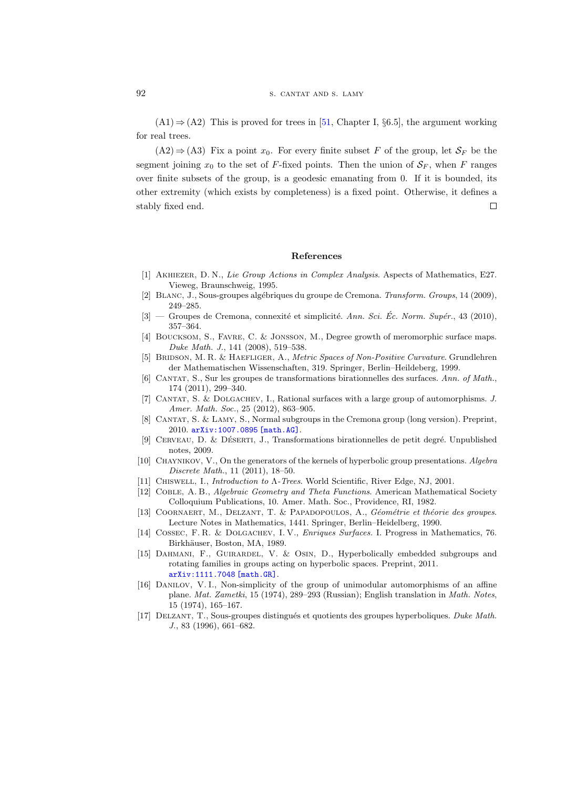$(A1) \Rightarrow (A2)$  This is proved for trees in [\[51,](#page-63-10) Chapter I, §6.5], the argument working for real trees.

 $(A2) \Rightarrow (A3)$  Fix a point  $x_0$ . For every finite subset F of the group, let  $S_F$  be the segment joining  $x_0$  to the set of F-fixed points. Then the union of  $S_F$ , when F ranges over finite subsets of the group, is a geodesic emanating from 0. If it is bounded, its other extremity (which exists by completeness) is a fixed point. Otherwise, it defines a stably fixed end.  $\Box$ 

#### References

- <span id="page-61-15"></span>[1] Akhiezer, D. N., Lie Group Actions in Complex Analysis. Aspects of Mathematics, E27. Vieweg, Braunschweig, 1995.
- <span id="page-61-0"></span>[2] BLANC, J., Sous-groupes algébriques du groupe de Cremona. Transform. Groups, 14 (2009), 249–285.
- <span id="page-61-1"></span>[3] — Groupes de Cremona, connexité et simplicité. Ann. Sci. Éc. Norm. Supér., 43 (2010), 357–364.
- <span id="page-61-10"></span>[4] Boucksom, S., Favre, C. & Jonsson, M., Degree growth of meromorphic surface maps. Duke Math. J., 141 (2008), 519–538.
- <span id="page-61-7"></span>[5] BRIDSON, M. R. & HAEFLIGER, A., Metric Spaces of Non-Positive Curvature. Grundlehren der Mathematischen Wissenschaften, 319. Springer, Berlin–Heildeberg, 1999.
- <span id="page-61-11"></span>[6] CANTAT, S., Sur les groupes de transformations birationnelles des surfaces. Ann. of Math., 174 (2011), 299–340.
- <span id="page-61-14"></span>[7] CANTAT, S. & DOLGACHEV, I., Rational surfaces with a large group of automorphisms. J. Amer. Math. Soc., 25 (2012), 863-905.
- <span id="page-61-6"></span>[8] Cantat, S. & Lamy, S., Normal subgroups in the Cremona group (long version). Preprint, 2010. [arXiv:1007.0895 \[math.AG\]](http://arxiv.org/abs/1007.0895).
- <span id="page-61-3"></span>[9] CERVEAU, D. & DÉSERTI, J., Transformations birationnelles de petit degré. Unpublished notes, 2009.
- <span id="page-61-8"></span>[10] CHAYNIKOV, V., On the generators of the kernels of hyperbolic group presentations. Algebra Discrete Math., 11 (2011), 18–50.
- <span id="page-61-16"></span>[11] Chiswell, I., Introduction to Λ-Trees. World Scientific, River Edge, NJ, 2001.
- <span id="page-61-13"></span>[12] Coble, A. B., Algebraic Geometry and Theta Functions. American Mathematical Society Colloquium Publications, 10. Amer. Math. Soc., Providence, RI, 1982.
- <span id="page-61-5"></span>[13] COORNAERT, M., DELZANT, T. & PAPADOPOULOS, A., Géométrie et théorie des groupes. Lecture Notes in Mathematics, 1441. Springer, Berlin–Heidelberg, 1990.
- <span id="page-61-12"></span>[14] COSSEC, F. R. & DOLGACHEV, I. V., *Enriques Surfaces*. I. Progress in Mathematics, 76. Birkhäuser, Boston, MA, 1989.
- <span id="page-61-9"></span>[15] Dahmani, F., Guirardel, V. & Osin, D., Hyperbolically embedded subgroups and rotating families in groups acting on hyperbolic spaces. Preprint, 2011. [arXiv:1111.7048 \[math.GR\]](http://arxiv.org/abs/1111.7048).
- <span id="page-61-2"></span>[16] Danilov, V. I., Non-simplicity of the group of unimodular automorphisms of an affine plane. Mat. Zametki, 15 (1974), 289–293 (Russian); English translation in Math. Notes, 15 (1974), 165–167.
- <span id="page-61-4"></span>[17] DELZANT, T., Sous-groupes distingués et quotients des groupes hyperboliques. Duke Math. J., 83 (1996), 661–682.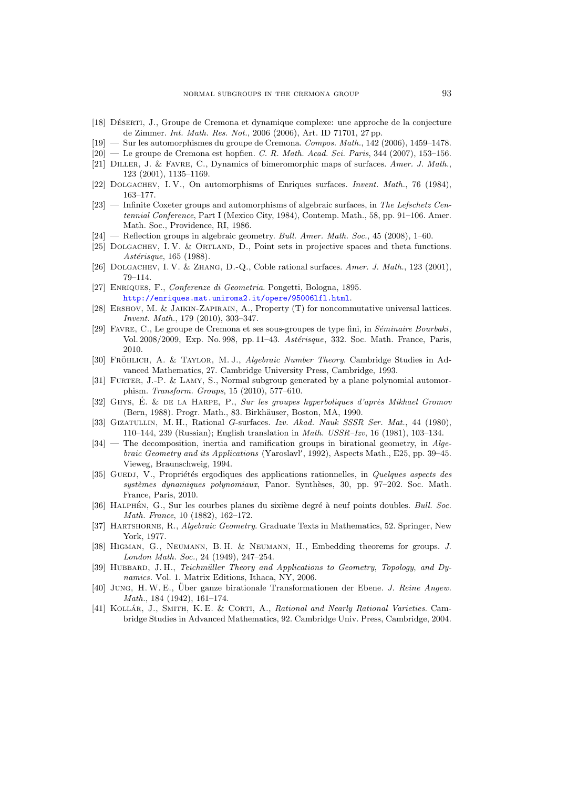- <span id="page-62-1"></span>[18] DÉSERTI, J., Groupe de Cremona et dynamique complexe: une approche de la conjecture de Zimmer. Int. Math. Res. Not., 2006 (2006), Art. ID 71701, 27 pp.
- [19] Sur les automorphismes du groupe de Cremona. Compos. Math., 142 (2006), 1459–1478.
- <span id="page-62-2"></span> $[20]$  — Le groupe de Cremona est hopfien. C. R. Math. Acad. Sci. Paris, 344 (2007), 153-156.
- <span id="page-62-9"></span>[21] DILLER, J. & FAVRE, C., Dynamics of bimeromorphic maps of surfaces. Amer. J. Math., 123 (2001), 1135–1169.
- <span id="page-62-18"></span>[22] DOLGACHEV, I. V., On automorphisms of Enriques surfaces. *Invent. Math.*, 76 (1984), 163–177.
- <span id="page-62-15"></span>[23] — Infinite Coxeter groups and automorphisms of algebraic surfaces, in The Lefschetz Centennial Conference, Part I (Mexico City, 1984), Contemp. Math., 58, pp. 91–106. Amer. Math. Soc., Providence, RI, 1986.
- <span id="page-62-17"></span> $[24]$  — Reflection groups in algebraic geometry. Bull. Amer. Math. Soc., 45 (2008), 1–60.
- <span id="page-62-16"></span>[25] DOLGACHEV, I. V. & ORTLAND, D., Point sets in projective spaces and theta functions. Astérisque, 165 (1988).
- <span id="page-62-14"></span>[26] DOLGACHEV, I. V. & ZHANG, D.-Q., Coble rational surfaces. Amer. J. Math., 123 (2001), 79–114.
- <span id="page-62-0"></span>[27] Enriques, F., Conferenze di Geometria. Pongetti, Bologna, 1895. <http://enriques.mat.uniroma2.it/opere/95006lfl.html>.
- <span id="page-62-22"></span>[28] Ershov, M. & Jaikin-Zapirain, A., Property (T) for noncommutative universal lattices. Invent. Math., 179 (2010), 303–347.
- <span id="page-62-10"></span>[29] FAVRE, C., Le groupe de Cremona et ses sous-groupes de type fini, in Séminaire Bourbaki, Vol. 2008/2009, Exp. No. 998, pp. 11-43. Astérisque, 332. Soc. Math. France, Paris, 2010.
- <span id="page-62-19"></span>[30] FRÖHLICH, A. & TAYLOR, M. J., *Algebraic Number Theory*. Cambridge Studies in Advanced Mathematics, 27. Cambridge University Press, Cambridge, 1993.
- <span id="page-62-4"></span>[31] Furter, J.-P. & Lamy, S., Normal subgroup generated by a plane polynomial automorphism. Transform. Groups, 15 (2010), 577–610.
- <span id="page-62-6"></span>[32] GHYS, É. & DE LA HARPE, P., Sur les groupes hyperboliques d'après Mikhael Gromov (Bern, 1988). Progr. Math., 83. Birkhäuser, Boston, MA, 1990.
- <span id="page-62-13"></span>[33] Gizatullin, M. H., Rational G-surfaces. Izv. Akad. Nauk SSSR Ser. Mat., 44 (1980), 110–144, 239 (Russian); English translation in Math. USSR–Izv, 16 (1981), 103–134.
- <span id="page-62-5"></span>[34] — The decomposition, inertia and ramification groups in birational geometry, in Algebraic Geometry and its Applications (Yaroslavl', 1992), Aspects Math., E25, pp. 39-45. Vieweg, Braunschweig, 1994.
- <span id="page-62-11"></span>[35] GUEDJ, V., Propriétés ergodiques des applications rationnelles, in Quelques aspects des systèmes dynamiques polynomiaux, Panor. Synthèses, 30, pp. 97–202. Soc. Math. France, Paris, 2010.
- <span id="page-62-12"></span>[36] HALPHÉN, G., Sur les courbes planes du sixième degré à neuf points doubles. Bull. Soc. Math. France, 10 (1882), 162–172.
- <span id="page-62-8"></span>[37] HARTSHORNE, R., *Algebraic Geometry*. Graduate Texts in Mathematics, 52. Springer, New York, 1977.
- <span id="page-62-21"></span>[38] Higman, G., Neumann, B. H. & Neumann, H., Embedding theorems for groups. J. London Math. Soc., 24 (1949), 247–254.
- <span id="page-62-7"></span>[39] HUBBARD, J. H., Teichmüller Theory and Applications to Geometry, Topology, and Dynamics. Vol. 1. Matrix Editions, Ithaca, NY, 2006.
- <span id="page-62-3"></span>[40] JUNG, H. W. E., Über ganze birationale Transformationen der Ebene. J. Reine Angew. Math., 184 (1942), 161–174.
- <span id="page-62-20"></span>[41] KOLLÁR, J., SMITH, K.E. & CORTI, A., Rational and Nearly Rational Varieties. Cambridge Studies in Advanced Mathematics, 92. Cambridge Univ. Press, Cambridge, 2004.